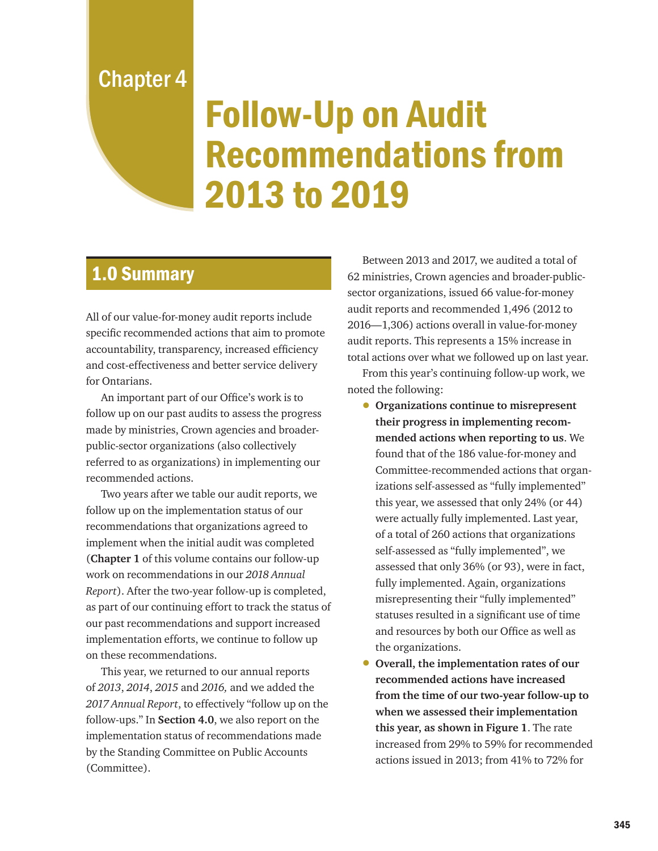Chapter 4

# Follow-Up on Audit Recommendations from 2013 to 2019

# 1.0 Summary

All of our value-for-money audit reports include specific recommended actions that aim to promote accountability, transparency, increased efficiency and cost-effectiveness and better service delivery for Ontarians.

An important part of our Office's work is to follow up on our past audits to assess the progress made by ministries, Crown agencies and broaderpublic-sector organizations (also collectively referred to as organizations) in implementing our recommended actions.

Two years after we table our audit reports, we follow up on the implementation status of our recommendations that organizations agreed to implement when the initial audit was completed (**Chapter 1** of this volume contains our follow-up work on recommendations in our *2018 Annual Report*). After the two-year follow-up is completed, as part of our continuing effort to track the status of our past recommendations and support increased implementation efforts, we continue to follow up on these recommendations.

This year, we returned to our annual reports of *2013*, *2014*, *2015* and *2016,* and we added the *2017 Annual Report*, to effectively "follow up on the follow-ups." In **Section 4.0**, we also report on the implementation status of recommendations made by the Standing Committee on Public Accounts (Committee).

Between 2013 and 2017, we audited a total of 62 ministries, Crown agencies and broader-publicsector organizations, issued 66 value-for-money audit reports and recommended 1,496 (2012 to 2016—1,306) actions overall in value-for-money audit reports. This represents a 15% increase in total actions over what we followed up on last year.

From this year's continuing follow-up work, we noted the following:

- **Organizations continue to misrepresent their progress in implementing recommended actions when reporting to us**. We found that of the 186 value-for-money and Committee-recommended actions that organizations self-assessed as "fully implemented" this year, we assessed that only 24% (or 44) were actually fully implemented. Last year, of a total of 260 actions that organizations self-assessed as "fully implemented", we assessed that only 36% (or 93), were in fact, fully implemented. Again, organizations misrepresenting their "fully implemented" statuses resulted in a significant use of time and resources by both our Office as well as the organizations.
- **Overall, the implementation rates of our recommended actions have increased from the time of our two-year follow-up to when we assessed their implementation this year, as shown in Figure 1**. The rate increased from 29% to 59% for recommended actions issued in 2013; from 41% to 72% for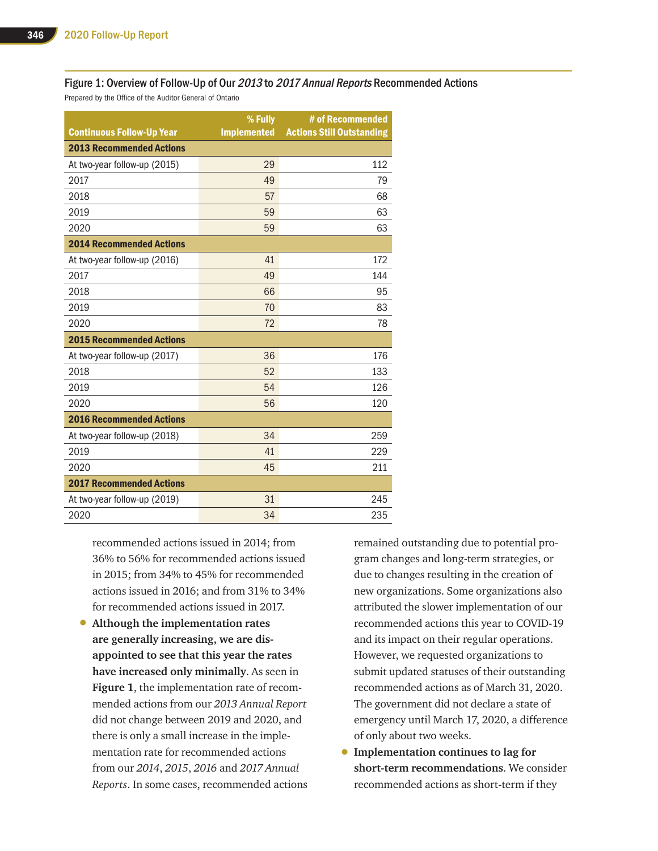#### Figure 1: Overview of Follow-Up of Our 2013 to 2017 Annual Reports Recommended Actions

Prepared by the Office of the Auditor General of Ontario

| <b>Continuous Follow-Up Year</b> | % Fully<br><b>Implemented</b> | # of Recommended<br><b>Actions Still Outstanding</b> |
|----------------------------------|-------------------------------|------------------------------------------------------|
| <b>2013 Recommended Actions</b>  |                               |                                                      |
| At two-year follow-up (2015)     | 29                            | 112                                                  |
| 2017                             | 49                            | 79                                                   |
| 2018                             | 57                            | 68                                                   |
| 2019                             | 59                            | 63                                                   |
| 2020                             | 59                            | 63                                                   |
| <b>2014 Recommended Actions</b>  |                               |                                                      |
| At two-year follow-up (2016)     | 41                            | 172                                                  |
| 2017                             | 49                            | 144                                                  |
| 2018                             | 66                            | 95                                                   |
| 2019                             | 70                            | 83                                                   |
| 2020                             | 72                            | 78                                                   |
| <b>2015 Recommended Actions</b>  |                               |                                                      |
| At two-year follow-up (2017)     | 36                            | 176                                                  |
| 2018                             | 52                            | 133                                                  |
| 2019                             | 54                            | 126                                                  |
| 2020                             | 56                            | 120                                                  |
| <b>2016 Recommended Actions</b>  |                               |                                                      |
| At two-year follow-up (2018)     | 34                            | 259                                                  |
| 2019                             | 41                            | 229                                                  |
| 2020                             | 45                            | 211                                                  |
| <b>2017 Recommended Actions</b>  |                               |                                                      |
| At two-year follow-up (2019)     | 31                            | 245                                                  |
| 2020                             | 34                            | 235                                                  |

recommended actions issued in 2014; from 36% to 56% for recommended actions issued in 2015; from 34% to 45% for recommended actions issued in 2016; and from 31% to 34% for recommended actions issued in 2017.

• **Although the implementation rates are generally increasing, we are disappointed to see that this year the rates have increased only minimally**. As seen in **Figure 1**, the implementation rate of recommended actions from our *2013 Annual Report*  did not change between 2019 and 2020, and there is only a small increase in the implementation rate for recommended actions from our *2014*, *2015*, *2016* and *2017 Annual Reports*. In some cases, recommended actions remained outstanding due to potential program changes and long-term strategies, or due to changes resulting in the creation of new organizations. Some organizations also attributed the slower implementation of our recommended actions this year to COVID-19 and its impact on their regular operations. However, we requested organizations to submit updated statuses of their outstanding recommended actions as of March 31, 2020. The government did not declare a state of emergency until March 17, 2020, a difference of only about two weeks.

• **Implementation continues to lag for short-term recommendations**. We consider recommended actions as short-term if they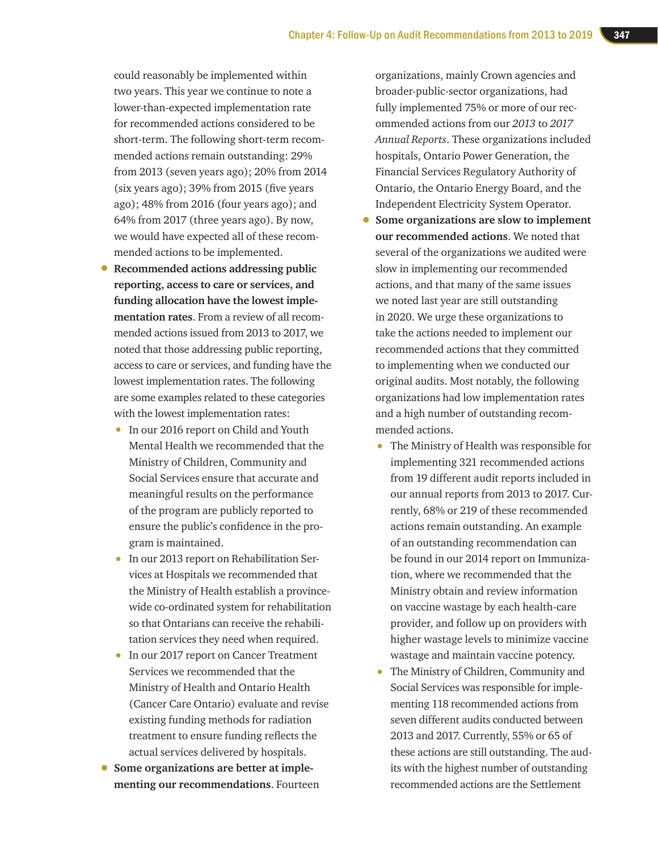could reasonably be implemented within two years. This year we continue to note a lower-than-expected implementation rate for recommended actions considered to be short-term. The following short-term recommended actions remain outstanding: 29% from 2013 (seven years ago); 20% from 2014 (six years ago); 39% from 2015 (five years ago); 48% from 2016 (four years ago); and 64% from 2017 (three years ago). By now, we would have expected all of these recommended actions to be implemented.

- **Recommended actions addressing public reporting, access to care or services, and funding allocation have the lowest implementation rates**. From a review of all recommended actions issued from 2013 to 2017, we noted that those addressing public reporting, access to care or services, and funding have the lowest implementation rates. The following are some examples related to these categories with the lowest implementation rates:
	- In our 2016 report on Child and Youth Mental Health we recommended that the Ministry of Children, Community and Social Services ensure that accurate and meaningful results on the performance of the program are publicly reported to ensure the public's confidence in the program is maintained.
	- In our 2013 report on Rehabilitation Services at Hospitals we recommended that the Ministry of Health establish a provincewide co-ordinated system for rehabilitation so that Ontarians can receive the rehabilitation services they need when required.
	- In our 2017 report on Cancer Treatment Services we recommended that the Ministry of Health and Ontario Health (Cancer Care Ontario) evaluate and revise existing funding methods for radiation treatment to ensure funding reflects the actual services delivered by hospitals.
- **Some organizations are better at implementing our recommendations**. Fourteen

organizations, mainly Crown agencies and broader-public-sector organizations, had fully implemented 75% or more of our recommended actions from our *2013* to *2017 Annual Reports*. These organizations included hospitals, Ontario Power Generation, the Financial Services Regulatory Authority of Ontario, the Ontario Energy Board, and the Independent Electricity System Operator.

- **Some organizations are slow to implement our recommended actions**. We noted that several of the organizations we audited were slow in implementing our recommended actions, and that many of the same issues we noted last year are still outstanding in 2020. We urge these organizations to take the actions needed to implement our recommended actions that they committed to implementing when we conducted our original audits. Most notably, the following organizations had low implementation rates and a high number of outstanding recommended actions.
	- The Ministry of Health was responsible for implementing 321 recommended actions from 19 different audit reports included in our annual reports from 2013 to 2017. Currently, 68% or 219 of these recommended actions remain outstanding. An example of an outstanding recommendation can be found in our 2014 report on Immunization, where we recommended that the Ministry obtain and review information on vaccine wastage by each health-care provider, and follow up on providers with higher wastage levels to minimize vaccine wastage and maintain vaccine potency.
	- The Ministry of Children, Community and Social Services was responsible for implementing 118 recommended actions from seven different audits conducted between 2013 and 2017. Currently, 55% or 65 of these actions are still outstanding. The audits with the highest number of outstanding recommended actions are the Settlement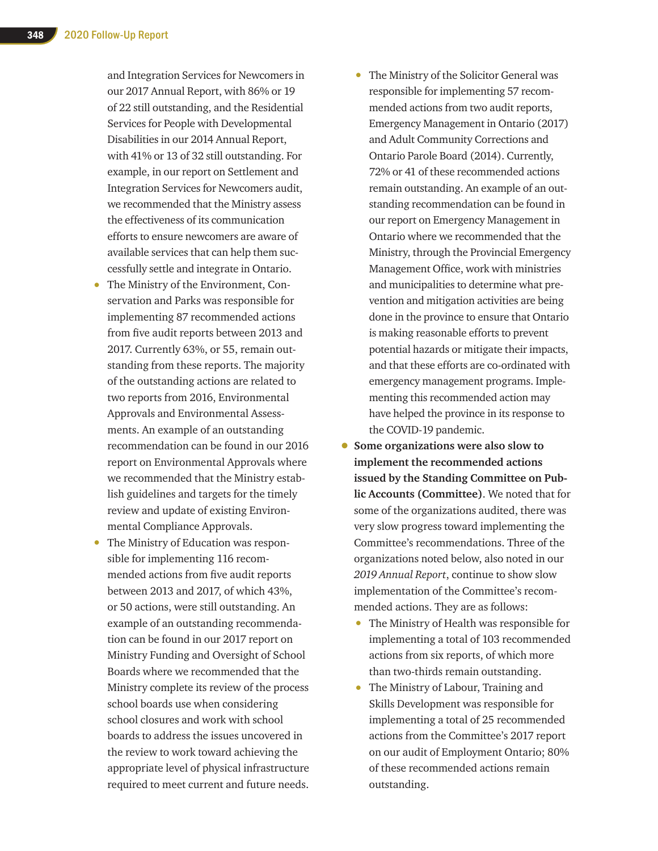and Integration Services for Newcomers in our 2017 Annual Report, with 86% or 19 of 22 still outstanding, and the Residential Services for People with Developmental Disabilities in our 2014 Annual Report, with 41% or 13 of 32 still outstanding. For example, in our report on Settlement and Integration Services for Newcomers audit, we recommended that the Ministry assess the effectiveness of its communication efforts to ensure newcomers are aware of available services that can help them successfully settle and integrate in Ontario.

- The Ministry of the Environment, Conservation and Parks was responsible for implementing 87 recommended actions from five audit reports between 2013 and 2017. Currently 63%, or 55, remain outstanding from these reports. The majority of the outstanding actions are related to two reports from 2016, Environmental Approvals and Environmental Assessments. An example of an outstanding recommendation can be found in our 2016 report on Environmental Approvals where we recommended that the Ministry establish guidelines and targets for the timely review and update of existing Environmental Compliance Approvals.
- The Ministry of Education was responsible for implementing 116 recommended actions from five audit reports between 2013 and 2017, of which 43%, or 50 actions, were still outstanding. An example of an outstanding recommendation can be found in our 2017 report on Ministry Funding and Oversight of School Boards where we recommended that the Ministry complete its review of the process school boards use when considering school closures and work with school boards to address the issues uncovered in the review to work toward achieving the appropriate level of physical infrastructure required to meet current and future needs.
- The Ministry of the Solicitor General was responsible for implementing 57 recommended actions from two audit reports, Emergency Management in Ontario (2017) and Adult Community Corrections and Ontario Parole Board (2014). Currently, 72% or 41 of these recommended actions remain outstanding. An example of an outstanding recommendation can be found in our report on Emergency Management in Ontario where we recommended that the Ministry, through the Provincial Emergency Management Office, work with ministries and municipalities to determine what prevention and mitigation activities are being done in the province to ensure that Ontario is making reasonable efforts to prevent potential hazards or mitigate their impacts, and that these efforts are co-ordinated with emergency management programs. Implementing this recommended action may have helped the province in its response to the COVID-19 pandemic.
- **Some organizations were also slow to implement the recommended actions issued by the Standing Committee on Public Accounts (Committee)**. We noted that for some of the organizations audited, there was very slow progress toward implementing the Committee's recommendations. Three of the organizations noted below, also noted in our *2019 Annual Report*, continue to show slow implementation of the Committee's recommended actions. They are as follows:
	- The Ministry of Health was responsible for implementing a total of 103 recommended actions from six reports, of which more than two-thirds remain outstanding.
	- The Ministry of Labour, Training and Skills Development was responsible for implementing a total of 25 recommended actions from the Committee's 2017 report on our audit of Employment Ontario; 80% of these recommended actions remain outstanding.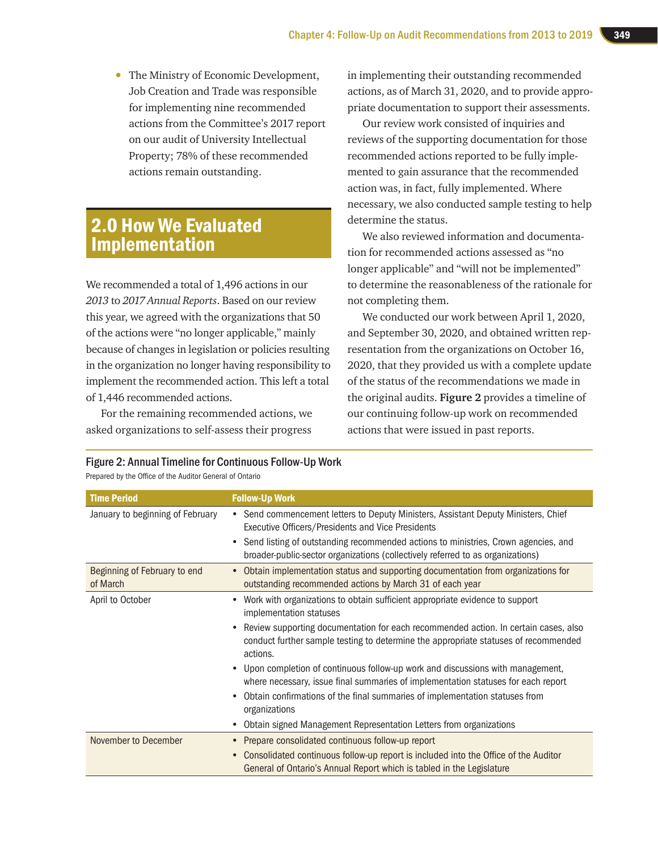• The Ministry of Economic Development, Job Creation and Trade was responsible for implementing nine recommended actions from the Committee's 2017 report on our audit of University Intellectual Property; 78% of these recommended actions remain outstanding.

# 2.0 How We Evaluated Implementation

We recommended a total of 1,496 actions in our *2013* to *2017 Annual Reports*. Based on our review this year, we agreed with the organizations that 50 of the actions were "no longer applicable," mainly because of changes in legislation or policies resulting in the organization no longer having responsibility to implement the recommended action. This left a total of 1,446 recommended actions.

For the remaining recommended actions, we asked organizations to self-assess their progress

in implementing their outstanding recommended actions, as of March 31, 2020, and to provide appropriate documentation to support their assessments.

Our review work consisted of inquiries and reviews of the supporting documentation for those recommended actions reported to be fully implemented to gain assurance that the recommended action was, in fact, fully implemented. Where necessary, we also conducted sample testing to help determine the status.

We also reviewed information and documentation for recommended actions assessed as "no longer applicable" and "will not be implemented" to determine the reasonableness of the rationale for not completing them.

We conducted our work between April 1, 2020, and September 30, 2020, and obtained written representation from the organizations on October 16, 2020, that they provided us with a complete update of the status of the recommendations we made in the original audits. **Figure 2** provides a timeline of our continuing follow-up work on recommended actions that were issued in past reports.

| <b>Time Period</b>                       | <b>Follow-Up Work</b>                                                                                                                                                                  |
|------------------------------------------|----------------------------------------------------------------------------------------------------------------------------------------------------------------------------------------|
| January to beginning of February         | Send commencement letters to Deputy Ministers, Assistant Deputy Ministers, Chief<br>$\bullet$<br>Executive Officers/Presidents and Vice Presidents                                     |
|                                          | Send listing of outstanding recommended actions to ministries, Crown agencies, and<br>broader-public-sector organizations (collectively referred to as organizations)                  |
| Beginning of February to end<br>of March | Obtain implementation status and supporting documentation from organizations for<br>$\bullet$<br>outstanding recommended actions by March 31 of each year                              |
| April to October                         | Work with organizations to obtain sufficient appropriate evidence to support<br>implementation statuses                                                                                |
|                                          | Review supporting documentation for each recommended action. In certain cases, also<br>conduct further sample testing to determine the appropriate statuses of recommended<br>actions. |
|                                          | Upon completion of continuous follow-up work and discussions with management,<br>where necessary, issue final summaries of implementation statuses for each report                     |
|                                          | Obtain confirmations of the final summaries of implementation statuses from<br>organizations                                                                                           |
|                                          | Obtain signed Management Representation Letters from organizations                                                                                                                     |
| November to December                     | Prepare consolidated continuous follow-up report                                                                                                                                       |
|                                          | Consolidated continuous follow-up report is included into the Office of the Auditor<br>General of Ontario's Annual Report which is tabled in the Legislature                           |

Figure 2: Annual Timeline for Continuous Follow-Up Work

Prepared by the Office of the Auditor General of Ontario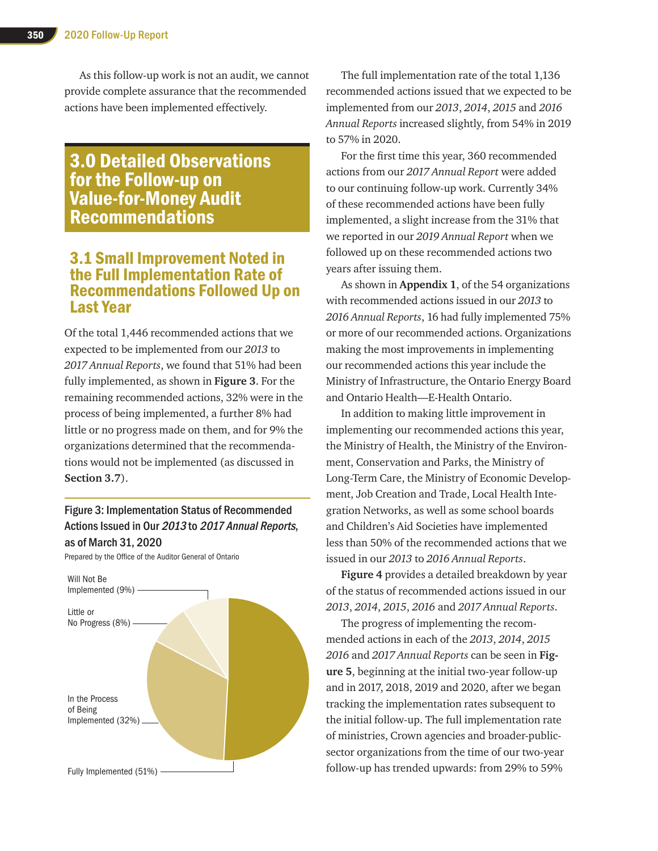As this follow-up work is not an audit, we cannot provide complete assurance that the recommended actions have been implemented effectively.

# 3.0 Detailed Observations for the Follow-up on Value-for-Money Audit Recommendations

## 3.1 Small Improvement Noted in the Full Implementation Rate of Recommendations Followed Up on Last Year

Of the total 1,446 recommended actions that we expected to be implemented from our *2013* to *2017 Annual Reports*, we found that 51% had been fully implemented, as shown in **Figure 3**. For the remaining recommended actions, 32% were in the process of being implemented, a further 8% had little or no progress made on them, and for 9% the organizations determined that the recommendations would not be implemented (as discussed in **Section 3.7**).

#### Figure 3: Implementation Status of Recommended Actions Issued in Our 2013 to 2017 Annual Reports, as of March 31, 2020

Prepared by the Office of the Auditor General of Ontario



The full implementation rate of the total 1,136 recommended actions issued that we expected to be implemented from our *2013*, *2014*, *2015* and *2016 Annual Reports* increased slightly, from 54% in 2019 to 57% in 2020.

For the first time this year, 360 recommended actions from our *2017 Annual Report* were added to our continuing follow-up work. Currently 34% of these recommended actions have been fully implemented, a slight increase from the 31% that we reported in our *2019 Annual Report* when we followed up on these recommended actions two years after issuing them.

As shown in **Appendix 1**, of the 54 organizations with recommended actions issued in our *2013* to *2016 Annual Reports*, 16 had fully implemented 75% or more of our recommended actions. Organizations making the most improvements in implementing our recommended actions this year include the Ministry of Infrastructure, the Ontario Energy Board and Ontario Health—E-Health Ontario.

In addition to making little improvement in implementing our recommended actions this year, the Ministry of Health, the Ministry of the Environment, Conservation and Parks, the Ministry of Long-Term Care, the Ministry of Economic Development, Job Creation and Trade, Local Health Integration Networks, as well as some school boards and Children's Aid Societies have implemented less than 50% of the recommended actions that we issued in our *2013* to *2016 Annual Reports*.

**Figure 4** provides a detailed breakdown by year of the status of recommended actions issued in our *2013*, *2014*, *2015*, *2016* and *2017 Annual Reports*.

The progress of implementing the recommended actions in each of the *2013*, *2014*, *2015 2016* and *2017 Annual Reports* can be seen in **Figure 5**, beginning at the initial two-year follow-up and in 2017, 2018, 2019 and 2020, after we began tracking the implementation rates subsequent to the initial follow-up. The full implementation rate of ministries, Crown agencies and broader-publicsector organizations from the time of our two-year follow-up has trended upwards: from 29% to 59%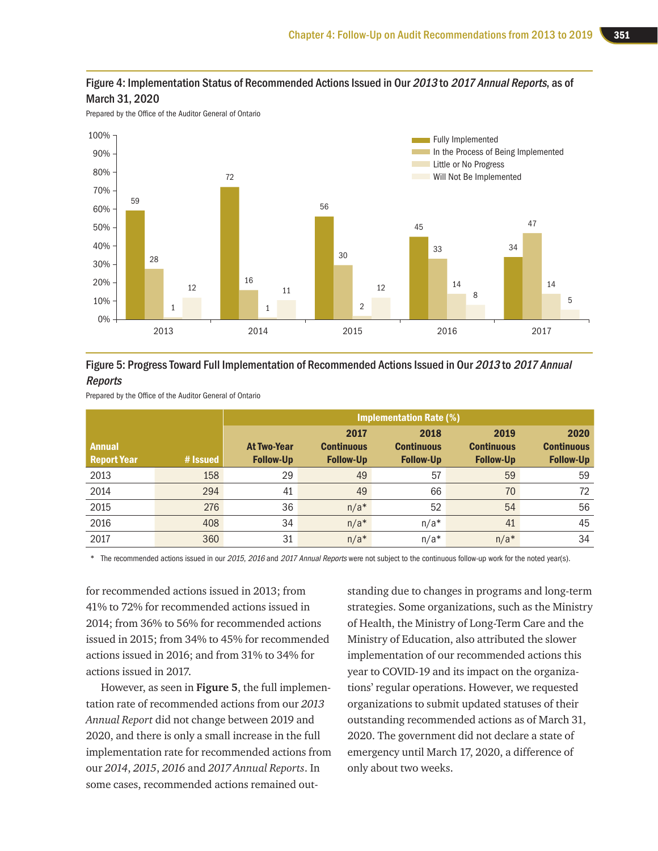

Prepared by the Office of the Auditor General of Ontario



#### Figure 5: Progress Toward Full Implementation of Recommended Actions Issued in Our 2013 to 2017 Annual Reports

Prepared by the Office of the Auditor General of Ontario

|                                     |          | <b>Implementation Rate (%)</b>         |                                               |                                               |                                               |                                               |
|-------------------------------------|----------|----------------------------------------|-----------------------------------------------|-----------------------------------------------|-----------------------------------------------|-----------------------------------------------|
| <b>Annual</b><br><b>Report Year</b> | # Issued | <b>At Two-Year</b><br><b>Follow-Up</b> | 2017<br><b>Continuous</b><br><b>Follow-Up</b> | 2018<br><b>Continuous</b><br><b>Follow-Up</b> | 2019<br><b>Continuous</b><br><b>Follow-Up</b> | 2020<br><b>Continuous</b><br><b>Follow-Up</b> |
| 2013                                | 158      | 29                                     | 49                                            | 57                                            | 59                                            | 59                                            |
| 2014                                | 294      | 41                                     | 49                                            | 66                                            | 70                                            | 72                                            |
| 2015                                | 276      | 36                                     | $n/a*$                                        | 52                                            | 54                                            | 56                                            |
| 2016                                | 408      | 34                                     | $n/a*$                                        | $n/a*$                                        | 41                                            | 45                                            |
| 2017                                | 360      | 31                                     | $n/a*$                                        | $n/a*$                                        | $n/a*$                                        | 34                                            |

\* The recommended actions issued in our 2015, 2016 and 2017 Annual Reports were not subject to the continuous follow-up work for the noted year(s).

for recommended actions issued in 2013; from 41% to 72% for recommended actions issued in 2014; from 36% to 56% for recommended actions issued in 2015; from 34% to 45% for recommended actions issued in 2016; and from 31% to 34% for actions issued in 2017.

However, as seen in **Figure 5**, the full implementation rate of recommended actions from our *2013 Annual Report* did not change between 2019 and 2020, and there is only a small increase in the full implementation rate for recommended actions from our *2014*, *2015*, *2016* and *2017 Annual Reports*. In some cases, recommended actions remained outstanding due to changes in programs and long-term strategies. Some organizations, such as the Ministry of Health, the Ministry of Long-Term Care and the Ministry of Education, also attributed the slower implementation of our recommended actions this year to COVID-19 and its impact on the organizations' regular operations. However, we requested organizations to submit updated statuses of their outstanding recommended actions as of March 31, 2020. The government did not declare a state of emergency until March 17, 2020, a difference of only about two weeks.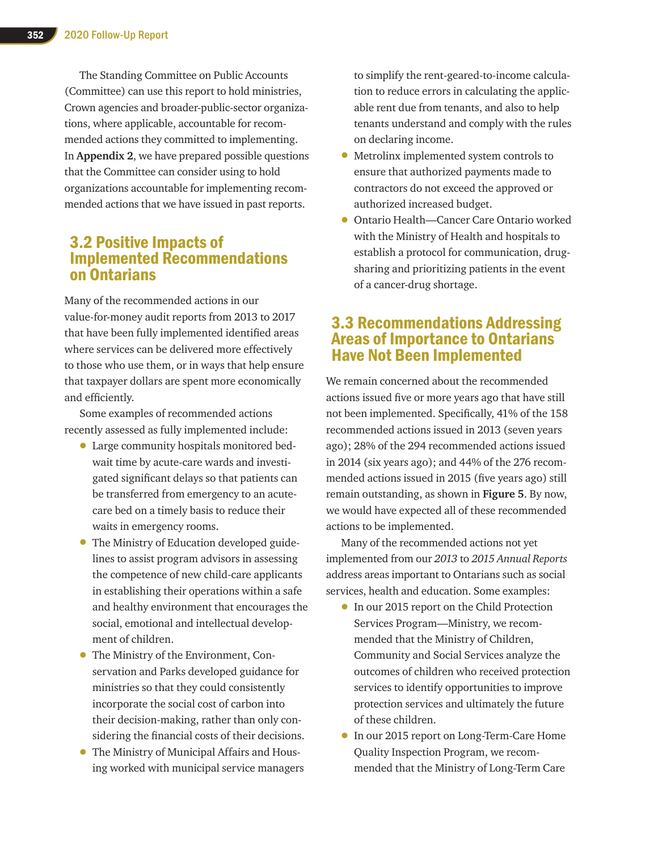The Standing Committee on Public Accounts (Committee) can use this report to hold ministries, Crown agencies and broader-public-sector organizations, where applicable, accountable for recommended actions they committed to implementing. In **Appendix 2**, we have prepared possible questions that the Committee can consider using to hold organizations accountable for implementing recommended actions that we have issued in past reports.

## 3.2 Positive Impacts of Implemented Recommendations on Ontarians

Many of the recommended actions in our value-for-money audit reports from 2013 to 2017 that have been fully implemented identified areas where services can be delivered more effectively to those who use them, or in ways that help ensure that taxpayer dollars are spent more economically and efficiently.

Some examples of recommended actions recently assessed as fully implemented include:

- Large community hospitals monitored bedwait time by acute-care wards and investigated significant delays so that patients can be transferred from emergency to an acutecare bed on a timely basis to reduce their waits in emergency rooms.
- The Ministry of Education developed guidelines to assist program advisors in assessing the competence of new child-care applicants in establishing their operations within a safe and healthy environment that encourages the social, emotional and intellectual development of children.
- The Ministry of the Environment, Conservation and Parks developed guidance for ministries so that they could consistently incorporate the social cost of carbon into their decision-making, rather than only considering the financial costs of their decisions.
- The Ministry of Municipal Affairs and Housing worked with municipal service managers

to simplify the rent-geared-to-income calculation to reduce errors in calculating the applicable rent due from tenants, and also to help tenants understand and comply with the rules on declaring income.

- Metrolinx implemented system controls to ensure that authorized payments made to contractors do not exceed the approved or authorized increased budget.
- Ontario Health—Cancer Care Ontario worked with the Ministry of Health and hospitals to establish a protocol for communication, drugsharing and prioritizing patients in the event of a cancer-drug shortage.

## 3.3 Recommendations Addressing Areas of Importance to Ontarians Have Not Been Implemented

We remain concerned about the recommended actions issued five or more years ago that have still not been implemented. Specifically, 41% of the 158 recommended actions issued in 2013 (seven years ago); 28% of the 294 recommended actions issued in 2014 (six years ago); and 44% of the 276 recommended actions issued in 2015 (five years ago) still remain outstanding, as shown in **Figure 5**. By now, we would have expected all of these recommended actions to be implemented.

Many of the recommended actions not yet implemented from our *2013* to *2015 Annual Reports* address areas important to Ontarians such as social services, health and education. Some examples:

- In our 2015 report on the Child Protection Services Program—Ministry, we recommended that the Ministry of Children, Community and Social Services analyze the outcomes of children who received protection services to identify opportunities to improve protection services and ultimately the future of these children.
- In our 2015 report on Long-Term-Care Home Quality Inspection Program, we recommended that the Ministry of Long-Term Care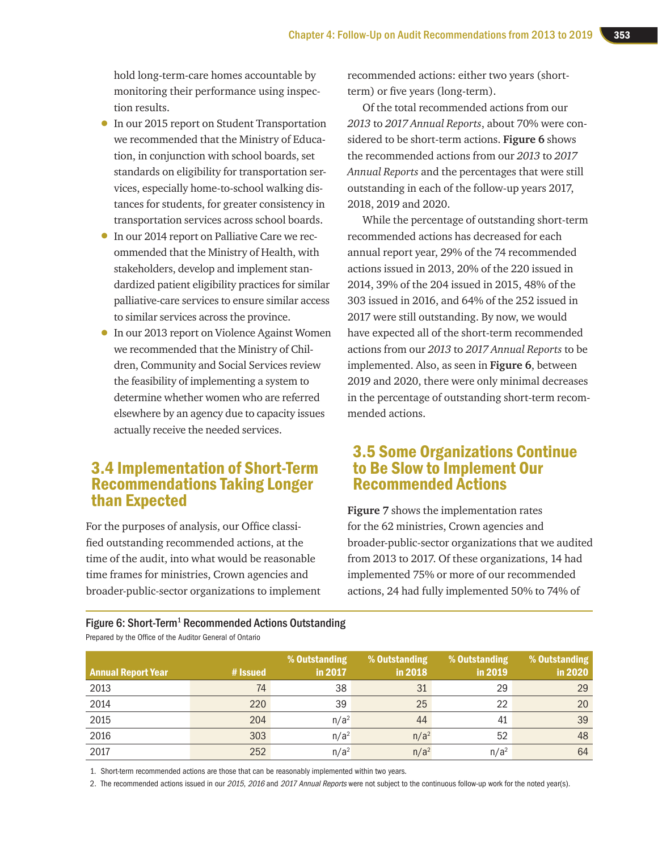hold long-term-care homes accountable by monitoring their performance using inspection results.

- In our 2015 report on Student Transportation we recommended that the Ministry of Education, in conjunction with school boards, set standards on eligibility for transportation services, especially home-to-school walking distances for students, for greater consistency in transportation services across school boards.
- In our 2014 report on Palliative Care we recommended that the Ministry of Health, with stakeholders, develop and implement standardized patient eligibility practices for similar palliative-care services to ensure similar access to similar services across the province.
- In our 2013 report on Violence Against Women we recommended that the Ministry of Children, Community and Social Services review the feasibility of implementing a system to determine whether women who are referred elsewhere by an agency due to capacity issues actually receive the needed services.

## 3.4 Implementation of Short-Term Recommendations Taking Longer than Expected

For the purposes of analysis, our Office classified outstanding recommended actions, at the time of the audit, into what would be reasonable time frames for ministries, Crown agencies and broader-public-sector organizations to implement recommended actions: either two years (shortterm) or five years (long-term).

Of the total recommended actions from our *2013* to *2017 Annual Reports*, about 70% were considered to be short-term actions. **Figure 6** shows the recommended actions from our *2013* to *2017 Annual Reports* and the percentages that were still outstanding in each of the follow-up years 2017, 2018, 2019 and 2020.

While the percentage of outstanding short-term recommended actions has decreased for each annual report year, 29% of the 74 recommended actions issued in 2013, 20% of the 220 issued in 2014, 39% of the 204 issued in 2015, 48% of the 303 issued in 2016, and 64% of the 252 issued in 2017 were still outstanding. By now, we would have expected all of the short-term recommended actions from our *2013* to *2017 Annual Reports* to be implemented. Also, as seen in **Figure 6**, between 2019 and 2020, there were only minimal decreases in the percentage of outstanding short-term recommended actions.

## 3.5 Some Organizations Continue to Be Slow to Implement Our Recommended Actions

**Figure 7** shows the implementation rates for the 62 ministries, Crown agencies and broader-public-sector organizations that we audited from 2013 to 2017. Of these organizations, 14 had implemented 75% or more of our recommended actions, 24 had fully implemented 50% to 74% of

Figure 6: Short-Term<sup>1</sup> Recommended Actions Outstanding

| Prepared by the Office of the Auditor General of Ontario |
|----------------------------------------------------------|
|----------------------------------------------------------|

| <b>Annual Report Year</b> | # Issued | % Outstanding<br>in 2017 | % Outstanding<br>in 2018 | % Outstanding<br>in 2019 | % Outstanding<br>in 2020 |
|---------------------------|----------|--------------------------|--------------------------|--------------------------|--------------------------|
| 2013                      | 74       | 38                       | 31                       | 29                       | 29                       |
| 2014                      | 220      | 39                       | 25                       | 22                       | 20                       |
| 2015                      | 204      | n/a <sup>2</sup>         | 44                       | 41                       | 39                       |
| 2016                      | 303      | n/a <sup>2</sup>         | n/a <sup>2</sup>         | 52                       | 48                       |
| 2017                      | 252      | n/a <sup>2</sup>         | $n/a^2$                  | n/a <sup>2</sup>         | 64                       |

1. Short-term recommended actions are those that can be reasonably implemented within two years.

2. The recommended actions issued in our 2015, 2016 and 2017 Annual Reports were not subject to the continuous follow-up work for the noted year(s).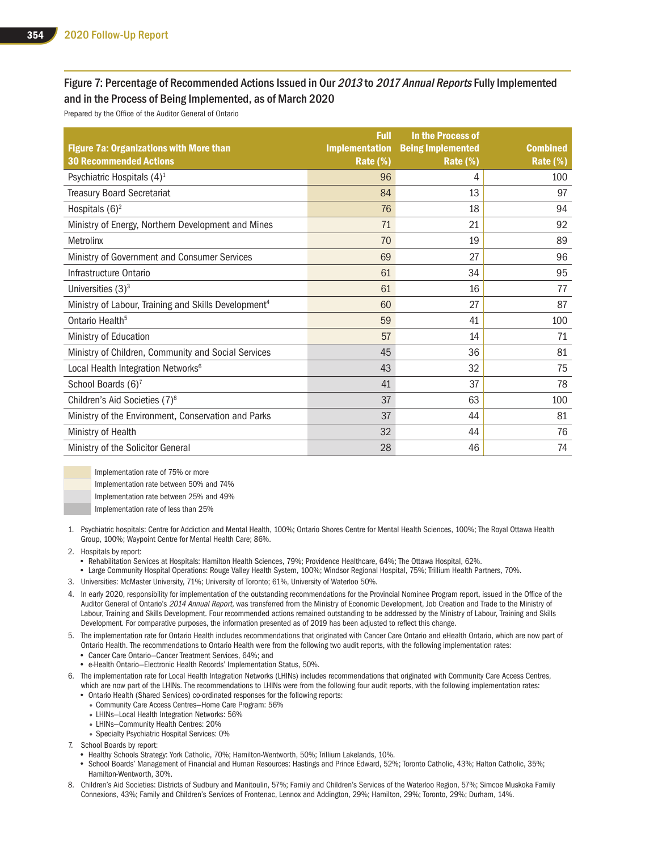#### Figure 7: Percentage of Recommended Actions Issued in Our 2013 to 2017 Annual Reports Fully Implemented and in the Process of Being Implemented, as of March 2020

Prepared by the Office of the Auditor General of Ontario

| <b>Figure 7a: Organizations with More than</b><br><b>30 Recommended Actions</b> | <b>Full</b><br><b>Implementation</b> | In the Process of<br><b>Being Implemented</b> | <b>Combined</b>        |
|---------------------------------------------------------------------------------|--------------------------------------|-----------------------------------------------|------------------------|
| Psychiatric Hospitals $(4)^1$                                                   | Rate (%)<br>96                       | Rate (%)<br>4                                 | <b>Rate (%)</b><br>100 |
| <b>Treasury Board Secretariat</b>                                               | 84                                   | 13                                            | 97                     |
| Hospitals $(6)^2$                                                               | 76                                   | 18                                            | 94                     |
| Ministry of Energy, Northern Development and Mines                              | 71                                   | 21                                            | 92                     |
| Metrolinx                                                                       | 70                                   | 19                                            | 89                     |
| Ministry of Government and Consumer Services                                    | 69                                   | 27                                            | 96                     |
| Infrastructure Ontario                                                          | 61                                   | 34                                            | 95                     |
| Universities $(3)^3$                                                            | 61                                   | 16                                            | 77                     |
| Ministry of Labour, Training and Skills Development <sup>4</sup>                | 60                                   | 27                                            | 87                     |
| Ontario Health <sup>5</sup>                                                     | 59                                   | 41                                            | 100                    |
| Ministry of Education                                                           | 57                                   | 14                                            | 71                     |
| Ministry of Children, Community and Social Services                             | 45                                   | 36                                            | 81                     |
| Local Health Integration Networks <sup>6</sup>                                  | 43                                   | 32                                            | 75                     |
| School Boards (6) <sup>7</sup>                                                  | 41                                   | 37                                            | 78                     |
| Children's Aid Societies (7) <sup>8</sup>                                       | 37                                   | 63                                            | 100                    |
| Ministry of the Environment, Conservation and Parks                             | 37                                   | 44                                            | 81                     |
| Ministry of Health                                                              | 32                                   | 44                                            | 76                     |
| Ministry of the Solicitor General                                               | 28                                   | 46                                            | 74                     |

Implementation rate of 75% or more Implementation rate between 50% and 74% Implementation rate between 25% and 49%

Implementation rate of less than 25%

- 1. Psychiatric hospitals: Centre for Addiction and Mental Health, 100%; Ontario Shores Centre for Mental Health Sciences, 100%; The Royal Ottawa Health Group, 100%; Waypoint Centre for Mental Health Care; 86%.
- 2. Hospitals by report:
	- Rehabilitation Services at Hospitals: Hamilton Health Sciences, 79%; Providence Healthcare, 64%; The Ottawa Hospital, 62%.
	- Large Community Hospital Operations: Rouge Valley Health System, 100%; Windsor Regional Hospital, 75%; Trillium Health Partners, 70%.
- 3. Universities: McMaster University, 71%; University of Toronto; 61%, University of Waterloo 50%.
- 4. In early 2020, responsibility for implementation of the outstanding recommendations for the Provincial Nominee Program report, issued in the Office of the Auditor General of Ontario's 2014 Annual Report, was transferred from the Ministry of Economic Development, Job Creation and Trade to the Ministry of Labour, Training and Skills Development. Four recommended actions remained outstanding to be addressed by the Ministry of Labour, Training and Skills Development. For comparative purposes, the information presented as of 2019 has been adjusted to reflect this change.
- 5. The implementation rate for Ontario Health includes recommendations that originated with Cancer Care Ontario and eHealth Ontario, which are now part of Ontario Health. The recommendations to Ontario Health were from the following two audit reports, with the following implementation rates: • Cancer Care Ontario—Cancer Treatment Services, 64%; and
	- e-Health Ontario—Electronic Health Records' Implementation Status, 50%.
- 6. The implementation rate for Local Health Integration Networks (LHINs) includes recommendations that originated with Community Care Access Centres, which are now part of the LHINs. The recommendations to LHINs were from the following four audit reports, with the following implementation rates:
	- Ontario Health (Shared Services) co-ordinated responses for the following reports:
		- Community Care Access Centres—Home Care Program: 56%
		- LHINs—Local Health Integration Networks: 56%
		- LHINs—Community Health Centres: 20%
		- Specialty Psychiatric Hospital Services: 0%
- 7. School Boards by report:
	- Healthy Schools Strategy: York Catholic, 70%; Hamilton-Wentworth, 50%; Trillium Lakelands, 10%.
	- School Boards' Management of Financial and Human Resources: Hastings and Prince Edward, 52%; Toronto Catholic, 43%; Halton Catholic, 35%; Hamilton-Wentworth, 30%.
- 8. Children's Aid Societies: Districts of Sudbury and Manitoulin, 57%; Family and Children's Services of the Waterloo Region, 57%; Simcoe Muskoka Family Connexions, 43%; Family and Children's Services of Frontenac, Lennox and Addington, 29%; Hamilton, 29%; Toronto, 29%; Durham, 14%.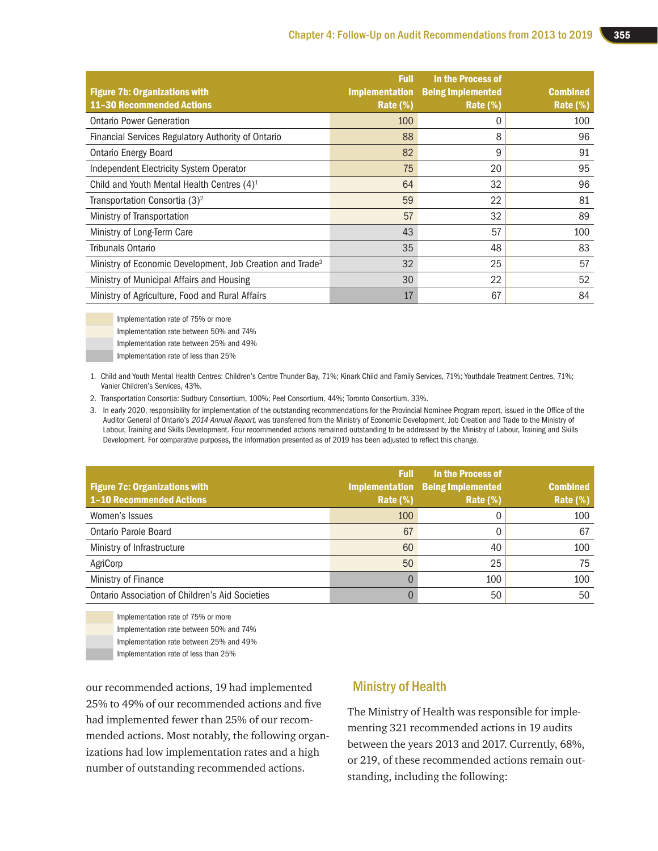| <b>Figure 7b: Organizations with</b><br><b>11-30 Recommended Actions</b> | <b>Full</b><br><b>Implementation</b><br>Rate $(\%)$ | In the Process of<br><b>Being Implemented</b><br>Rate $(\%)$ | <b>Combined</b><br>Rate (%) |
|--------------------------------------------------------------------------|-----------------------------------------------------|--------------------------------------------------------------|-----------------------------|
| <b>Ontario Power Generation</b>                                          | 100                                                 | 0                                                            | 100                         |
| Financial Services Regulatory Authority of Ontario                       | 88                                                  | 8                                                            | 96                          |
| <b>Ontario Energy Board</b>                                              | 82                                                  | 9                                                            | 91                          |
| Independent Electricity System Operator                                  | 75                                                  | 20                                                           | 95                          |
| Child and Youth Mental Health Centres $(4)^1$                            | 64                                                  | 32                                                           | 96                          |
| Transportation Consortia (3) <sup>2</sup>                                | 59                                                  | 22                                                           | 81                          |
| Ministry of Transportation                                               | 57                                                  | 32                                                           | 89                          |
| Ministry of Long-Term Care                                               | 43                                                  | 57                                                           | 100                         |
| Tribunals Ontario                                                        | 35                                                  | 48                                                           | 83                          |
| Ministry of Economic Development, Job Creation and Trade <sup>3</sup>    | 32                                                  | 25                                                           | 57                          |
| Ministry of Municipal Affairs and Housing                                | 30                                                  | 22                                                           | 52                          |
| Ministry of Agriculture, Food and Rural Affairs                          | 17                                                  | 67                                                           | 84                          |

Implementation rate of 75% or more

Implementation rate between 50% and 74%

Implementation rate between 25% and 49%

Implementation rate of less than 25%

1. Child and Youth Mental Health Centres: Children's Centre Thunder Bay, 71%; Kinark Child and Family Services, 71%; Youthdale Treatment Centres, 71%; Vanier Children's Services, 43%.

2. Transportation Consortia: Sudbury Consortium, 100%; Peel Consortium, 44%; Toronto Consortium, 33%.

3. In early 2020, responsibility for implementation of the outstanding recommendations for the Provincial Nominee Program report, issued in the Office of the Auditor General of Ontario's 2014 Annual Report, was transferred from the Ministry of Economic Development, Job Creation and Trade to the Ministry of Labour, Training and Skills Development. Four recommended actions remained outstanding to be addressed by the Ministry of Labour, Training and Skills Development. For comparative purposes, the information presented as of 2019 has been adjusted to reflect this change.

| <b>Figure 7c: Organizations with</b><br><b>1-10 Recommended Actions</b> | <b>Full</b><br>Rate $(\%)$ | In the Process of<br><b>Implementation Being Implemented</b><br><b>Rate (%)</b> | <b>Combined</b><br>Rate (%) |
|-------------------------------------------------------------------------|----------------------------|---------------------------------------------------------------------------------|-----------------------------|
| Women's Issues                                                          | 100                        |                                                                                 | 100                         |
| <b>Ontario Parole Board</b>                                             | 67                         |                                                                                 | 67                          |
| Ministry of Infrastructure                                              | 60                         | 40                                                                              | 100                         |
| AgriCorp                                                                | 50                         | 25                                                                              | 75                          |
| Ministry of Finance                                                     |                            | 100                                                                             | 100                         |
| <b>Ontario Association of Children's Aid Societies</b>                  |                            | 50                                                                              | 50                          |

Implementation rate of 75% or more

Implementation rate between 50% and 74%

Implementation rate between 25% and 49%

Implementation rate of less than 25%

our recommended actions, 19 had implemented 25% to 49% of our recommended actions and five had implemented fewer than 25% of our recommended actions. Most notably, the following organizations had low implementation rates and a high number of outstanding recommended actions.

#### Ministry of Health

The Ministry of Health was responsible for implementing 321 recommended actions in 19 audits between the years 2013 and 2017. Currently, 68%, or 219, of these recommended actions remain outstanding, including the following: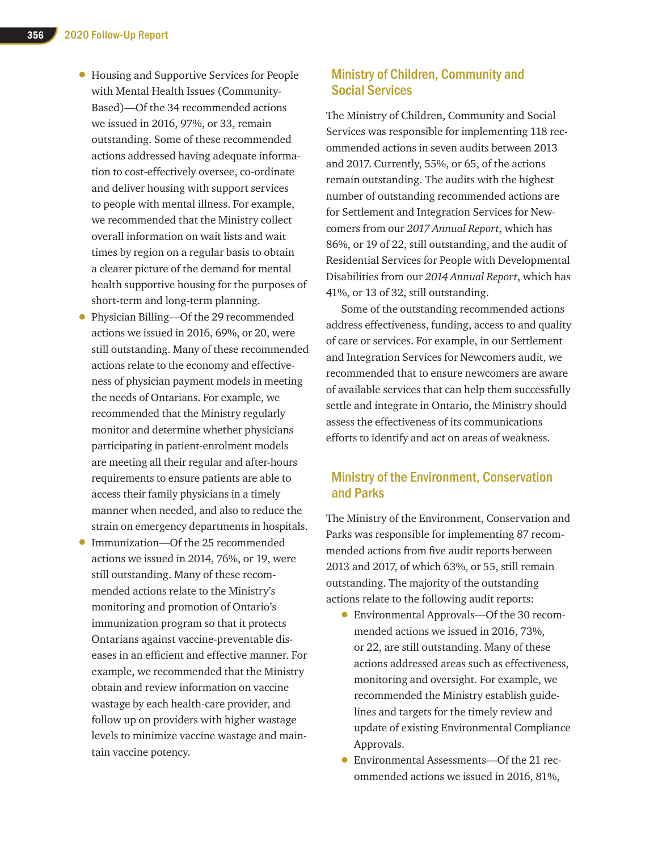- Housing and Supportive Services for People with Mental Health Issues (Community-Based)—Of the 34 recommended actions we issued in 2016, 97%, or 33, remain outstanding. Some of these recommended actions addressed having adequate information to cost-effectively oversee, co-ordinate and deliver housing with support services to people with mental illness. For example, we recommended that the Ministry collect overall information on wait lists and wait times by region on a regular basis to obtain a clearer picture of the demand for mental health supportive housing for the purposes of short-term and long-term planning.
- Physician Billing—Of the 29 recommended actions we issued in 2016, 69%, or 20, were still outstanding. Many of these recommended actions relate to the economy and effectiveness of physician payment models in meeting the needs of Ontarians. For example, we recommended that the Ministry regularly monitor and determine whether physicians participating in patient-enrolment models are meeting all their regular and after-hours requirements to ensure patients are able to access their family physicians in a timely manner when needed, and also to reduce the strain on emergency departments in hospitals.
- Immunization—Of the 25 recommended actions we issued in 2014, 76%, or 19, were still outstanding. Many of these recommended actions relate to the Ministry's monitoring and promotion of Ontario's immunization program so that it protects Ontarians against vaccine-preventable diseases in an efficient and effective manner. For example, we recommended that the Ministry obtain and review information on vaccine wastage by each health-care provider, and follow up on providers with higher wastage levels to minimize vaccine wastage and maintain vaccine potency.

#### Ministry of Children, Community and Social Services

The Ministry of Children, Community and Social Services was responsible for implementing 118 recommended actions in seven audits between 2013 and 2017. Currently, 55%, or 65, of the actions remain outstanding. The audits with the highest number of outstanding recommended actions are for Settlement and Integration Services for Newcomers from our *2017 Annual Report*, which has 86%, or 19 of 22, still outstanding, and the audit of Residential Services for People with Developmental Disabilities from our *2014 Annual Report*, which has 41%, or 13 of 32, still outstanding.

Some of the outstanding recommended actions address effectiveness, funding, access to and quality of care or services. For example, in our Settlement and Integration Services for Newcomers audit, we recommended that to ensure newcomers are aware of available services that can help them successfully settle and integrate in Ontario, the Ministry should assess the effectiveness of its communications efforts to identify and act on areas of weakness.

#### Ministry of the Environment, Conservation and Parks

The Ministry of the Environment, Conservation and Parks was responsible for implementing 87 recommended actions from five audit reports between 2013 and 2017, of which 63%, or 55, still remain outstanding. The majority of the outstanding actions relate to the following audit reports:

- Environmental Approvals—Of the 30 recommended actions we issued in 2016, 73%, or 22, are still outstanding. Many of these actions addressed areas such as effectiveness, monitoring and oversight. For example, we recommended the Ministry establish guidelines and targets for the timely review and update of existing Environmental Compliance Approvals.
- Environmental Assessments—Of the 21 recommended actions we issued in 2016, 81%,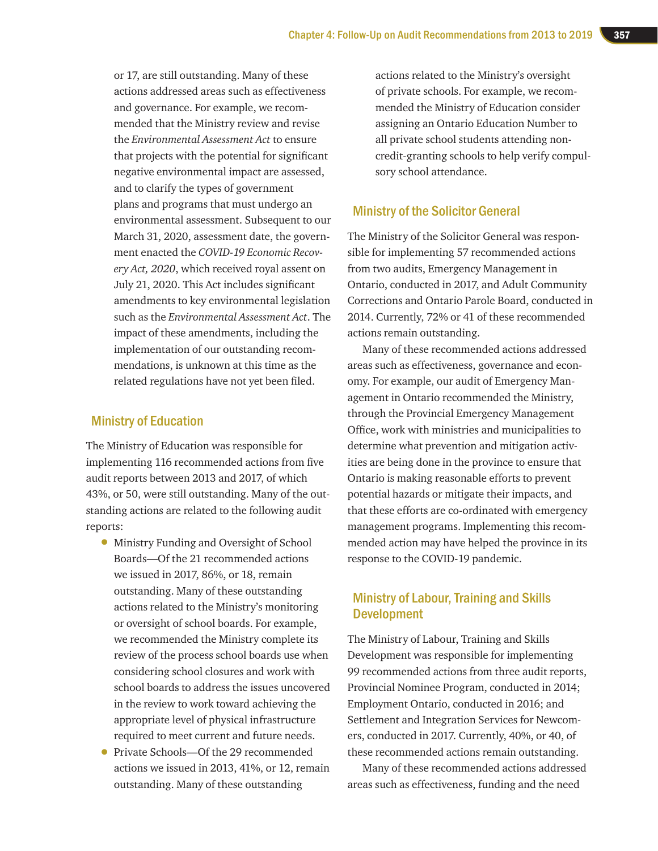or 17, are still outstanding. Many of these actions addressed areas such as effectiveness and governance. For example, we recommended that the Ministry review and revise the *Environmental Assessment Act* to ensure that projects with the potential for significant negative environmental impact are assessed, and to clarify the types of government plans and programs that must undergo an environmental assessment. Subsequent to our March 31, 2020, assessment date, the government enacted the *COVID-19 Economic Recovery Act, 2020*, which received royal assent on July 21, 2020. This Act includes significant amendments to key environmental legislation such as the *Environmental Assessment Act*. The impact of these amendments, including the implementation of our outstanding recommendations, is unknown at this time as the related regulations have not yet been filed.

#### Ministry of Education

The Ministry of Education was responsible for implementing 116 recommended actions from five audit reports between 2013 and 2017, of which 43%, or 50, were still outstanding. Many of the outstanding actions are related to the following audit reports:

- Ministry Funding and Oversight of School Boards—Of the 21 recommended actions we issued in 2017, 86%, or 18, remain outstanding. Many of these outstanding actions related to the Ministry's monitoring or oversight of school boards. For example, we recommended the Ministry complete its review of the process school boards use when considering school closures and work with school boards to address the issues uncovered in the review to work toward achieving the appropriate level of physical infrastructure required to meet current and future needs.
- Private Schools—Of the 29 recommended actions we issued in 2013, 41%, or 12, remain outstanding. Many of these outstanding

actions related to the Ministry's oversight of private schools. For example, we recommended the Ministry of Education consider assigning an Ontario Education Number to all private school students attending noncredit‑granting schools to help verify compulsory school attendance.

#### Ministry of the Solicitor General

The Ministry of the Solicitor General was responsible for implementing 57 recommended actions from two audits, Emergency Management in Ontario, conducted in 2017, and Adult Community Corrections and Ontario Parole Board, conducted in 2014. Currently, 72% or 41 of these recommended actions remain outstanding.

Many of these recommended actions addressed areas such as effectiveness, governance and economy. For example, our audit of Emergency Management in Ontario recommended the Ministry, through the Provincial Emergency Management Office, work with ministries and municipalities to determine what prevention and mitigation activities are being done in the province to ensure that Ontario is making reasonable efforts to prevent potential hazards or mitigate their impacts, and that these efforts are co-ordinated with emergency management programs. Implementing this recommended action may have helped the province in its response to the COVID-19 pandemic.

#### Ministry of Labour, Training and Skills Development

The Ministry of Labour, Training and Skills Development was responsible for implementing 99 recommended actions from three audit reports, Provincial Nominee Program, conducted in 2014; Employment Ontario, conducted in 2016; and Settlement and Integration Services for Newcomers, conducted in 2017. Currently, 40%, or 40, of these recommended actions remain outstanding.

Many of these recommended actions addressed areas such as effectiveness, funding and the need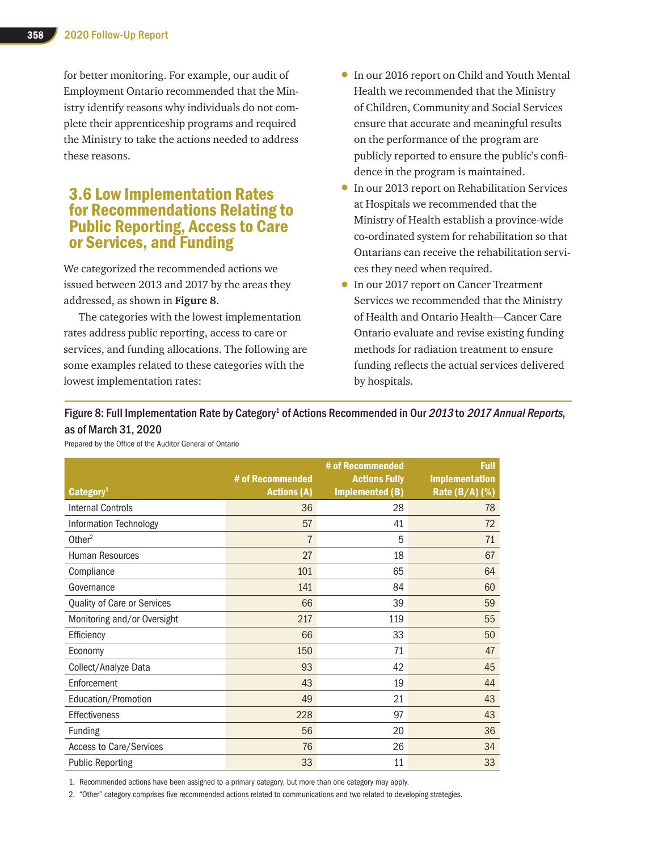for better monitoring. For example, our audit of Employment Ontario recommended that the Ministry identify reasons why individuals do not complete their apprenticeship programs and required the Ministry to take the actions needed to address these reasons.

## 3.6 Low Implementation Rates for Recommendations Relating to Public Reporting, Access to Care or Services, and Funding

We categorized the recommended actions we issued between 2013 and 2017 by the areas they addressed, as shown in **Figure 8**.

The categories with the lowest implementation rates address public reporting, access to care or services, and funding allocations. The following are some examples related to these categories with the lowest implementation rates:

- In our 2016 report on Child and Youth Mental Health we recommended that the Ministry of Children, Community and Social Services ensure that accurate and meaningful results on the performance of the program are publicly reported to ensure the public's confidence in the program is maintained.
- In our 2013 report on Rehabilitation Services at Hospitals we recommended that the Ministry of Health establish a province-wide co-ordinated system for rehabilitation so that Ontarians can receive the rehabilitation services they need when required.
- In our 2017 report on Cancer Treatment Services we recommended that the Ministry of Health and Ontario Health—Cancer Care Ontario evaluate and revise existing funding methods for radiation treatment to ensure funding reflects the actual services delivered by hospitals.

#### Figure 8: Full Implementation Rate by Category<sup>1</sup> of Actions Recommended in Our 2013 to 2017 Annual Reports, as of March 31, 2020

Prepared by the Office of the Auditor General of Ontario

| Categorical                 | # of Recommended<br><b>Actions (A)</b> | # of Recommended<br><b>Actions Fully</b><br><b>Implemented (B)</b> | Full<br><b>Implementation</b><br>Rate (B/A) (%) |
|-----------------------------|----------------------------------------|--------------------------------------------------------------------|-------------------------------------------------|
| <b>Internal Controls</b>    | 36                                     | 28                                                                 | 78                                              |
| Information Technology      | 57                                     | 41                                                                 | 72                                              |
| Other <sup>2</sup>          | $\overline{7}$                         | 5                                                                  | 71                                              |
| <b>Human Resources</b>      | 27                                     | 18                                                                 | 67                                              |
| Compliance                  | 101                                    | 65                                                                 | 64                                              |
| Governance                  | 141                                    | 84                                                                 | 60                                              |
| Quality of Care or Services | 66                                     | 39                                                                 | 59                                              |
| Monitoring and/or Oversight | 217                                    | 119                                                                | 55                                              |
| Efficiency                  | 66                                     | 33                                                                 | 50                                              |
| Economy                     | 150                                    | 71                                                                 | 47                                              |
| Collect/Analyze Data        | 93                                     | 42                                                                 | 45                                              |
| Enforcement                 | 43                                     | 19                                                                 | 44                                              |
| Education/Promotion         | 49                                     | 21                                                                 | 43                                              |
| Effectiveness               | 228                                    | 97                                                                 | 43                                              |
| <b>Funding</b>              | 56                                     | 20                                                                 | 36                                              |
| Access to Care/Services     | 76                                     | 26                                                                 | 34                                              |
| <b>Public Reporting</b>     | 33                                     | 11                                                                 | 33                                              |

1. Recommended actions have been assigned to a primary category, but more than one category may apply.

2. "Other" category comprises five recommended actions related to communications and two related to developing strategies.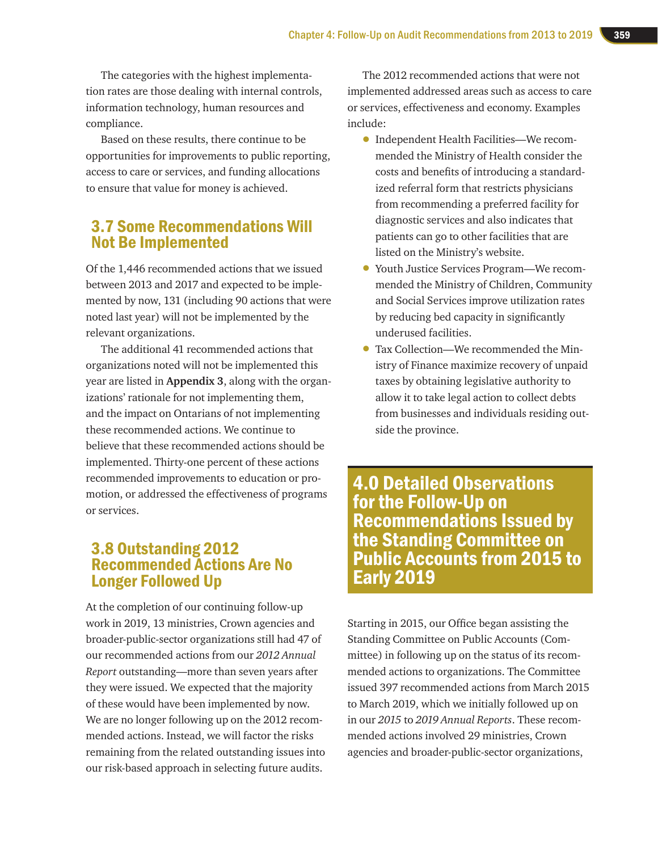The categories with the highest implementation rates are those dealing with internal controls, information technology, human resources and compliance.

Based on these results, there continue to be opportunities for improvements to public reporting, access to care or services, and funding allocations to ensure that value for money is achieved.

## 3.7 Some Recommendations Will Not Be Implemented

Of the 1,446 recommended actions that we issued between 2013 and 2017 and expected to be implemented by now, 131 (including 90 actions that were noted last year) will not be implemented by the relevant organizations.

The additional 41 recommended actions that organizations noted will not be implemented this year are listed in **Appendix 3**, along with the organizations' rationale for not implementing them, and the impact on Ontarians of not implementing these recommended actions. We continue to believe that these recommended actions should be implemented. Thirty-one percent of these actions recommended improvements to education or promotion, or addressed the effectiveness of programs or services.

## 3.8 Outstanding 2012 Recommended Actions Are No Longer Followed Up

At the completion of our continuing follow-up work in 2019, 13 ministries, Crown agencies and broader-public-sector organizations still had 47 of our recommended actions from our *2012 Annual Report* outstanding—more than seven years after they were issued. We expected that the majority of these would have been implemented by now. We are no longer following up on the 2012 recommended actions. Instead, we will factor the risks remaining from the related outstanding issues into our risk-based approach in selecting future audits.

The 2012 recommended actions that were not implemented addressed areas such as access to care or services, effectiveness and economy. Examples include:

- Independent Health Facilities—We recommended the Ministry of Health consider the costs and benefits of introducing a standardized referral form that restricts physicians from recommending a preferred facility for diagnostic services and also indicates that patients can go to other facilities that are listed on the Ministry's website.
- Youth Justice Services Program—We recommended the Ministry of Children, Community and Social Services improve utilization rates by reducing bed capacity in significantly underused facilities.
- Tax Collection—We recommended the Ministry of Finance maximize recovery of unpaid taxes by obtaining legislative authority to allow it to take legal action to collect debts from businesses and individuals residing outside the province.

4.0 Detailed Observations for the Follow-Up on Recommendations Issued by the Standing Committee on Public Accounts from 2015 to Early 2019

Starting in 2015, our Office began assisting the Standing Committee on Public Accounts (Committee) in following up on the status of its recommended actions to organizations. The Committee issued 397 recommended actions from March 2015 to March 2019, which we initially followed up on in our *2015* to *2019 Annual Reports*. These recommended actions involved 29 ministries, Crown agencies and broader-public-sector organizations,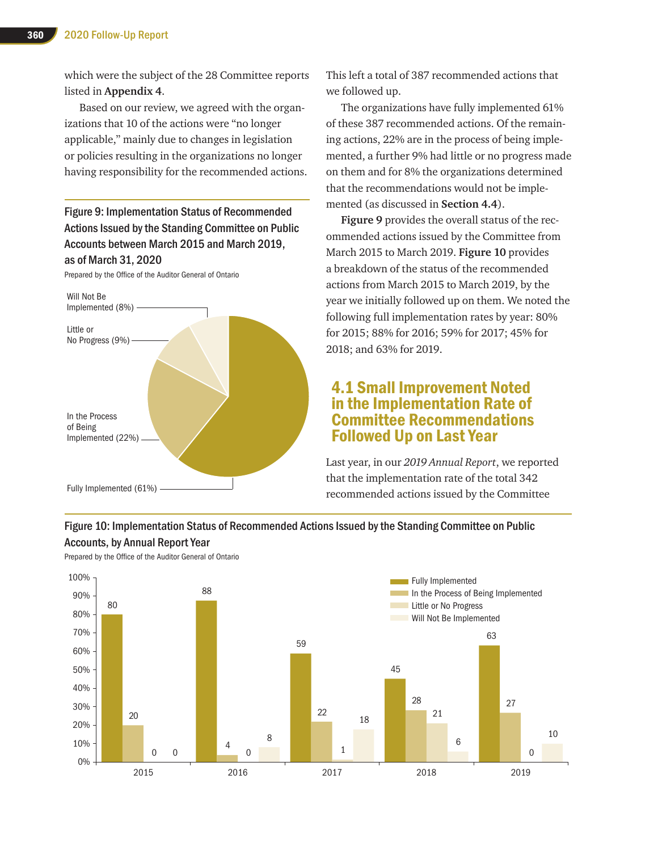which were the subject of the 28 Committee reports listed in **Appendix 4**.

Based on our review, we agreed with the organizations that 10 of the actions were "no longer applicable," mainly due to changes in legislation or policies resulting in the organizations no longer having responsibility for the recommended actions.

Figure 9: Implementation Status of Recommended Actions Issued by the Standing Committee on Public Accounts between March 2015 and March 2019, as of March 31, 2020

Prepared by the Office of the Auditor General of Ontario



This left a total of 387 recommended actions that we followed up.

The organizations have fully implemented 61% of these 387 recommended actions. Of the remaining actions, 22% are in the process of being implemented, a further 9% had little or no progress made on them and for 8% the organizations determined that the recommendations would not be implemented (as discussed in **Section 4.4**).

**Figure 9** provides the overall status of the recommended actions issued by the Committee from March 2015 to March 2019. **Figure 10** provides a breakdown of the status of the recommended actions from March 2015 to March 2019, by the year we initially followed up on them. We noted the following full implementation rates by year: 80% for 2015; 88% for 2016; 59% for 2017; 45% for 2018; and 63% for 2019.

## 4.1 Small Improvement Noted in the Implementation Rate of Committee Recommendations Followed Up on Last Year

Last year, in our *2019 Annual Report*, we reported that the implementation rate of the total 342 recommended actions issued by the Committee

#### Figure 10: Implementation Status of Recommended Actions Issued by the Standing Committee on Public Accounts, by Annual Report Year



Prepared by the Office of the Auditor General of Ontario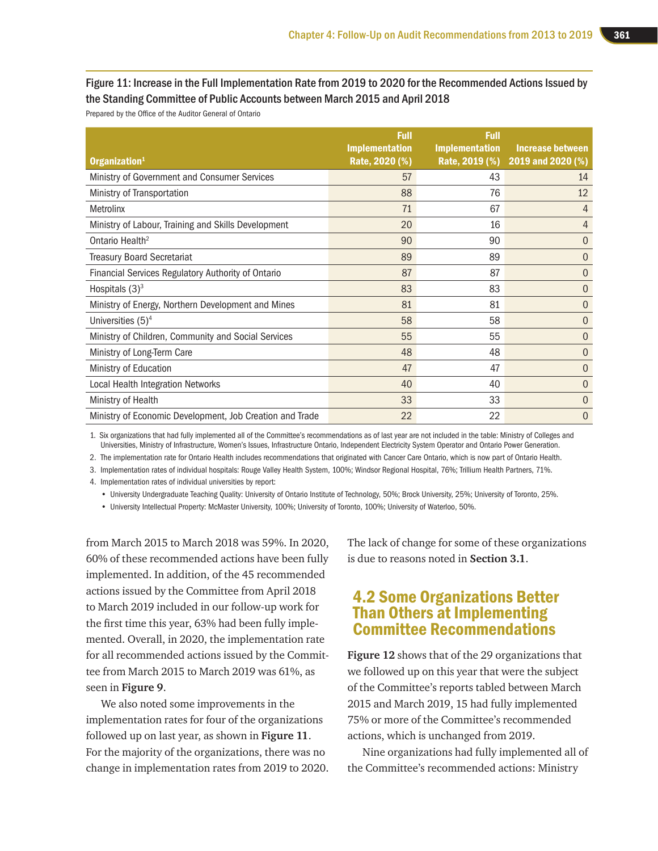#### Figure 11: Increase in the Full Implementation Rate from 2019 to 2020 for the Recommended Actions Issued by the Standing Committee of Public Accounts between March 2015 and April 2018

Prepared by the Office of the Auditor General of Ontario

|                                                          | <b>Full</b>                             | <b>Full</b>           |                                                             |
|----------------------------------------------------------|-----------------------------------------|-----------------------|-------------------------------------------------------------|
| Organization <sup>1</sup>                                | <b>Implementation</b><br>Rate, 2020 (%) | <b>Implementation</b> | <b>Increase between</b><br>Rate, 2019 (%) 2019 and 2020 (%) |
| Ministry of Government and Consumer Services             | 57                                      | 43                    | 14                                                          |
| Ministry of Transportation                               | 88                                      | 76                    | 12                                                          |
| Metrolinx                                                | 71                                      | 67                    | 4                                                           |
| Ministry of Labour, Training and Skills Development      | 20                                      | 16                    | 4                                                           |
| Ontario Health <sup>2</sup>                              | 90                                      | 90                    | $\Omega$                                                    |
| <b>Treasury Board Secretariat</b>                        | 89                                      | 89                    | $\Omega$                                                    |
| Financial Services Regulatory Authority of Ontario       | 87                                      | 87                    | $\Omega$                                                    |
| Hospitals $(3)^3$                                        | 83                                      | 83                    | $\Omega$                                                    |
| Ministry of Energy, Northern Development and Mines       | 81                                      | 81                    | $\Omega$                                                    |
| Universities $(5)^4$                                     | 58                                      | 58                    | $\Omega$                                                    |
| Ministry of Children, Community and Social Services      | 55                                      | 55                    | $\Omega$                                                    |
| Ministry of Long-Term Care                               | 48                                      | 48                    | $\Omega$                                                    |
| Ministry of Education                                    | 47                                      | 47                    | $\Omega$                                                    |
| Local Health Integration Networks                        | 40                                      | 40                    | $\Omega$                                                    |
| Ministry of Health                                       | 33                                      | 33                    | 0                                                           |
| Ministry of Economic Development, Job Creation and Trade | 22                                      | 22                    | 0                                                           |

1. Six organizations that had fully implemented all of the Committee's recommendations as of last year are not included in the table: Ministry of Colleges and Universities, Ministry of Infrastructure, Women's Issues, Infrastructure Ontario, Independent Electricity System Operator and Ontario Power Generation.

2. The implementation rate for Ontario Health includes recommendations that originated with Cancer Care Ontario, which is now part of Ontario Health.

3. Implementation rates of individual hospitals: Rouge Valley Health System, 100%; Windsor Regional Hospital, 76%; Trillium Health Partners, 71%.

4. Implementation rates of individual universities by report:

• University Undergraduate Teaching Quality: University of Ontario Institute of Technology, 50%; Brock University, 25%; University of Toronto, 25%.

• University Intellectual Property: McMaster University, 100%; University of Toronto, 100%; University of Waterloo, 50%.

from March 2015 to March 2018 was 59%. In 2020, 60% of these recommended actions have been fully implemented. In addition, of the 45 recommended actions issued by the Committee from April 2018 to March 2019 included in our follow-up work for the first time this year, 63% had been fully implemented. Overall, in 2020, the implementation rate for all recommended actions issued by the Committee from March 2015 to March 2019 was 61%, as seen in **Figure 9**.

We also noted some improvements in the implementation rates for four of the organizations followed up on last year, as shown in **Figure 11**. For the majority of the organizations, there was no change in implementation rates from 2019 to 2020. The lack of change for some of these organizations is due to reasons noted in **Section 3.1**.

## 4.2 Some Organizations Better Than Others at Implementing Committee Recommendations

**Figure 12** shows that of the 29 organizations that we followed up on this year that were the subject of the Committee's reports tabled between March 2015 and March 2019, 15 had fully implemented 75% or more of the Committee's recommended actions, which is unchanged from 2019.

Nine organizations had fully implemented all of the Committee's recommended actions: Ministry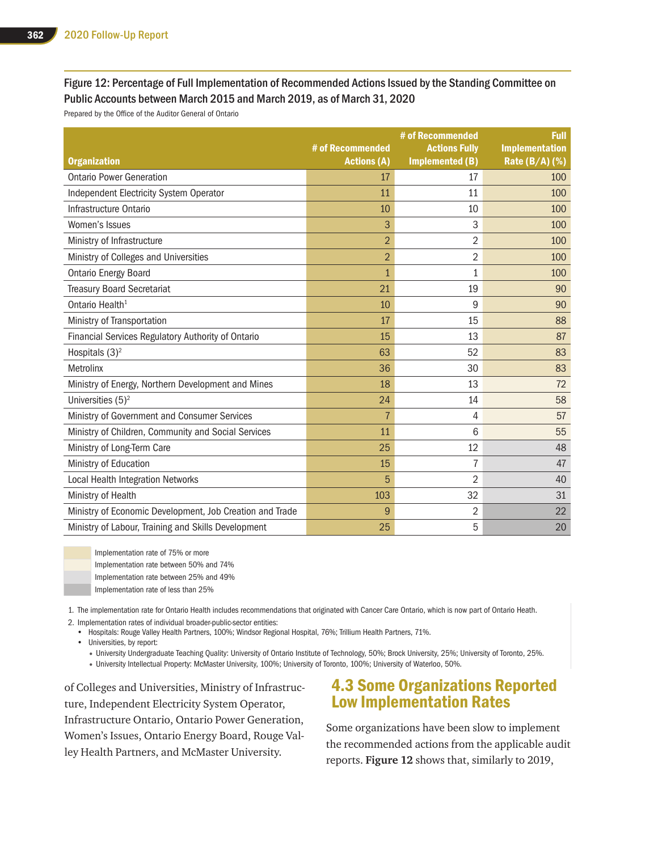#### Figure 12: Percentage of Full Implementation of Recommended Actions Issued by the Standing Committee on Public Accounts between March 2015 and March 2019, as of March 31, 2020

Prepared by the Office of the Auditor General of Ontario

| <b>Organization</b>                                      | # of Recommended<br><b>Actions (A)</b> | # of Recommended<br><b>Actions Fully</b><br>Implemented (B) | <b>Full</b><br>Implementation<br>Rate (B/A) (%) |
|----------------------------------------------------------|----------------------------------------|-------------------------------------------------------------|-------------------------------------------------|
| <b>Ontario Power Generation</b>                          | 17                                     | 17                                                          | 100                                             |
| Independent Electricity System Operator                  | 11                                     | 11                                                          | 100                                             |
| Infrastructure Ontario                                   | 10                                     | 10                                                          | 100                                             |
| Women's Issues                                           | 3                                      | 3                                                           | 100                                             |
| Ministry of Infrastructure                               | $\overline{2}$                         | $\overline{2}$                                              | 100                                             |
| Ministry of Colleges and Universities                    | $\overline{2}$                         | 2                                                           | 100                                             |
| <b>Ontario Energy Board</b>                              | $\overline{1}$                         | $\mathbf{1}$                                                | 100                                             |
| <b>Treasury Board Secretariat</b>                        | 21                                     | 19                                                          | 90                                              |
| Ontario Health <sup>1</sup>                              | 10                                     | 9                                                           | 90                                              |
| Ministry of Transportation                               | 17                                     | 15                                                          | 88                                              |
| Financial Services Regulatory Authority of Ontario       | 15                                     | 13                                                          | 87                                              |
| Hospitals $(3)^2$                                        | 63                                     | 52                                                          | 83                                              |
| Metrolinx                                                | 36                                     | 30                                                          | 83                                              |
| Ministry of Energy, Northern Development and Mines       | 18                                     | 13                                                          | 72                                              |
| Universities $(5)^2$                                     | 24                                     | 14                                                          | 58                                              |
| Ministry of Government and Consumer Services             | $\overline{7}$                         | 4                                                           | 57                                              |
| Ministry of Children, Community and Social Services      | 11                                     | 6                                                           | 55                                              |
| Ministry of Long-Term Care                               | 25                                     | 12                                                          | 48                                              |
| Ministry of Education                                    | 15                                     | 7                                                           | 47                                              |
| Local Health Integration Networks                        | 5                                      | $\overline{2}$                                              | 40                                              |
| Ministry of Health                                       | 103                                    | 32                                                          | 31                                              |
| Ministry of Economic Development, Job Creation and Trade | 9                                      | $\overline{2}$                                              | 22                                              |
| Ministry of Labour, Training and Skills Development      | 25                                     | 5                                                           | 20                                              |



Implementation rate of 75% or more Implementation rate between 50% and 74% Implementation rate between 25% and 49% Implementation rate of less than 25%

1. The implementation rate for Ontario Health includes recommendations that originated with Cancer Care Ontario, which is now part of Ontario Heath. 2. Implementation rates of individual broader-public-sector entities:

• Hospitals: Rouge Valley Health Partners, 100%; Windsor Regional Hospital, 76%; Trillium Health Partners, 71%.

• Universities, by report:

• University Undergraduate Teaching Quality: University of Ontario Institute of Technology, 50%; Brock University, 25%; University of Toronto, 25%.

• University Intellectual Property: McMaster University, 100%; University of Toronto, 100%; University of Waterloo, 50%.

of Colleges and Universities, Ministry of Infrastructure, Independent Electricity System Operator, Infrastructure Ontario, Ontario Power Generation, Women's Issues, Ontario Energy Board, Rouge Valley Health Partners, and McMaster University.

## 4.3 Some Organizations Reported Low Implementation Rates

Some organizations have been slow to implement the recommended actions from the applicable audit reports. **Figure 12** shows that, similarly to 2019,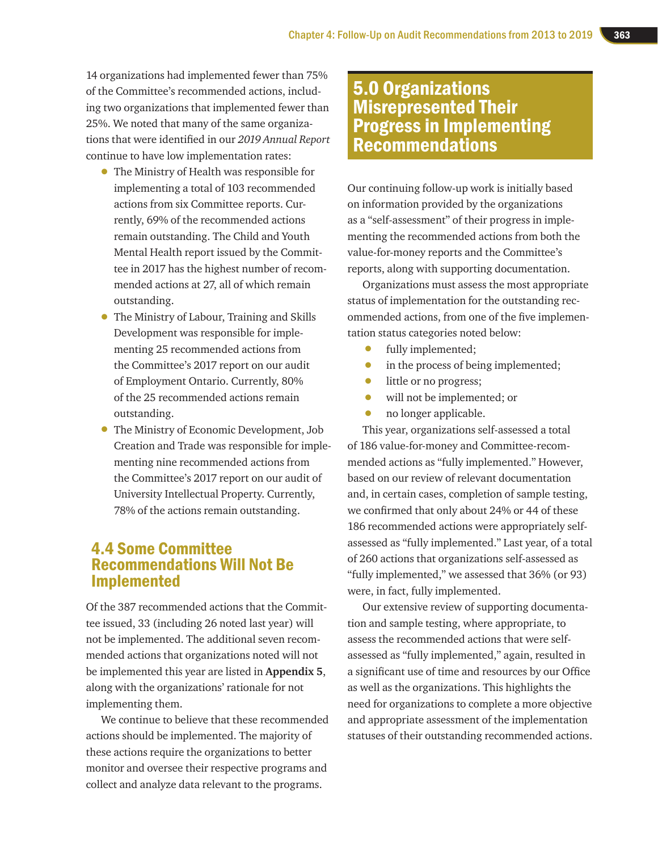14 organizations had implemented fewer than 75% of the Committee's recommended actions, including two organizations that implemented fewer than 25%. We noted that many of the same organizations that were identified in our *2019 Annual Report* continue to have low implementation rates:

- The Ministry of Health was responsible for implementing a total of 103 recommended actions from six Committee reports. Currently, 69% of the recommended actions remain outstanding. The Child and Youth Mental Health report issued by the Committee in 2017 has the highest number of recommended actions at 27, all of which remain outstanding.
- The Ministry of Labour, Training and Skills Development was responsible for implementing 25 recommended actions from the Committee's 2017 report on our audit of Employment Ontario. Currently, 80% of the 25 recommended actions remain outstanding.
- The Ministry of Economic Development, Job Creation and Trade was responsible for implementing nine recommended actions from the Committee's 2017 report on our audit of University Intellectual Property. Currently, 78% of the actions remain outstanding.

## 4.4 Some Committee Recommendations Will Not Be Implemented

Of the 387 recommended actions that the Committee issued, 33 (including 26 noted last year) will not be implemented. The additional seven recommended actions that organizations noted will not be implemented this year are listed in **Appendix 5**, along with the organizations' rationale for not implementing them.

We continue to believe that these recommended actions should be implemented. The majority of these actions require the organizations to better monitor and oversee their respective programs and collect and analyze data relevant to the programs.

# 5.0 Organizations Misrepresented Their Progress in Implementing Recommendations

Our continuing follow-up work is initially based on information provided by the organizations as a "self-assessment" of their progress in implementing the recommended actions from both the value-for-money reports and the Committee's reports, along with supporting documentation.

Organizations must assess the most appropriate status of implementation for the outstanding recommended actions, from one of the five implementation status categories noted below:

- fully implemented;<br>• in the process of be
- in the process of being implemented;<br>• little or no progress:
- little or no progress;<br>• will not be implement
- will not be implemented; or<br>• no longer applicable.
- no longer applicable.

This year, organizations self-assessed a total of 186 value-for-money and Committee-recommended actions as "fully implemented." However, based on our review of relevant documentation and, in certain cases, completion of sample testing, we confirmed that only about 24% or 44 of these 186 recommended actions were appropriately selfassessed as "fully implemented." Last year, of a total of 260 actions that organizations self-assessed as "fully implemented," we assessed that 36% (or 93) were, in fact, fully implemented.

Our extensive review of supporting documentation and sample testing, where appropriate, to assess the recommended actions that were selfassessed as "fully implemented," again, resulted in a significant use of time and resources by our Office as well as the organizations. This highlights the need for organizations to complete a more objective and appropriate assessment of the implementation statuses of their outstanding recommended actions.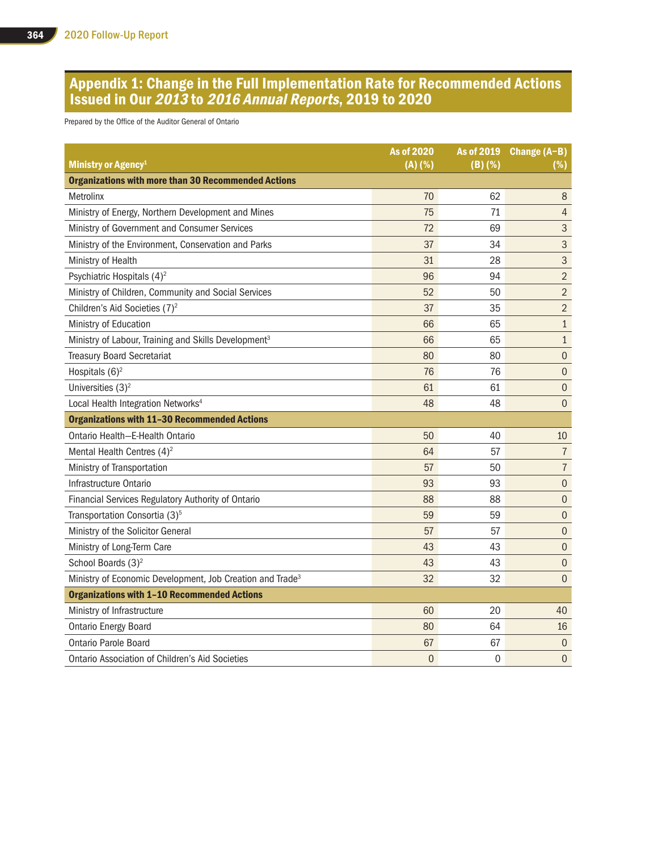## Appendix 1: Change in the Full Implementation Rate for Recommended Actions Issued in Our 2013 to 2016 Annual Reports, 2019 to 2020

Prepared by the Office of the Auditor General of Ontario

| Ministry or Agency <sup>1</sup>                                       | <b>As of 2020</b><br>(A) (%) | As of 2019<br>$(B)$ (%) | Change (A-B)<br>(%) |
|-----------------------------------------------------------------------|------------------------------|-------------------------|---------------------|
| <b>Organizations with more than 30 Recommended Actions</b>            |                              |                         |                     |
| Metrolinx                                                             | 70                           | 62                      | 8                   |
| Ministry of Energy, Northern Development and Mines                    | 75                           | 71                      | 4                   |
| Ministry of Government and Consumer Services                          | 72                           | 69                      | $\mathfrak{S}$      |
| Ministry of the Environment, Conservation and Parks                   | 37                           | 34                      | 3                   |
| Ministry of Health                                                    | 31                           | 28                      | 3                   |
| Psychiatric Hospitals (4) <sup>2</sup>                                | 96                           | 94                      | $\overline{2}$      |
| Ministry of Children, Community and Social Services                   | 52                           | 50                      | $\overline{2}$      |
| Children's Aid Societies (7) <sup>2</sup>                             | 37                           | 35                      | $\overline{2}$      |
| Ministry of Education                                                 | 66                           | 65                      | $\mathbf{1}$        |
| Ministry of Labour, Training and Skills Development <sup>3</sup>      | 66                           | 65                      | $\mathbf{1}$        |
| <b>Treasury Board Secretariat</b>                                     | 80                           | 80                      | $\boldsymbol{0}$    |
| Hospitals $(6)^2$                                                     | 76                           | 76                      | $\mathbf{0}$        |
| Universities $(3)^2$                                                  | 61                           | 61                      | $\boldsymbol{0}$    |
| Local Health Integration Networks <sup>4</sup>                        | 48                           | 48                      | $\mathbf{0}$        |
| <b>Organizations with 11-30 Recommended Actions</b>                   |                              |                         |                     |
| Ontario Health-E-Health Ontario                                       | 50                           | 40                      | 10                  |
| Mental Health Centres $(4)^2$                                         | 64                           | 57                      | $\overline{1}$      |
| Ministry of Transportation                                            | 57                           | 50                      | $\overline{7}$      |
| Infrastructure Ontario                                                | 93                           | 93                      | $\overline{0}$      |
| Financial Services Regulatory Authority of Ontario                    | 88                           | 88                      | $\boldsymbol{0}$    |
| Transportation Consortia (3) <sup>5</sup>                             | 59                           | 59                      | $\overline{0}$      |
| Ministry of the Solicitor General                                     | 57                           | 57                      | $\overline{0}$      |
| Ministry of Long-Term Care                                            | 43                           | 43                      | $\boldsymbol{0}$    |
| School Boards (3) <sup>2</sup>                                        | 43                           | 43                      | $\overline{0}$      |
| Ministry of Economic Development, Job Creation and Trade <sup>3</sup> | 32                           | 32                      | $\overline{0}$      |
| <b>Organizations with 1-10 Recommended Actions</b>                    |                              |                         |                     |
| Ministry of Infrastructure                                            | 60                           | 20                      | 40                  |
| <b>Ontario Energy Board</b>                                           | 80                           | 64                      | 16                  |
| <b>Ontario Parole Board</b>                                           | 67                           | 67                      | $\overline{0}$      |
| <b>Ontario Association of Children's Aid Societies</b>                | $\overline{0}$               | 0                       | $\mathbf{0}$        |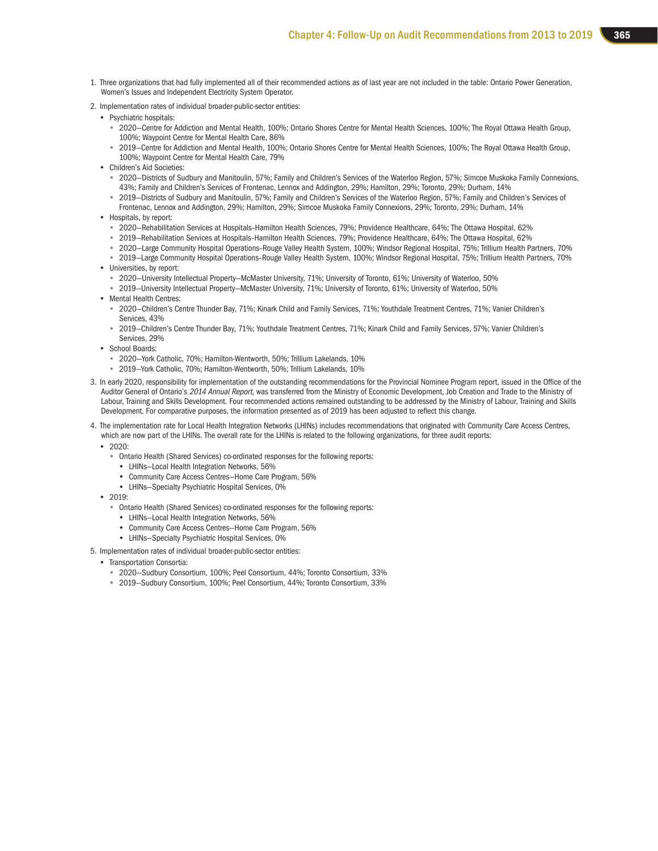- 1. Three organizations that had fully implemented all of their recommended actions as of last year are not included in the table: Ontario Power Generation, Women's Issues and Independent Electricity System Operator.
- 2. Implementation rates of individual broader-public-sector entities:
	- Psychiatric hospitals:
		- 2020—Centre for Addiction and Mental Health, 100%; Ontario Shores Centre for Mental Health Sciences, 100%; The Royal Ottawa Health Group, 100%; Waypoint Centre for Mental Health Care, 86%
		- 2019—Centre for Addiction and Mental Health, 100%; Ontario Shores Centre for Mental Health Sciences, 100%; The Royal Ottawa Health Group, 100%; Waypoint Centre for Mental Health Care, 79%
	- Children's Aid Societies:
		- 2020—Districts of Sudbury and Manitoulin, 57%; Family and Children's Services of the Waterloo Region, 57%; Simcoe Muskoka Family Connexions, 43%; Family and Children's Services of Frontenac, Lennox and Addington, 29%; Hamilton, 29%; Toronto, 29%; Durham, 14%
		- 2019—Districts of Sudbury and Manitoulin, 57%; Family and Children's Services of the Waterloo Region, 57%; Family and Children's Services of Frontenac, Lennox and Addington, 29%; Hamilton, 29%; Simcoe Muskoka Family Connexions, 29%; Toronto, 29%; Durham, 14%
	- Hospitals, by report:
		- 2020—Rehabilitation Services at Hospitals–Hamilton Health Sciences, 79%; Providence Healthcare, 64%; The Ottawa Hospital, 62%
		- 2019—Rehabilitation Services at Hospitals–Hamilton Health Sciences, 79%; Providence Healthcare, 64%; The Ottawa Hospital, 62%
		- 2020—Large Community Hospital Operations–Rouge Valley Health System, 100%; Windsor Regional Hospital, 75%; Trillium Health Partners, 70%
	- 2019—Large Community Hospital Operations–Rouge Valley Health System, 100%; Windsor Regional Hospital, 75%; Trillium Health Partners, 70% • Universities, by report:
		- 2020—University Intellectual Property—McMaster University, 71%; University of Toronto, 61%; University of Waterloo, 50%
	- 2019—University Intellectual Property—McMaster University, 71%; University of Toronto, 61%; University of Waterloo, 50%
	- Mental Health Centres:
		- 2020—Children's Centre Thunder Bay, 71%; Kinark Child and Family Services, 71%; Youthdale Treatment Centres, 71%; Vanier Children's Services, 43%
		- 2019—Children's Centre Thunder Bay, 71%; Youthdale Treatment Centres, 71%; Kinark Child and Family Services, 57%; Vanier Children's Services, 29%
	- School Boards:
		- 2020—York Catholic, 70%; Hamilton-Wentworth, 50%; Trillium Lakelands, 10%
		- 2019—York Catholic, 70%; Hamilton-Wentworth, 50%; Trillium Lakelands, 10%
- 3. In early 2020, responsibility for implementation of the outstanding recommendations for the Provincial Nominee Program report, issued in the Office of the Auditor General of Ontario's 2014 Annual Report, was transferred from the Ministry of Economic Development, Job Creation and Trade to the Ministry of Labour, Training and Skills Development. Four recommended actions remained outstanding to be addressed by the Ministry of Labour, Training and Skills Development. For comparative purposes, the information presented as of 2019 has been adjusted to reflect this change.
- 4. The implementation rate for Local Health Integration Networks (LHINs) includes recommendations that originated with Community Care Access Centres, which are now part of the LHINs. The overall rate for the LHINs is related to the following organizations, for three audit reports:
	- 2020:
		- Ontario Health (Shared Services) co-ordinated responses for the following reports:
			- LHINs—Local Health Integration Networks, 56%
			- Community Care Access Centres—Home Care Program, 56%
			- LHINs—Specialty Psychiatric Hospital Services, 0%
	- 2019:
		- Ontario Health (Shared Services) co-ordinated responses for the following reports:
		- LHINs—Local Health Integration Networks, 56%
		- Community Care Access Centres—Home Care Program, 56%
		- LHINs—Specialty Psychiatric Hospital Services, 0%
- 5. Implementation rates of individual broader-public-sector entities:
	- Transportation Consortia:
		- 2020—Sudbury Consortium, 100%; Peel Consortium, 44%; Toronto Consortium, 33%
		- 2019—Sudbury Consortium, 100%; Peel Consortium, 44%; Toronto Consortium, 33%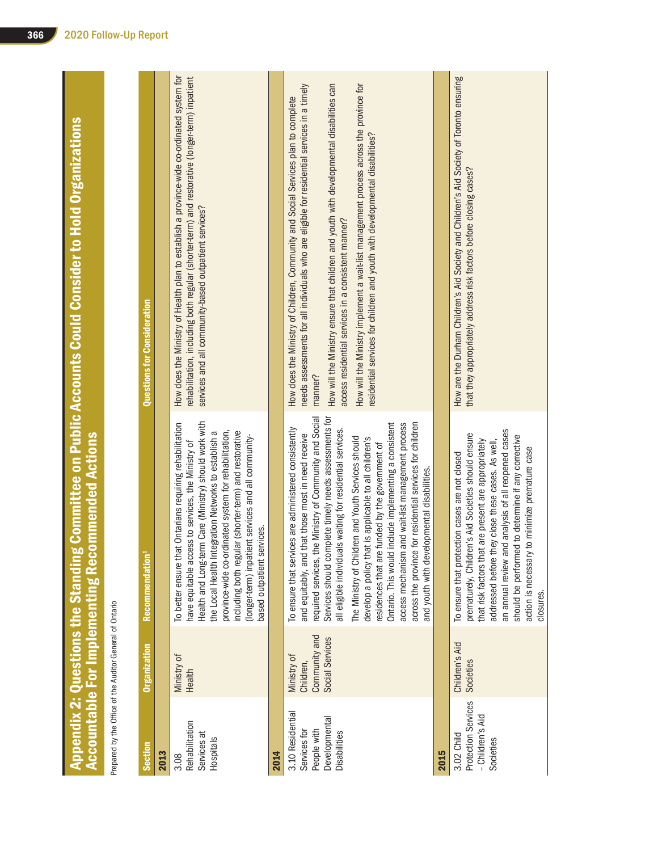|                                                                                  |                                                             | Accountable For Implementing Recommended Actions                                                                                                                                                                                                                                                                                                                                                                                                                                                                                                                                                                                                                                                | Appendix 2: Questions the Standing Committee on Public Accounts Could Consider to Hold Organizations                                                                                                                                                                                                                                                                                                                                                                                                                     |
|----------------------------------------------------------------------------------|-------------------------------------------------------------|-------------------------------------------------------------------------------------------------------------------------------------------------------------------------------------------------------------------------------------------------------------------------------------------------------------------------------------------------------------------------------------------------------------------------------------------------------------------------------------------------------------------------------------------------------------------------------------------------------------------------------------------------------------------------------------------------|--------------------------------------------------------------------------------------------------------------------------------------------------------------------------------------------------------------------------------------------------------------------------------------------------------------------------------------------------------------------------------------------------------------------------------------------------------------------------------------------------------------------------|
| Prepared by the Office of the Auditor General of Ontario                         |                                                             |                                                                                                                                                                                                                                                                                                                                                                                                                                                                                                                                                                                                                                                                                                 |                                                                                                                                                                                                                                                                                                                                                                                                                                                                                                                          |
| <b>Section</b>                                                                   | Organization                                                | Recommendation <sup>1</sup>                                                                                                                                                                                                                                                                                                                                                                                                                                                                                                                                                                                                                                                                     | Questions for Consideration                                                                                                                                                                                                                                                                                                                                                                                                                                                                                              |
| 2013                                                                             |                                                             |                                                                                                                                                                                                                                                                                                                                                                                                                                                                                                                                                                                                                                                                                                 |                                                                                                                                                                                                                                                                                                                                                                                                                                                                                                                          |
| Rehabilitation<br>Services at<br>Hospitals<br>3.08                               | Ministry of<br>Health                                       | Health and Long-term Care (Ministry) should work with<br>To better ensure that Ontarians requiring rehabilitation<br>province-wide co-ordinated system for rehabilitation,<br>including both regular (shorter-term) and restorative<br>the Local Health Integration Networks to establish a<br>(longer-term) inpatient services and all community-<br>have equitable access to services, the Ministry of<br>based outpatient services.                                                                                                                                                                                                                                                          | How does the Ministry of Health plan to establish a province-wide co-ordinated system for<br>rehabilitation, including both regular (shorter-term) and restorative (longer-term) inpatient<br>services and all community-based outpatient services?                                                                                                                                                                                                                                                                      |
| 2014                                                                             |                                                             |                                                                                                                                                                                                                                                                                                                                                                                                                                                                                                                                                                                                                                                                                                 |                                                                                                                                                                                                                                                                                                                                                                                                                                                                                                                          |
| 3.10 Residential<br>Developmental<br>People with<br>Services for<br>Disabilities | Community and<br>Social Services<br>Ministry of<br>Children | Services should complete timely needs assessments for<br>required services, the Ministry of Community and Social<br>Ontario. This would include implementing a consistent<br>and wait-list management process<br>for residential services for children<br>To ensure that services are administered consistently<br>all eligible individuals waiting for residential services<br>that those most in need receive<br>The Ministry of Children and Youth Services should<br>develop a policy that is applicable to all children's<br>residences that are funded by the government of<br>and youth with developmental disabilities<br>access mechanism<br>across the province<br>and equitably, and | How will the Ministry ensure that children and youth with developmental disabilities can<br>needs assessments for all individuals who are eligible for residential services in a timely<br>How will the Ministry implement a wait-list management process across the province for<br>How does the Ministry of Children, Community and Social Services plan to complete<br>residential services for children and youth with developmental disabilities?<br>access residential services in a consistent manner?<br>manner? |
| 2015                                                                             |                                                             |                                                                                                                                                                                                                                                                                                                                                                                                                                                                                                                                                                                                                                                                                                 |                                                                                                                                                                                                                                                                                                                                                                                                                                                                                                                          |
| Protection Services<br>- Children's Aid<br>3.02 Child<br>Societies               | Children's Aid<br>Societies                                 | an annual review and analysis of all reopened cases<br>prematurely, Children's Aid Societies should ensure<br>should be performed to determine if any corrective<br>that risk factors that are present are appropriately<br>addressed before they close these cases. As well,<br>to minimize premature case<br>To ensure that protection cases are not closed<br>action is necessary<br>closures.                                                                                                                                                                                                                                                                                               | How are the Durham Children's Aid Society and Children's Aid Society of Toronto ensuring<br>that they appropriately address risk factors before closing cases?                                                                                                                                                                                                                                                                                                                                                           |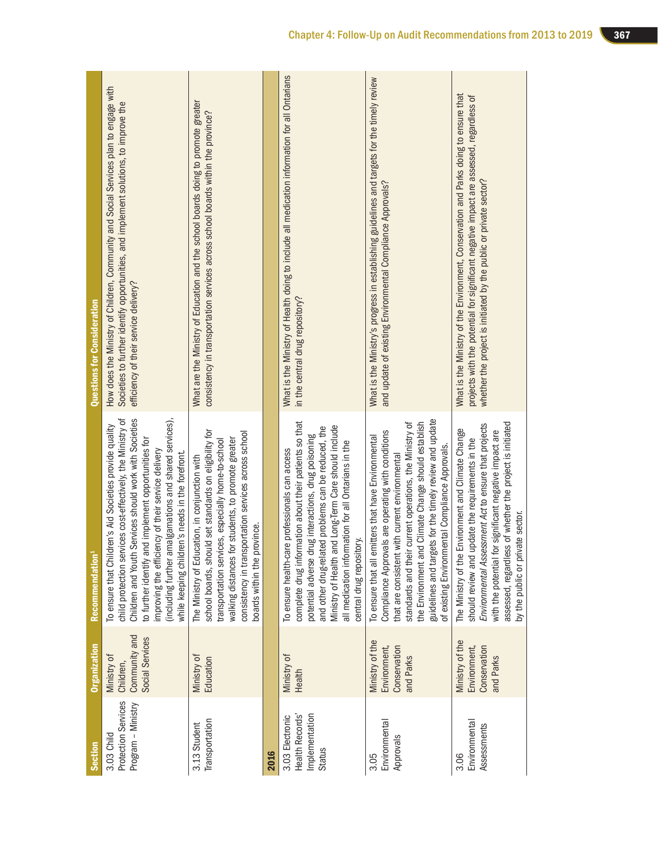| <b>Questions for Consideration</b> | How does the Ministry of Children, Community and Social Services plan to engage with<br>Societies to further identify opportunities, and implement solutions, to improve the<br>efficiency of their service delivery?                                                                                                                                                                                       | What are the Ministry of Education and the school boards doing to promote greater<br>consistency in transportation services across school boards within the province?                                                                                                                                       |      | What is the Ministry of Health doing to include all medication information for all Ontarians<br>in the central drug repository?                                                                                                                                                                                                                                   | What is the Ministry's progress in establishing guidelines and targets for the timely review<br>and update of existing Environmental Compliance Approvals?                                                                                                                                                                                                                                  | What is the Ministry of the Environment, Conservation and Parks doing to ensure that<br>projects with the potential for significant negative impact are assessed, regardless of<br>whether the project is initiated by the public or private sector?                                                                          |
|------------------------------------|-------------------------------------------------------------------------------------------------------------------------------------------------------------------------------------------------------------------------------------------------------------------------------------------------------------------------------------------------------------------------------------------------------------|-------------------------------------------------------------------------------------------------------------------------------------------------------------------------------------------------------------------------------------------------------------------------------------------------------------|------|-------------------------------------------------------------------------------------------------------------------------------------------------------------------------------------------------------------------------------------------------------------------------------------------------------------------------------------------------------------------|---------------------------------------------------------------------------------------------------------------------------------------------------------------------------------------------------------------------------------------------------------------------------------------------------------------------------------------------------------------------------------------------|-------------------------------------------------------------------------------------------------------------------------------------------------------------------------------------------------------------------------------------------------------------------------------------------------------------------------------|
| Recommendation <sup>1</sup>        | child protection services cost-effectively, the Ministry of<br>Children and Youth Services should work with Societies<br>(including further amalgamations and shared services),<br>To ensure that Children's Aid Societies provide quality<br>to further identify and implement opportunities for<br>improving the efficiency of their service delivery<br>while keeping children's needs in the forefront. | school boards, should set standards on eligibility for<br>consistency in transportation services across school<br>walking distances for students, to promote greater<br>transportation services, especially home-to-school<br>The Ministry of Education, in conjunction with<br>boards within the province. |      | complete drug information about their patients so that<br>Ministry of Health and Long-Term Care should include<br>and other drug-related problems can be reduced, the<br>potential adverse drug interactions, drug poisoning<br>all medication information for all Ontarians in the<br>To ensure health-care professionals can access<br>central drug repository. | guidelines and targets for the timely review and update<br>standards and their current operations, the Ministry of<br>the Environment and Climate Change should establish<br>Compliance Approvals are operating with conditions<br>To ensure that all emitters that have Environmental<br>of existing Environmental Compliance Approvals.<br>that are consistent with current environmental | assessed, regardless of whether the project is initiated<br>Environmental Assessment Act to ensure that projects<br>Environment and Climate Change<br>with the potential for significant negative impact are<br>should review and update the requirements in the<br>by the public or private sector.<br>The Ministry of the F |
| <b>Organization</b>                | Community and<br>Social Services<br>Ministry of<br>Children,                                                                                                                                                                                                                                                                                                                                                | Ministry of<br>Education                                                                                                                                                                                                                                                                                    |      | Ministry of<br>Health                                                                                                                                                                                                                                                                                                                                             | Ministry of the<br>Conservation<br>Environment,<br>and Parks                                                                                                                                                                                                                                                                                                                                | Ministry of the<br>Conservation<br>Environment,<br>and Parks                                                                                                                                                                                                                                                                  |
| <b>Section</b>                     | Protection Services<br>Program - Ministry<br>3.03 Child                                                                                                                                                                                                                                                                                                                                                     | Transportation<br>3.13 Student                                                                                                                                                                                                                                                                              | 2016 | Implementation<br>Health Records'<br>3.03 Electronic<br>Status                                                                                                                                                                                                                                                                                                    | Environmental<br>Approvals<br>3.05                                                                                                                                                                                                                                                                                                                                                          | Environmental<br>Assessments<br>3.06                                                                                                                                                                                                                                                                                          |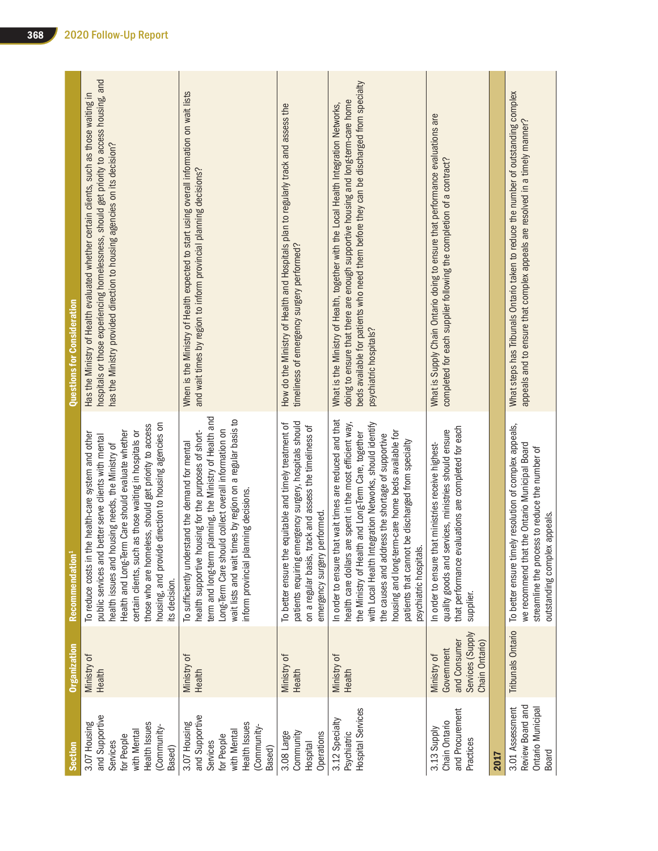| Section                                                                                                           | <b>Organization</b>                                                             | Recommendation <sup>1</sup>                                                                                                                                                                                                                                                                                                                                                                                                     | Questions for Consideration                                                                                                                                                                                                                                                                  |
|-------------------------------------------------------------------------------------------------------------------|---------------------------------------------------------------------------------|---------------------------------------------------------------------------------------------------------------------------------------------------------------------------------------------------------------------------------------------------------------------------------------------------------------------------------------------------------------------------------------------------------------------------------|----------------------------------------------------------------------------------------------------------------------------------------------------------------------------------------------------------------------------------------------------------------------------------------------|
| and Supportive<br>Health Issues<br>3.07 Housing<br>(Community-<br>with Mental<br>for People<br>Services<br>Based) | Ministry of<br>Health                                                           | housing, and provide direction to housing agencies on<br>those who are homeless, should get priority to access<br>Health and Long-Term Care should evaluate whether<br>as those waiting in hospitals or<br>he health-care system and other<br>better serve clients with mental<br>health issues and housing needs, the Ministry of<br>To reduce costs in th<br>certain clients, such<br>public services and<br>its decision.    | hospitals or those experiencing homelessness, should get priority to access housing, and<br>Has the Ministry of Health evaluated whether certain clients, such as those waiting in<br>has the Ministry provided direction to housing agencies on its decision?                               |
| and Supportive<br>Health Issues<br>3.07 Housing<br>(Community-<br>with Mental<br>for People<br>Services<br>Based) | Ministry of<br>Health                                                           | term and long-term planning, the Ministry of Health and<br>wait lists and wait times by region on a regular basis to<br>Long-Term Care should collect overall information on<br>health supportive housing for the purposes of short-<br>To sufficiently understand the demand for mental<br>nform provincial planning decisions.                                                                                                | When is the Ministry of Health expected to start using overall information on wait lists<br>and wait times by region to inform provincial planning decisions?                                                                                                                                |
| Community<br>3.08 Large<br>Operations<br><b>Hospital</b>                                                          | Ministry of<br>Health                                                           | patients requiring emergency surgery, hospitals should<br>equitable and timely treatment of<br>track and assess the timeliness of<br>performed.<br>To better ensure the<br>on a regular basis, t<br>emergency surgery                                                                                                                                                                                                           | How do the Ministry of Health and Hospitals plan to regularly track and assess the<br>timeliness of emergency surgery performed?                                                                                                                                                             |
| Hospital Services<br>3.12 Specialty<br>Psychiatric                                                                | Ministry of<br>Health                                                           | In order to ensure that wait times are reduced and that<br>with Local Health Integration Networks, should identify<br>health care dollars are spent in the most efficient way,<br>housing and long-term-care home beds available for<br>the Ministry of Health and Long-Term Care, together<br>the causes and address the shortage of supportive<br>patients that cannot be discharged from specialty<br>psychiatric hospitals. | beds available for patients who need them before they can be discharged from specialty<br>doing to ensure that there are enough supportive housing and long-term-care home<br>What is the Ministry of Health, together with the Local Health Integration Networks,<br>psychiatric hospitals? |
| and Procurement<br>Chain Ontario<br>3.13 Supply<br>Practices                                                      | Services (Supply<br>and Consumer<br>Chain Ontario)<br>Government<br>Ministry of | that performance evaluations are completed for each<br>quality goods and services, ministries should ensure<br>In order to ensure that ministries receive highest-<br>supplier.                                                                                                                                                                                                                                                 | What is Supply Chain Ontario doing to ensure that performance evaluations are<br>completed for each supplier following the completion of a contract?                                                                                                                                         |
| 2017                                                                                                              |                                                                                 |                                                                                                                                                                                                                                                                                                                                                                                                                                 |                                                                                                                                                                                                                                                                                              |
| Review Board and<br>Ontario Municipal<br>3.01 Assessment<br>Board                                                 | <b>Tribunals Ontario</b>                                                        | To better ensure timely resolution of complex appeals,<br>we recommend that the Ontario Municipal Board<br>streamline the process to reduce the number of<br>outstanding complex appeals.                                                                                                                                                                                                                                       | What steps has Tribunals Ontario taken to reduce the number of outstanding complex<br>appeals and to ensure that complex appeals are resolved in a timely manner?                                                                                                                            |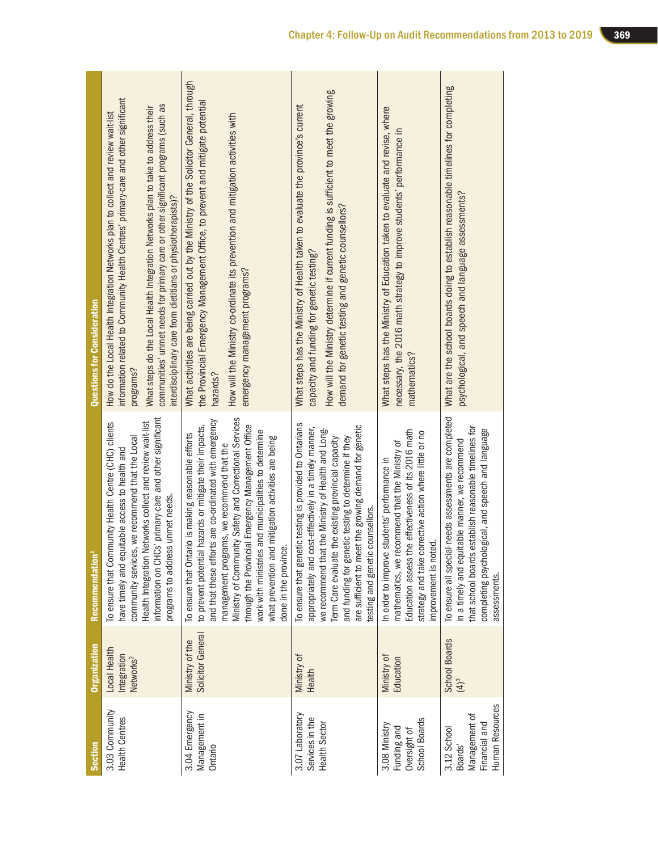| <b>Section</b>                                                              | <b>Organization</b>                                  | Recommendation <sup>1</sup>                                                                                                                                                                                                                                                                                                                                                                                                                                                   | <b>Questions for Consideration</b>                                                                                                                                                                                                                                                                                                                                                                                             |
|-----------------------------------------------------------------------------|------------------------------------------------------|-------------------------------------------------------------------------------------------------------------------------------------------------------------------------------------------------------------------------------------------------------------------------------------------------------------------------------------------------------------------------------------------------------------------------------------------------------------------------------|--------------------------------------------------------------------------------------------------------------------------------------------------------------------------------------------------------------------------------------------------------------------------------------------------------------------------------------------------------------------------------------------------------------------------------|
| 3.03 Community<br><b>Health Centres</b>                                     | Local Health<br>Integration<br>Networks <sup>2</sup> | information on CHCs' primary-care and other significant<br>To ensure that Community Health Centre (CHC) clients<br>Health Integration Networks collect and review wait-list<br>community services, we recommend that the Local<br>have timely and equitable access to health and<br>programs to address unmet needs.                                                                                                                                                          | information related to Community Health Centres' primary-care and other significant<br>communities' unmet needs for primary care or other significant programs (such as<br>What steps do the Local Health Integration Networks plan to take to address their<br>How do the Local Health Integration Networks plan to collect and review wait-list<br>interdisciplinary care from dietitians or physiotherapists)?<br>programs? |
| 3.04 Emergency<br>Management in<br>Ontario                                  | Solicitor General<br>Ministry of the                 | Ministry of Community Safety and Correctional Services<br>and that these efforts are co-ordinated with emergency<br>through the Provincial Emergency Management Office<br>to prevent potential hazards or mitigate their impacts,<br>work with ministries and municipalities to determine<br>To ensure that Ontario is making reasonable efforts<br>what prevention and mitigation activities are being<br>management programs, we recommend that the<br>done in the province | What activities are being carried out by the Ministry of the Solicitor General, through<br>the Provincial Emergency Management Office, to prevent and mitigate potential<br>How will the Ministry co-ordinate its prevention and mitigation activities with<br>emergency management programs?<br>hazards?                                                                                                                      |
| 3.07 Laboratory<br>Services in the<br><b>Health Sector</b>                  | Ministry of<br>Health                                | To ensure that genetic testing is provided to Ontarians<br>are sufficient to meet the growing demand for genetic<br>appropriately and cost-effectively in a timely manner,<br>we recommend that the Ministry of Health and Long-<br>and funding for genetic testing to determine if they<br>Term Care evaluate the existing provincial capacity<br>testing and genetic counsellors.                                                                                           | How will the Ministry determine if current funding is sufficient to meet the growing<br>What steps has the Ministry of Health taken to evaluate the province's current<br>demand for genetic testing and genetic counsellors?<br>capacity and funding for genetic testing?                                                                                                                                                     |
| School Boards<br>3.08 Ministry<br>Funding and<br>Oversight of               | Ministry of<br>Education                             | Education assess the effectiveness of its 2016 math<br>strategy and take corrective action where little or no<br>mathematics, we recommend that the Ministry of<br>In order to improve students' performance in<br>mprovement is noted                                                                                                                                                                                                                                        | What steps has the Ministry of Education taken to evaluate and revise, where<br>necessary, the 2016 math strategy to improve students' performance in<br>mathematics?                                                                                                                                                                                                                                                          |
| Human Resources<br>Management of<br>Financial and<br>3.12 School<br>Boards' | <b>School Boards</b><br>$(4)^3$                      | To ensure all special-needs assessments are completed<br>that school boards establish reasonable timelines for<br>gical, and speech and language<br>in a timely and equitable manner, we recommend<br>completing psycholo<br>assessments.                                                                                                                                                                                                                                     | What are the school boards doing to establish reasonable timelines for completing<br>psychological, and speech and language assessments?                                                                                                                                                                                                                                                                                       |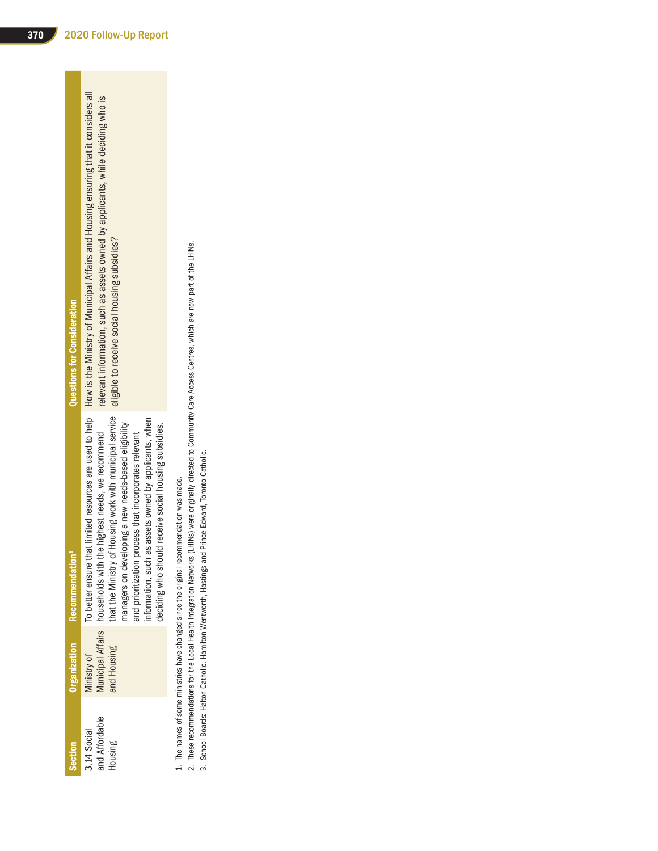1. The names of some ministries have changed since the original recommendation was made. 1. The names of some ministries have changed since the original recommendation was made.

2. These recommendations for the Local Health Integration Networks (LHINs) were originally directed to Community Care Access Centres, which are now part of the LHINs.<br>3. School Boards: Halton Catholic, Hamilton-Wentworth, 2. These recommendations for the Local Health Integration Networks (LHINs) were originally directed to Community Care Access Centres, which are now part of the LHINs.

3. School Boards: Halton Catholic, Hamilton-Wentworth, Hastings and Prince Edward, Toronto Catholic.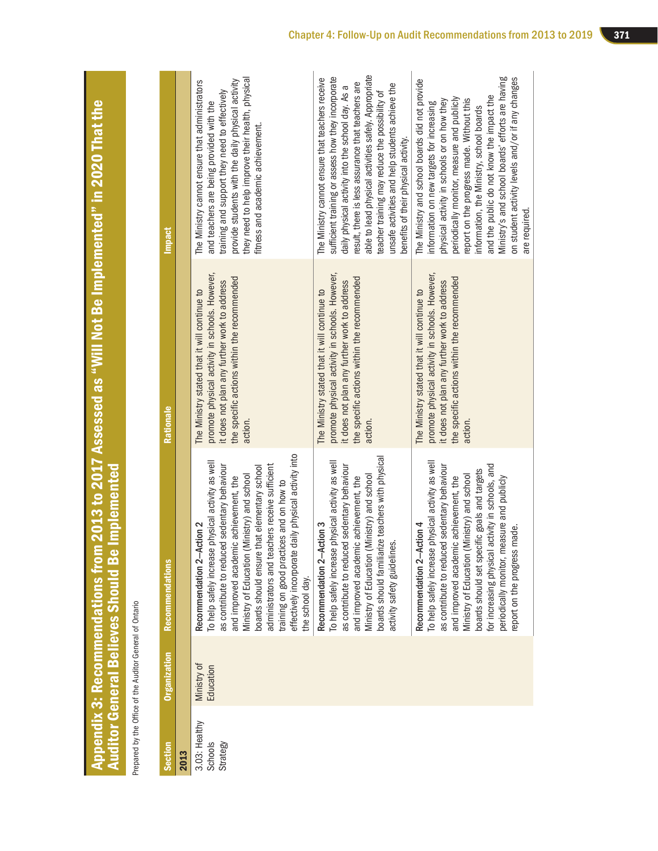|                                                                            | <b>The first part of the Second Second Second Second Second Second Second Second Second Second Second Second Second Second Second Second Second Second Second Second Second Second Second Second Second Second Second Second Sec</b> |
|----------------------------------------------------------------------------|--------------------------------------------------------------------------------------------------------------------------------------------------------------------------------------------------------------------------------------|
|                                                                            |                                                                                                                                                                                                                                      |
|                                                                            |                                                                                                                                                                                                                                      |
| s from 2013 to 2017 Assessed as "Will Not Be Implemented" in 2020 That the |                                                                                                                                                                                                                                      |
|                                                                            |                                                                                                                                                                                                                                      |
|                                                                            |                                                                                                                                                                                                                                      |
|                                                                            |                                                                                                                                                                                                                                      |
|                                                                            |                                                                                                                                                                                                                                      |
|                                                                            |                                                                                                                                                                                                                                      |
|                                                                            |                                                                                                                                                                                                                                      |
|                                                                            |                                                                                                                                                                                                                                      |
|                                                                            |                                                                                                                                                                                                                                      |
|                                                                            |                                                                                                                                                                                                                                      |
|                                                                            |                                                                                                                                                                                                                                      |
|                                                                            |                                                                                                                                                                                                                                      |
|                                                                            |                                                                                                                                                                                                                                      |
|                                                                            |                                                                                                                                                                                                                                      |
|                                                                            |                                                                                                                                                                                                                                      |
|                                                                            |                                                                                                                                                                                                                                      |
|                                                                            |                                                                                                                                                                                                                                      |
|                                                                            |                                                                                                                                                                                                                                      |
|                                                                            |                                                                                                                                                                                                                                      |
|                                                                            |                                                                                                                                                                                                                                      |
|                                                                            |                                                                                                                                                                                                                                      |
|                                                                            |                                                                                                                                                                                                                                      |
|                                                                            |                                                                                                                                                                                                                                      |
|                                                                            |                                                                                                                                                                                                                                      |
|                                                                            |                                                                                                                                                                                                                                      |
|                                                                            |                                                                                                                                                                                                                                      |
|                                                                            |                                                                                                                                                                                                                                      |

the

Prepared by the Office of the Auditor General of Ontario Prepared by the Office of the Auditor General of Ontario

| Section                              | <b>Organization</b>      | <b>Recommendations</b>                                                                                                                                                                                                                                                                                                                                                                                                                                  | Rationale                                                                                                                                                                                                | <b>Impact</b>                                                                                                                                                                                                                                                                                                                                                                                                                                           |
|--------------------------------------|--------------------------|---------------------------------------------------------------------------------------------------------------------------------------------------------------------------------------------------------------------------------------------------------------------------------------------------------------------------------------------------------------------------------------------------------------------------------------------------------|----------------------------------------------------------------------------------------------------------------------------------------------------------------------------------------------------------|---------------------------------------------------------------------------------------------------------------------------------------------------------------------------------------------------------------------------------------------------------------------------------------------------------------------------------------------------------------------------------------------------------------------------------------------------------|
| 2013                                 |                          |                                                                                                                                                                                                                                                                                                                                                                                                                                                         |                                                                                                                                                                                                          |                                                                                                                                                                                                                                                                                                                                                                                                                                                         |
| 3.03: Healthy<br>Schools<br>Strategy | Ministry of<br>Education | daily physical activity into<br>To help safely increase physical activity as well<br>as contribute to reduced sedentary behaviour<br>administrators and teachers receive sufficient<br>boards should ensure that elementary school<br>Ministry of Education (Ministry) and school<br>ic achievement, the<br>training on good practices and on how to<br>Recommendation 2-Action 2<br>and improved academi<br>effectively incorporate<br>the school day. | promote physical activity in schools. However,<br>the specific actions within the recommended<br>it does not plan any further work to address<br>The Ministry stated that it will continue to<br>action. | they need to help improve their health, physical<br>provide students with the daily physical activity<br>The Ministry cannot ensure that administrators<br>training and support they need to effectively<br>and teachers are being provided with the<br>fitness and academic achievement.                                                                                                                                                               |
|                                      |                          | boards should familiarize teachers with physical<br>To help safely increase physical activity as well<br>as contribute to reduced sedentary behaviour<br>Ministry of Education (Ministry) and school<br>and improved academic achievement, the<br>Recommendation 2-Action 3<br>activity safety guidelines.                                                                                                                                              | promote physical activity in schools. However,<br>the specific actions within the recommended<br>it does not plan any further work to address<br>The Ministry stated that it will continue to<br>action. | able to lead physical activities safely. Appropriate<br>sufficient training or assess how they incorporate<br>The Ministry cannot ensure that teachers receive<br>result, there is less assurance that teachers are<br>unsafe activities and help students achieve the<br>daily physical activity into the school day. As a<br>teacher training may reduce the possibility of<br>benefits of their physical activity.                                   |
|                                      |                          | To help safely increase physical activity as well<br>activity in schools, and<br>as contribute to reduced sedentary behaviour<br>boards should set specific goals and targets<br>Ministry of Education (Ministry) and school<br>and improved academic achievement, the<br>periodically monitor, measure and publicly<br>Recommendation 2-Action 4<br>made.<br>report on the progress<br>for increasing physical                                         | promote physical activity in schools. However,<br>the specific actions within the recommended<br>it does not plan any further work to address<br>The Ministry stated that it will continue to<br>action  | Ministry's and school boards' efforts are having<br>on student activity levels and/or if any changes<br>The Ministry and school boards did not provide<br>and the public do not know the impact the<br>periodically monitor, measure and publicly<br>report on the progress made. Without this<br>physical activity in schools or on how they<br>information on new targets for increasing<br>information, the Ministry, school boards<br>are required. |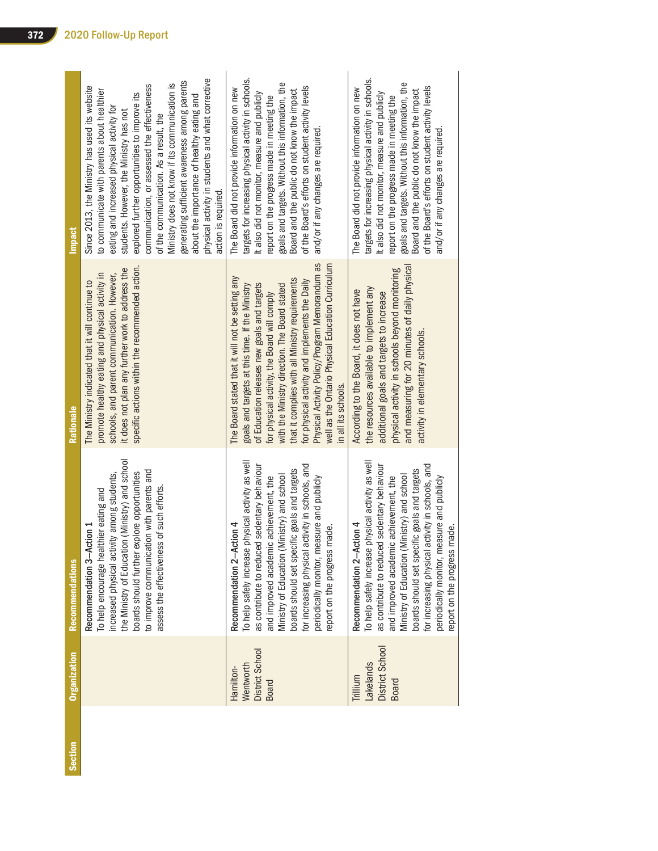| Section | Organization                                              | <b>Recommendations</b>                                                                                                                                                                                                                                                                                                                                                                                          | Rationale                                                                                                                                                                                                                                                                                                                                                                                                                                                                              | <b>Impact</b>                                                                                                                                                                                                                                                                                                                                                                                                                                                                                                                                                 |
|---------|-----------------------------------------------------------|-----------------------------------------------------------------------------------------------------------------------------------------------------------------------------------------------------------------------------------------------------------------------------------------------------------------------------------------------------------------------------------------------------------------|----------------------------------------------------------------------------------------------------------------------------------------------------------------------------------------------------------------------------------------------------------------------------------------------------------------------------------------------------------------------------------------------------------------------------------------------------------------------------------------|---------------------------------------------------------------------------------------------------------------------------------------------------------------------------------------------------------------------------------------------------------------------------------------------------------------------------------------------------------------------------------------------------------------------------------------------------------------------------------------------------------------------------------------------------------------|
|         |                                                           | the Ministry of Education (Ministry) and school<br>to improve communication with parents and<br>boards should further explore opportunities<br>increased physical activity among students,<br>assess the effectiveness of such efforts.<br>To help encourage healthier eating and<br>Recommendation 3-Action 1                                                                                                  | specific actions within the recommended action.<br>it does not plan any further work to address the<br>promote healthy eating and physical activity in<br>schools, and parent communication. However,<br>The Ministry indicated that it will continue to                                                                                                                                                                                                                               | physical activity in students and what corrective<br>generating sufficient awareness among parents<br>Ministry does not know if its communication is<br>communication, or assessed the effectiveness<br>Since 2013, the Ministry has used its website<br>to communicate with parents about healthier<br>explored further opportunities to improve its<br>about the importance of healthy eating and<br>eating and increased physical activity for<br>students. However, the Ministry has not<br>of the communication. As a result, the<br>action is required. |
|         | District School<br>Wentworth<br>Hamilton-<br><b>Board</b> | To help safely increase physical activity as well<br>activity in schools, and<br>as contribute to reduced sedentary behaviour<br>boards should set specific goals and targets<br>Ministry of Education (Ministry) and school<br>periodically monitor, measure and publicly<br>and improved academic achievement, the<br>Recommendation 2-Action 4<br>made.<br>for increasing physical<br>report on the progress | Physical Activity Policy/Program Memorandum as<br>well as the Ontario Physical Education Curriculum<br>The Board stated that it will not be setting any<br>that it complies with all Ministry requirements<br>for physical activity and implements the Daily<br>goals and targets at this time. If the Ministry<br>of Education releases new goals and targets<br>with the Ministry direction. The Board stated<br>for physical activity, the Board will comply<br>in all its schools. | targets for increasing physical activity in schools.<br>goals and targets. Without this information, the<br>of the Board's efforts on student activity levels<br>The Board did not provide information on new<br>Board and the public do not know the impact<br>t also did not monitor, measure and publicly<br>report on the progress made in meeting the<br>and/or if any changes are required                                                                                                                                                              |
|         | District School<br>Lakelands<br>Trillium<br><b>Board</b>  | To help safely increase physical activity as well<br>as contribute to reduced sedentary behaviour<br>activity in schools, and<br>boards should set specific goals and targets<br>Ministry of Education (Ministry) and school<br>and improved academic achievement, the<br>periodically monitor, measure and publicly<br>Recommendation 2-Action 4<br>made.<br>for increasing physical<br>report on the progress | and measuring for 20 minutes of daily physical<br>physical activity in schools beyond monitoring<br>the resources available to implement any<br>According to the Board, it does not have<br>additional goals and targets to increase<br>activity in elementary schools.                                                                                                                                                                                                                | targets for increasing physical activity in schools.<br>goals and targets. Without this information, the<br>of the Board's efforts on student activity levels<br>The Board did not provide information on new<br>Board and the public do not know the impact<br>It also did not monitor, measure and publicly<br>report on the progress made in meeting the<br>and/or if any changes are required                                                                                                                                                             |

**Section**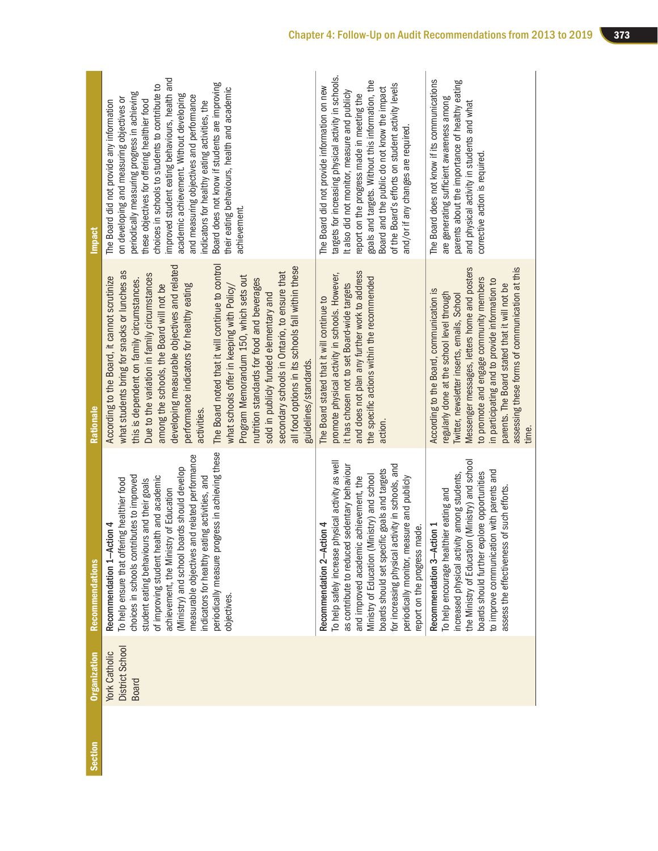| <b>Section</b> | <b>Organization</b>                                     | Recommendations                                                                                                                                                                                                                                                                                                                                                                                                                                                               | Rationale                                                                                                                                                                                                                                                                                                                                                                                                                                                                                                                                                                                                                                                                                                           | <b>Impact</b>                                                                                                                                                                                                                                                                                                                                                                                                                                                                                                                                        |
|----------------|---------------------------------------------------------|-------------------------------------------------------------------------------------------------------------------------------------------------------------------------------------------------------------------------------------------------------------------------------------------------------------------------------------------------------------------------------------------------------------------------------------------------------------------------------|---------------------------------------------------------------------------------------------------------------------------------------------------------------------------------------------------------------------------------------------------------------------------------------------------------------------------------------------------------------------------------------------------------------------------------------------------------------------------------------------------------------------------------------------------------------------------------------------------------------------------------------------------------------------------------------------------------------------|------------------------------------------------------------------------------------------------------------------------------------------------------------------------------------------------------------------------------------------------------------------------------------------------------------------------------------------------------------------------------------------------------------------------------------------------------------------------------------------------------------------------------------------------------|
|                | District School<br><b>York Catholic</b><br><b>Board</b> | periodically measure progress in achieving these<br>measurable objectives and related performance<br>(Ministry) and school boards should develop<br>choices in schools contributes to improved<br>of improving student health and academic<br>indicators for healthy eating activities, and<br>To help ensure that offering healthier food<br>student eating behaviours and their goals<br>achievement, the Ministry of Education<br>Recommendation 1-Action 4<br>objectives. | The Board noted that it will continue to control<br>developing measurable objectives and related<br>all food options in its schools fall within these<br>what students bring for snacks or lunches as<br>secondary schools in Ontario, to ensure that<br>Due to the variation in family circumstances<br>Program Memorandum 150, which sets out<br>According to the Board, it cannot scrutinize<br>nutrition standards for food and beverages<br>this is dependent on family circumstances.<br>among the schools, the Board will not be<br>performance indicators for healthy eating<br>what schools offer in keeping with Policy/<br>sold in publicly funded elementary and<br>guidelines/standards.<br>activities | improved student eating behaviours, health and<br>Board does not know if students are improving<br>choices in schools to students to contribute to<br>their eating behaviours, health and academic<br>periodically measuring progress in achieving<br>academic achievement. Without developing<br>and measuring objectives and performance<br>on developing and measuring objectives or<br>The Board did not provide any information<br>these objectives for offering healthier food<br>ndicators for healthy eating activities, the<br>achievement. |
|                |                                                         | To help safely increase physical activity as well<br>as contribute to reduced sedentary behaviour<br>for increasing physical activity in schools, and<br>boards should set specific goals and targets<br>Ministry of Education (Ministry) and school<br>periodically monitor, measure and publicly<br>and improved academic achievement, the<br>Recommendation 2-Action 4<br>report on the progress made.                                                                     | and does not plan any further work to address<br>promote physical activity in schools. However,<br>the specific actions within the recommended<br>it has chosen not to set Board-wide targets<br>The Board stated that it will continue to<br>action                                                                                                                                                                                                                                                                                                                                                                                                                                                                | targets for increasing physical activity in schools.<br>goals and targets. Without this information, the<br>of the Board's efforts on student activity levels<br>The Board did not provide information on new<br>Board and the public do not know the impact<br>It also did not monitor, measure and publicly<br>report on the progress made in meeting the<br>and/or if any changes are required                                                                                                                                                    |
|                |                                                         | the Ministry of Education (Ministry) and school<br>to improve communication with parents and<br>boards should further explore opportunities<br>increased physical activity among students,<br>assess the effectiveness of such efforts<br>To help encourage healthier eating and<br>Recommendation 3-Action 1                                                                                                                                                                 | Messenger messages, letters home and posters<br>assessing these forms of communication at this<br>to promote and engage community members<br>in participating and to provide information to<br>parents. The Board stated that it will not be<br>According to the Board, communication is<br>regularly done at the school level through<br>Iwitter, newsletter inserts, emails, School<br>time.                                                                                                                                                                                                                                                                                                                      | The Board does not know if its communications<br>parents about the importance of healthy eating<br>are generating sufficient awareness among<br>and physical activity in students and what<br>corrective action is required                                                                                                                                                                                                                                                                                                                          |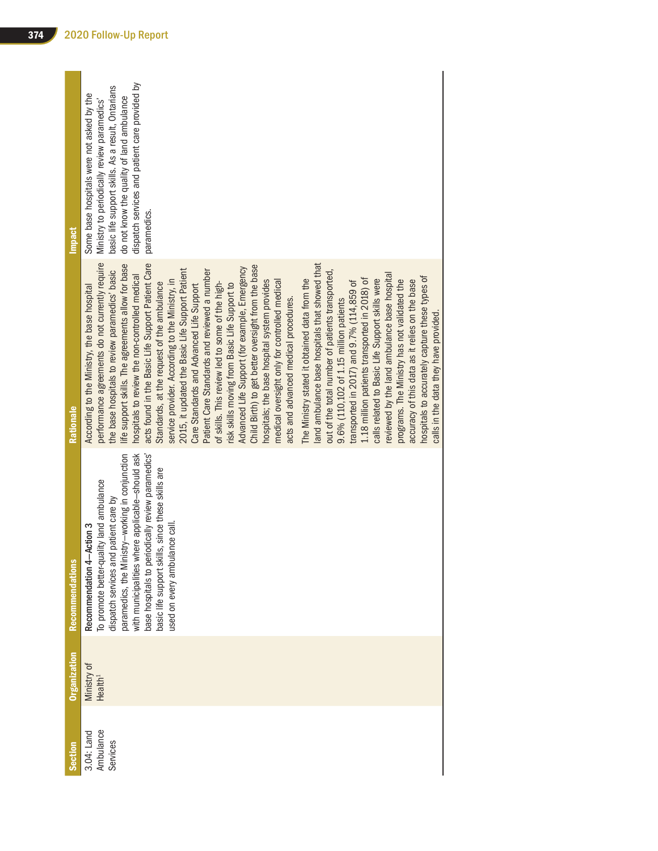| <b>Impact</b>       | dispatch services and patient care provided by<br>basic life support skills. As a result, Ontarians<br>Some base hospitals were not asked by the<br>do not know the quality of land ambulance<br>Ministry to periodically review paramedics'<br>paramedics.                                                                                                                                                                                                                                                                                                                                                                                                                                                                                                                                                                                                                                                                                                                                                                                                                                                                                                                                                                                                                                                                                                                                                                                                                                                       |
|---------------------|-------------------------------------------------------------------------------------------------------------------------------------------------------------------------------------------------------------------------------------------------------------------------------------------------------------------------------------------------------------------------------------------------------------------------------------------------------------------------------------------------------------------------------------------------------------------------------------------------------------------------------------------------------------------------------------------------------------------------------------------------------------------------------------------------------------------------------------------------------------------------------------------------------------------------------------------------------------------------------------------------------------------------------------------------------------------------------------------------------------------------------------------------------------------------------------------------------------------------------------------------------------------------------------------------------------------------------------------------------------------------------------------------------------------------------------------------------------------------------------------------------------------|
| Rationale           | performance agreements do not currently require<br>life support skills. The agreements allow for base<br>acts found in the Basic Life Support Patient Care<br>land ambulance base hospitals that showed that<br>Child Birth) to get better oversight from the base<br>Advanced Life Support (for example, Emergency<br>2015, it updated the Basic Life Support Patient<br>Patient Care Standards and reviewed a number<br>out of the total number of patients transported,<br>the base hospitals to review paramedics' basic<br>reviewed by the land ambulance base hospital<br>hospitals to review the non-controlled medical<br>hospitals to accurately capture these types of<br>1.18 million patients transported in 2018) of<br>calls related to Basic Life Support skills were<br>The Ministry stated it obtained data from the<br>programs. The Ministry has not validated the<br>accuracy of this data as it relies on the base<br>medical oversight only for controlled medical<br>service provider. According to the Ministry, in<br>hospitals; the base hospital system provides<br>transported in 2017) and 9.7% (114,859 of<br>of skills. This review led to some of the high-<br>Standards, at the request of the ambulance<br>risk skills moving from Basic Life Support to<br>Care Standards and Advanced Life Support<br>According to the Ministry, the base hospital<br>acts and advanced medical procedures.<br>9.6% (110,102 of 1.15 million patients<br>calls in the data they have provided |
| Recommendations     | where applicable-should ask<br>base hospitals to periodically review paramedics'<br>paramedics, the Ministry-working in conjunction<br>basic life support skills, since these skills are<br>To promote better-quality land ambulance<br>dispatch services and patient care by<br>used on every ambulance call.<br>Recommendation 4-Action 3<br>with municipalities                                                                                                                                                                                                                                                                                                                                                                                                                                                                                                                                                                                                                                                                                                                                                                                                                                                                                                                                                                                                                                                                                                                                                |
| <b>Organization</b> | Ministry of<br>Health <sup>1</sup>                                                                                                                                                                                                                                                                                                                                                                                                                                                                                                                                                                                                                                                                                                                                                                                                                                                                                                                                                                                                                                                                                                                                                                                                                                                                                                                                                                                                                                                                                |
| Section             | Ambulance<br>3.04: Land<br>Services                                                                                                                                                                                                                                                                                                                                                                                                                                                                                                                                                                                                                                                                                                                                                                                                                                                                                                                                                                                                                                                                                                                                                                                                                                                                                                                                                                                                                                                                               |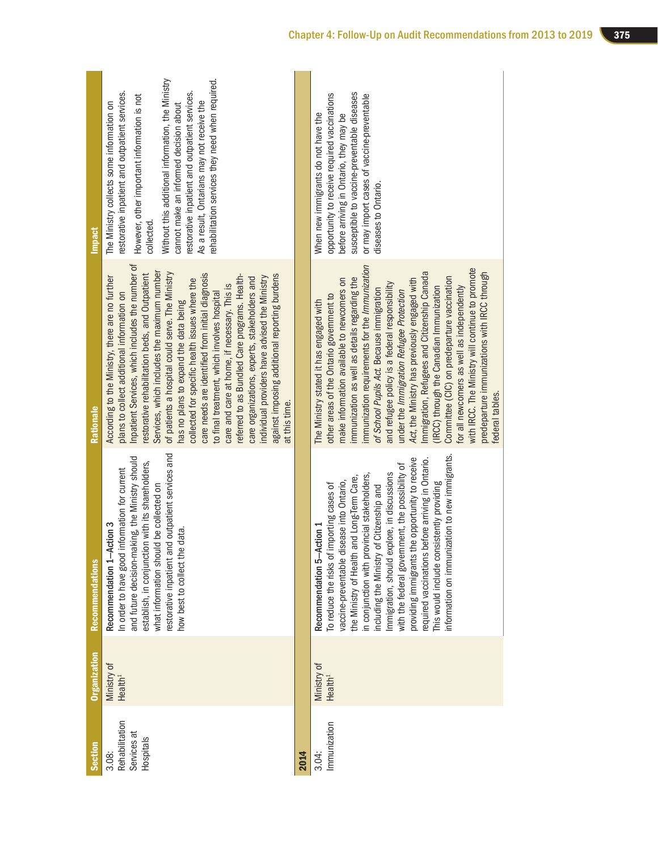| Recommendation 1-Action 3<br>Recommendation 5-Action 1<br>how best to collect the data.<br>estorative inpatient and<br>what information should<br>Ministry of<br>Ministry of<br>Health <sup>1</sup><br>Health <sup>1</sup><br>Rehabilitation<br>Immunization<br>Services at<br>Hospitals<br>Section<br>3.08:<br>2014<br>3.04: | <b>Organization</b> | <b>Recommendations</b>                                                                                                                                                                                                                                                                                                                                                                                                                                                                                                                    | Rationale                                                                                                                                                                                                                                                                                                                                                                                                                                                                                                                                                                                                                                                                                                                                                                   | <b>Impact</b>                                                                                                                                                                                                                                                                                                                                                                                               |
|-------------------------------------------------------------------------------------------------------------------------------------------------------------------------------------------------------------------------------------------------------------------------------------------------------------------------------|---------------------|-------------------------------------------------------------------------------------------------------------------------------------------------------------------------------------------------------------------------------------------------------------------------------------------------------------------------------------------------------------------------------------------------------------------------------------------------------------------------------------------------------------------------------------------|-----------------------------------------------------------------------------------------------------------------------------------------------------------------------------------------------------------------------------------------------------------------------------------------------------------------------------------------------------------------------------------------------------------------------------------------------------------------------------------------------------------------------------------------------------------------------------------------------------------------------------------------------------------------------------------------------------------------------------------------------------------------------------|-------------------------------------------------------------------------------------------------------------------------------------------------------------------------------------------------------------------------------------------------------------------------------------------------------------------------------------------------------------------------------------------------------------|
|                                                                                                                                                                                                                                                                                                                               |                     | outpatient services and<br>and future decision-making, the Ministry should<br>establish, in conjunction with its shareholders,<br>In order to have good information for current<br>be collected on                                                                                                                                                                                                                                                                                                                                        | Inpatient Services, which includes the number of<br>Services, which includes the maximum number<br>of patients a hospital could serve. The Ministry<br>restorative rehabilitation beds, and Outpatient<br>care needs are identified from initial diagnosis<br>against imposing additional reporting burdens<br>referred to as Bundled Care programs. Health-<br>individual providers have advised the Ministry<br>According to the Ministry, there are no further<br>care organizations, experts, stakeholders and<br>collected for specific health issues where the<br>care and care at home, if necessary. This is<br>to final treatment, which involves hospital<br>plans to collect additional information on<br>has no plans to expand the data being<br>at this time. | Without this additional information, the Ministry<br>rehabilitation services they need when required.<br>restorative inpatient and outpatient services.<br>restorative inpatient and outpatient services.<br>However, other important information is not<br>As a result, Ontarians may not receive the<br>The Ministry collects some information on<br>cannot make an informed decision about<br>collected. |
|                                                                                                                                                                                                                                                                                                                               |                     |                                                                                                                                                                                                                                                                                                                                                                                                                                                                                                                                           |                                                                                                                                                                                                                                                                                                                                                                                                                                                                                                                                                                                                                                                                                                                                                                             |                                                                                                                                                                                                                                                                                                                                                                                                             |
|                                                                                                                                                                                                                                                                                                                               |                     | nformation on immunization to new immigrants.<br>providing immigrants the opportunity to receive<br>required vaccinations before arriving in Ontario.<br>with the federal government, the possibility of<br>Immigration, should explore, in discussions<br>in conjunction with provincial stakeholders,<br>the Ministry of Health and Long-Term Care,<br>vaccine-preventable disease into Ontario,<br>This would include consistently providing<br>To reduce the risks of importing cases of<br>including the Ministry of Citizenship and | immunization requirements for the Immunization<br>with IRCC. The Ministry will continue to promote<br>Immigration, Refugees and Citizenship Canada<br>predeparture immunizations with IRCC through<br>immunization as well as details regarding the<br>Committee (CIC) on predeparture vaccination<br>Act, the Ministry has previously engaged with<br>make information available to newcomers on<br>and refugee policy is a federal responsibility<br>(IRCC) through the Canadian Immunization<br>or all newcomers as well as independently<br>of School Pupils Act. Because immigration<br>under the Immigration Refugee Protection<br>other areas of the Ontario government to<br>The Ministry stated it has engaged with<br>ederal tables.                              | susceptible to vaccine-preventable diseases<br>opportunity to receive required vaccinations<br>or may import cases of vaccine-preventable<br>When new immigrants do not have the<br>before arriving in Ontario, they may be<br>diseases to Ontario.                                                                                                                                                         |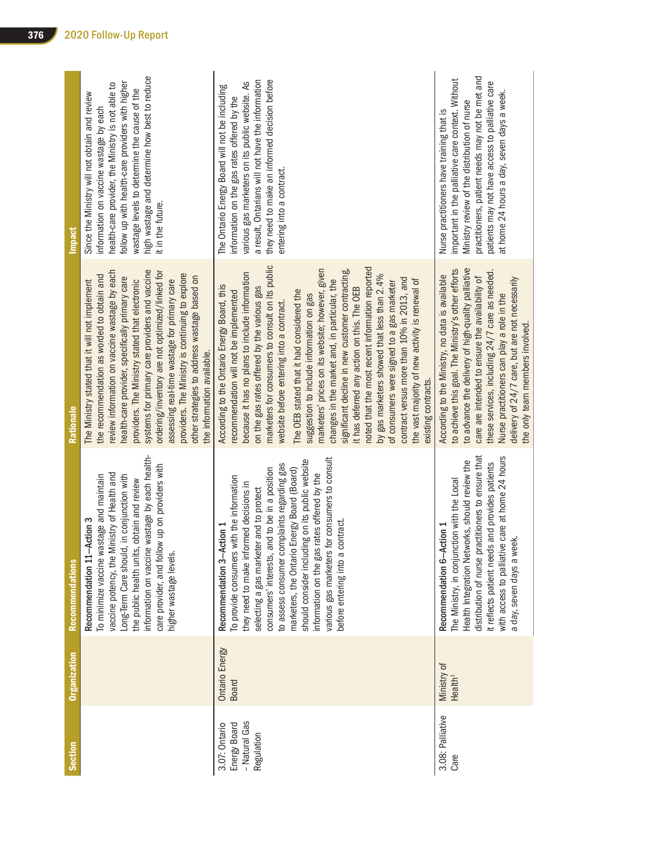| <b>Section</b>                                               | Organization                       | <b>Recommendations</b>                                                                                                                                                                                                                                                                                                                                                                                                                                                                                  | Rationale                                                                                                                                                                                                                                                                                                                                                                                                                                                                                                                                                                                                                                                                                                                                                                                                                                                       | Impact                                                                                                                                                                                                                                                                                                                 |
|--------------------------------------------------------------|------------------------------------|---------------------------------------------------------------------------------------------------------------------------------------------------------------------------------------------------------------------------------------------------------------------------------------------------------------------------------------------------------------------------------------------------------------------------------------------------------------------------------------------------------|-----------------------------------------------------------------------------------------------------------------------------------------------------------------------------------------------------------------------------------------------------------------------------------------------------------------------------------------------------------------------------------------------------------------------------------------------------------------------------------------------------------------------------------------------------------------------------------------------------------------------------------------------------------------------------------------------------------------------------------------------------------------------------------------------------------------------------------------------------------------|------------------------------------------------------------------------------------------------------------------------------------------------------------------------------------------------------------------------------------------------------------------------------------------------------------------------|
|                                                              |                                    | information on vaccine wastage by each health-<br>care provider, and follow up on providers with<br>nistry of Health and<br>To minimize vaccine wastage and maintain<br>in conjunction with<br>obtain and review<br>Recommendation 11-Action 3<br>vaccine potency, the Mi<br>Long-Term Care should,<br>the public health units,<br>higher wastage levels.                                                                                                                                               | systems for primary care providers and vaccine<br>ordering/inventory are not optimized/linked for<br>review information on vaccine wastage by each<br>providers. The Ministry is continuing to explore<br>the recommendation as worded to obtain and<br>other strategies to address wastage based on<br>health-care provider, specifically primary care<br>assessing real-time wastage for primary care<br>The Ministry stated that it will not implement<br>providers. The Ministry stated that electronic<br>the information available.                                                                                                                                                                                                                                                                                                                       | high wastage and determine how best to reduce<br>follow up with health-care providers with higher<br>health-care provider, the Ministry is not able to<br>wastage levels to determine the cause of the<br>Since the Ministry will not obtain and review<br>information on vaccine wastage by each<br>it in the future. |
| - Natural Gas<br>3.07: Ontario<br>Energy Board<br>Regulation | Ontario Energy<br>Board            | various gas marketers for consumers to consult<br>ng on its public website<br>to assess consumer complaints regarding gas<br>consumers' interests, and to be in a position<br>marketers, the Ontario Energy Board (Board)<br>information on the gas rates offered by the<br>To provide consumers with the information<br>they need to make informed decisions in<br>selecting a gas marketer and to protect<br>before entering into a contract<br>Recommendation 3-Action 1<br>should consider includin | marketers for consumers to consult on its public<br>noted that the most recent information reported<br>marketers' prices on its website; however, given<br>significant decline in new customer contracting,<br>because it has no plans to include information<br>by gas marketers showed that less than 2.4%<br>contract versus more than 10% in 2013, and<br>changes in the market and, in particular, the<br>the vast majority of new activity is renewal of<br>of consumers were signed to a gas marketer<br>According to the Ontario Energy Board, this<br>on the gas rates offered by the various gas<br>it has deferred any action on this. The OEB<br>The OEB stated that it had considered the<br>recommendation will not be implemented<br>suggestion to include information on gas<br>website before entering into a contract.<br>existing contracts. | they need to make an informed decision before<br>a result, Ontarians will not have the information<br>various gas marketers on its public website. As<br>The Ontario Energy Board will not be including<br>information on the gas rates offered by the<br>entering into a contract.                                    |
| 3.08: Palliative<br>Care                                     | Ministry of<br>Health <sup>1</sup> | distribution of nurse practitioners to ensure that<br>care at home 24 hours<br>Health Integration Networks, should review the<br>it reflects patient needs and provides patients<br>The Ministry, in conjunction with the Local<br>Recommendation 6-Action 1<br>a day, seven days a week.<br>with access to palliative                                                                                                                                                                                  | to advance the delivery of high-quality palliative<br>to achieve this goal. The Ministry's other efforts<br>these services, including 24/7 care as needed.<br>According to the Ministry, no data is available<br>care are intended to ensure the availability of<br>delivery of 24/7 care, but are not necessarily<br>Nurse practitioners can play a role in the<br>the only team members involved.                                                                                                                                                                                                                                                                                                                                                                                                                                                             | practitioners, patient needs may not be met and<br>important in the palliative care context. Without<br>patients may not have access to palliative care<br>at home 24 hours a day, seven days a week.<br>Ministry review of the distribution of nurse<br>Nurse practitioners have training that is                     |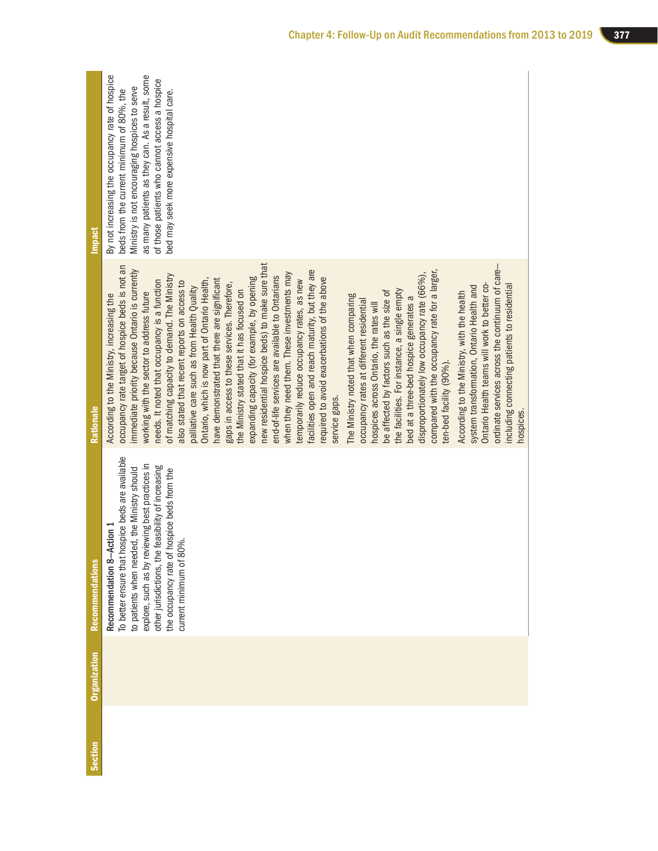| <b>Section</b> | <b>Organization</b> | <b>Recommendations</b>                                                                                                                                                                                                                                                                                                  | Rationale                                                                                                                                                                                                                                                                                                                                                                                                                                                                                                                                                                                                                                                                                                                                                                                                                                                                                                                                                                                                                                                                                                                                                                                                                                                                                                                                                                                                                                                                                                                                                                                                                       | <b>Impact</b>                                                                                                                                                                                                                                                                                   |
|----------------|---------------------|-------------------------------------------------------------------------------------------------------------------------------------------------------------------------------------------------------------------------------------------------------------------------------------------------------------------------|---------------------------------------------------------------------------------------------------------------------------------------------------------------------------------------------------------------------------------------------------------------------------------------------------------------------------------------------------------------------------------------------------------------------------------------------------------------------------------------------------------------------------------------------------------------------------------------------------------------------------------------------------------------------------------------------------------------------------------------------------------------------------------------------------------------------------------------------------------------------------------------------------------------------------------------------------------------------------------------------------------------------------------------------------------------------------------------------------------------------------------------------------------------------------------------------------------------------------------------------------------------------------------------------------------------------------------------------------------------------------------------------------------------------------------------------------------------------------------------------------------------------------------------------------------------------------------------------------------------------------------|-------------------------------------------------------------------------------------------------------------------------------------------------------------------------------------------------------------------------------------------------------------------------------------------------|
|                |                     | To better ensure that hospice beds are available<br>explore, such as by reviewing best practices in<br>other jurisdictions, the feasibility of increasing<br>to patients when needed, the Ministry should<br>the occupancy rate of hospice beds from the<br>tion $1$<br>current minimum of 80%.<br>Recommendation 8-Act | new residential hospice beds) to make sure that<br>ordinate services across the continuum of care-<br>occupancy rate target of hospice beds is not an<br>immediate priority because Ontario is currently<br>acilities open and reach maturity, but they are<br>compared with the occupancy rate for a larger,<br>when they need them. These investments may<br>disproportionately low occupancy rate (66%),<br>of matching capacity to demand. The Ministry<br>end-of-life services are available to Ontarians<br>expanding capacity (for example, by opening<br>required to avoid exacerbations of the above<br>Ontario, which is now part of Ontario Health,<br>have demonstrated that there are significant<br>temporarily reduce occupancy rates, as new<br>needs. It noted that occupancy is a function<br>also stated that recent reports on access to<br>gaps in access to these services. Therefore,<br>Ontario Health teams will work to better co-<br>including connecting patients to residential<br>system transformation, Ontario Health and<br>palliative care such as from Health Quality<br>the facilities. For instance, a single empty<br>the Ministry stated that it has focused on<br>be affected by factors such as the size of<br>According to the Ministry, with the health<br>working with the sector to address future<br>According to the Ministry, increasing the<br>The Ministry noted that when comparing<br>bed at a three-bed hospice generates a<br>occupancy rates at different residential<br>hospices across Ontario, the rates will<br>ten-bed facility (90%).<br>service gaps.<br>hospices | as many patients as they can. As a result, some<br>By not increasing the occupancy rate of hospice<br>of those patients who cannot access a hospice<br>Ministry is not encouraging hospices to serve<br>beds from the current minimum of 80%, the<br>bed may seek more expensive hospital care. |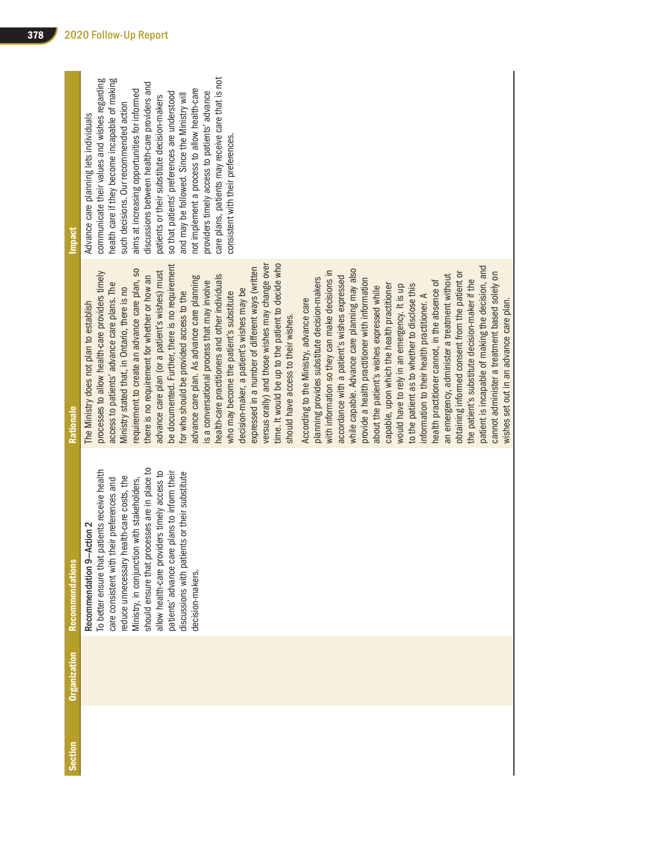| <b>Section</b> | <b>Organization</b> | <b>Recommendations</b>                                                                                                                                                                                                                                                                                                                                                                                                                           | Rationale                                                                                                                                                                                                                                                                                                                                                                                                                                                                                                                                                                                                                                                                                                                                                                                                                                                                                                                                                                                                                                                                                                                                                                                                                                                                                                                                | <b>Impact</b>                                                                                                                                                                                                                                                                                                                                                                                                                                                                                                                                                                                                                   |
|----------------|---------------------|--------------------------------------------------------------------------------------------------------------------------------------------------------------------------------------------------------------------------------------------------------------------------------------------------------------------------------------------------------------------------------------------------------------------------------------------------|------------------------------------------------------------------------------------------------------------------------------------------------------------------------------------------------------------------------------------------------------------------------------------------------------------------------------------------------------------------------------------------------------------------------------------------------------------------------------------------------------------------------------------------------------------------------------------------------------------------------------------------------------------------------------------------------------------------------------------------------------------------------------------------------------------------------------------------------------------------------------------------------------------------------------------------------------------------------------------------------------------------------------------------------------------------------------------------------------------------------------------------------------------------------------------------------------------------------------------------------------------------------------------------------------------------------------------------|---------------------------------------------------------------------------------------------------------------------------------------------------------------------------------------------------------------------------------------------------------------------------------------------------------------------------------------------------------------------------------------------------------------------------------------------------------------------------------------------------------------------------------------------------------------------------------------------------------------------------------|
|                |                     | should ensure that processes are in place to<br>patients receive health<br>allow health-care providers timely access to<br>patients' advance care plans to inform their<br>discussions with patients or their substitute<br>reduce unnecessary health-care costs, the<br>Ministry, in conjunction with stakeholders,<br>care consistent with their preferences and<br>Action 2<br>To better ensure that<br>Recommendation 9-<br>decision-makers. | be documented. Further, there is no requirement<br>versus orally) and those wishes may change over<br>time. It would be up to the patient to decide who<br>expressed in a number of different ways (written<br>requirement to create an advance care plan, so<br>while capable. Advance care planning may also<br>advance care plan (or a patient's wishes) must<br>processes to allow health-care providers timely<br>with information so they can make decisions in<br>there is no requirement for whether or how an<br>health-care practitioners and other individuals<br>accordance with a patient's wishes expressed<br>advance care plan. As advance care planning<br>planning provides substitute decision-makers<br>provide a health practitioner with information<br>is a conversational process that may involve<br>access to patients' advance care plans. The<br>capable, upon which the health practitioner<br>would have to rely in an emergency. It is up<br>Ministry stated that, in Ontario, there is no<br>about the patient's wishes expressed while<br>decision-maker, a patient's wishes may be<br>for who should be provided access to the<br>who may become the patient's substitute<br>According to the Ministry, advance care<br>The Ministry does not plan to establish<br>should have access to their wishes. | care plans, patients may receive care that is not<br>health care if they become incapable of making<br>communicate their values and wishes regarding<br>discussions between health-care providers and<br>not implement a process to allow health-care<br>aims at increasing opportunities for informed<br>providers timely access to patients' advance<br>so that patients' preferences are understood<br>and may be followed. Since the Ministry will<br>patients or their substitute decision-makers<br>such decisions. Our recommended action<br>Advance care planning lets individuals<br>consistent with their preferences |
|                |                     |                                                                                                                                                                                                                                                                                                                                                                                                                                                  | patient is incapable of making the decision, and<br>obtaining informed consent from the patient or<br>cannot administer a treatment based solely on<br>an emergency, administer a treatment without<br>the patient's substitute decision-maker if the<br>health practitioner cannot, in the absence of<br>to the patient as to whether to disclose this<br>information to their health practitioner. A<br>wishes set out in an advance care plan.                                                                                                                                                                                                                                                                                                                                                                                                                                                                                                                                                                                                                                                                                                                                                                                                                                                                                        |                                                                                                                                                                                                                                                                                                                                                                                                                                                                                                                                                                                                                                 |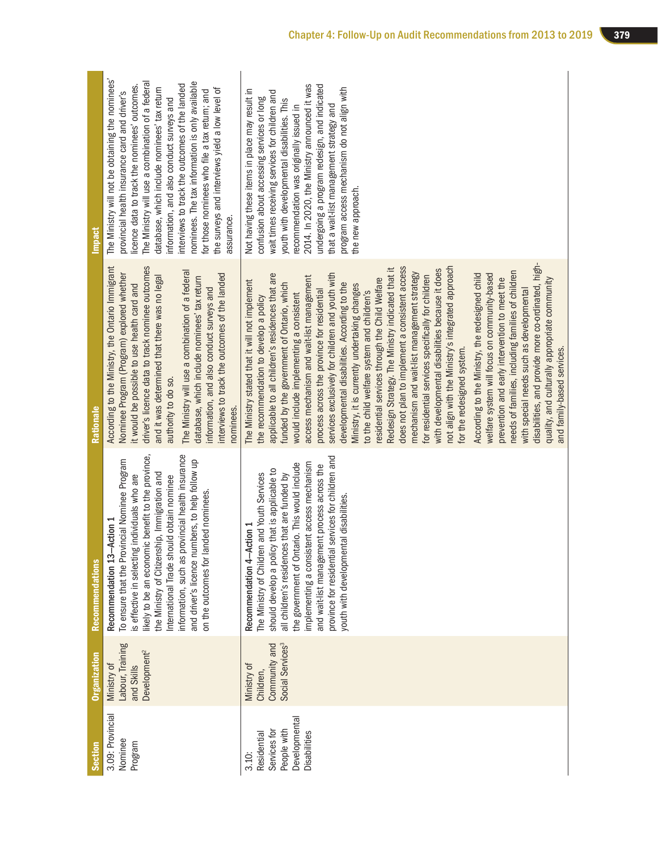| Section                                                                             | <b>Organization</b>                                                       | <b>Recommendations</b>                                                                                                                                                                                                                                                                                                                                                                                                                  | Rationale                                                                                                                                                                                                                                                                                                                                                                                                                                                                                                                                                                                                                                                                                                                                                                                                                                                                                                                                                                                                                                                                                                                                                                                                                                                                                                                          | <b>Impact</b>                                                                                                                                                                                                                                                                                                                                                                                                                                                                                                              |
|-------------------------------------------------------------------------------------|---------------------------------------------------------------------------|-----------------------------------------------------------------------------------------------------------------------------------------------------------------------------------------------------------------------------------------------------------------------------------------------------------------------------------------------------------------------------------------------------------------------------------------|------------------------------------------------------------------------------------------------------------------------------------------------------------------------------------------------------------------------------------------------------------------------------------------------------------------------------------------------------------------------------------------------------------------------------------------------------------------------------------------------------------------------------------------------------------------------------------------------------------------------------------------------------------------------------------------------------------------------------------------------------------------------------------------------------------------------------------------------------------------------------------------------------------------------------------------------------------------------------------------------------------------------------------------------------------------------------------------------------------------------------------------------------------------------------------------------------------------------------------------------------------------------------------------------------------------------------------|----------------------------------------------------------------------------------------------------------------------------------------------------------------------------------------------------------------------------------------------------------------------------------------------------------------------------------------------------------------------------------------------------------------------------------------------------------------------------------------------------------------------------|
| 3.09: Provincial<br>Nominee<br>Program                                              | Labour, Training<br>Development <sup>2</sup><br>Ministry of<br>and Skills | likely to be an economic benefit to the province,<br>information, such as provincial health insurance<br>To ensure that the Provincial Nominee Program<br>and driver's licence numbers, to help follow up<br>the Ministry of Citizenship, Immigration and<br>; individuals who are<br>International Trade should obtain nominee<br>on the outcomes for landed nominees.<br>-Action 1<br>is effective in selecting<br>Recommendation 13- | According to the Ministry, the Ontario Immigrant<br>driver's licence data to track nominee outcomes<br>The Ministry will use a combination of a federal<br>Nominee Program (Program) explored whether<br>interviews to track the outcomes of the landed<br>and it was determined that there was no legal<br>database, which include nominees' tax return<br>it would be possible to use health card and<br>information, and also conduct surveys and<br>authority to do so.<br>nominees.                                                                                                                                                                                                                                                                                                                                                                                                                                                                                                                                                                                                                                                                                                                                                                                                                                           | The Ministry will not be obtaining the nominees'<br>The Ministry will use a combination of a federal<br>nominees. The tax information is only available<br>interviews to track the outcomes of the landed<br>licence data to track the nominees' outcomes.<br>database, which include nominees' tax return<br>the surveys and interviews yield a low level of<br>for those nominees who file a tax return; and<br>provincial health insurance card and driver's<br>information, and also conduct surveys and<br>assurance. |
| Developmental<br>People with<br>Services for<br>Disabilities<br>Residential<br>3.10 | Social Services <sup>3</sup><br>Community and<br>Ministry of<br>Children, | services for children and<br>implementing a consistent access mechanism<br>the government of Ontario. This would include<br>and wait-list management process across the<br>should develop a policy that is applicable to<br>The Ministry of Children and Youth Services<br>all children's residences that are funded by<br>youth with developmental disabilities<br>Recommendation 4-Action 1<br>province for residential               | disabilities, and provide more co-ordinated, high-<br>not align with the Ministry's integrated approach<br>does not plan to implement a consistent access<br>Redesign Strategy. The Ministry indicated that it<br>with developmental disabilities because it does<br>needs of families, including families of children<br>services exclusively for children and youth with<br>mechanism and wait-list management strategy<br>According to the Ministry, the redesigned child<br>welfare system will focus on community-based<br>applicable to all children's residences that are<br>for residential services specifically for children<br>access mechanism and wait-list management<br>residential services through the Child Welfare<br>prevention and early intervention to meet the<br>quality, and culturally appropriate community<br>The Ministry stated that it will not implement<br>developmental disabilities. According to the<br>funded by the government of Ontario, which<br>Ministry, it is currently undertaking changes<br>process across the province for residential<br>with special needs such as developmental<br>to the child welfare system and children's<br>would include implementing a consistent<br>the recommendation to develop a policy<br>for the redesigned system.<br>and family-based services. | 2014. In 2020, the Ministry announced it was<br>undergoing a program redesign, and indicated<br>program access mechanism do not align with<br>Not having these items in place may result in<br>wait times receiving services for children and<br>confusion about accessing services or long<br>youth with developmental disabilities. This<br>that a wait-list management strategy and<br>recommendation was originally issued in<br>the new approach.                                                                     |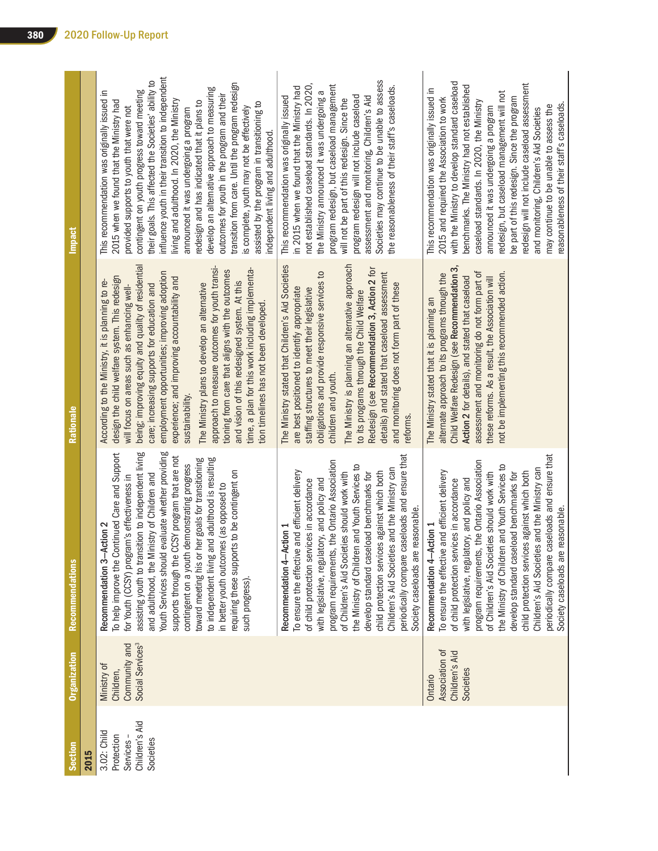| <b>Section</b>                                                       | <b>Organization</b>                                                       | <b>Recommendations</b>                                                                                                                                                                                                                                                                                                                                                                                                                                                                                                                                                                                       | Rationale                                                                                                                                                                                                                                                                                                                                                                                                                                                                                                                                                                                                                                                                     | <b>Impact</b>                                                                                                                                                                                                                                                                                                                                                                                                                                                                                                                                                                                                                                                                                                                |
|----------------------------------------------------------------------|---------------------------------------------------------------------------|--------------------------------------------------------------------------------------------------------------------------------------------------------------------------------------------------------------------------------------------------------------------------------------------------------------------------------------------------------------------------------------------------------------------------------------------------------------------------------------------------------------------------------------------------------------------------------------------------------------|-------------------------------------------------------------------------------------------------------------------------------------------------------------------------------------------------------------------------------------------------------------------------------------------------------------------------------------------------------------------------------------------------------------------------------------------------------------------------------------------------------------------------------------------------------------------------------------------------------------------------------------------------------------------------------|------------------------------------------------------------------------------------------------------------------------------------------------------------------------------------------------------------------------------------------------------------------------------------------------------------------------------------------------------------------------------------------------------------------------------------------------------------------------------------------------------------------------------------------------------------------------------------------------------------------------------------------------------------------------------------------------------------------------------|
| 2015                                                                 |                                                                           |                                                                                                                                                                                                                                                                                                                                                                                                                                                                                                                                                                                                              |                                                                                                                                                                                                                                                                                                                                                                                                                                                                                                                                                                                                                                                                               |                                                                                                                                                                                                                                                                                                                                                                                                                                                                                                                                                                                                                                                                                                                              |
| Children's Aid<br>3.02: Child<br>Protection<br>Societies<br>Services | Social Services <sup>3</sup><br>Community and<br>Ministry of<br>Children, | Youth Services should evaluate whether providing<br>To help improve the Continued Care and Support<br>assisting youth to transition to independent living<br>supports through the CCSY program that are not<br>to independent living and adulthood is resulting<br>toward meeting his or her goals for transitioning<br>contingent on a youth demonstrating progress<br>requiring these supports to be contingent on<br>and adulthood, the Ministry of Children and<br>for Youth (CCSY) program's effectiveness in<br>in better youth outcomes (as opposed to<br>Recommendation 3-Action 2<br>such progress) | being; improving equity and quality of residential<br>approach to measure outcomes for youth transi-<br>time, a plan for this work including implementa-<br>tioning from care that aligns with the outcomes<br>employment opportunities; improving adoption<br>design the child welfare system. This redesign<br>experience; and improving accountability and<br>and vision of this redesigned system. At this<br>According to the Ministry, it is planning to re-<br>care; increasing supports for education and<br>The Ministry plans to develop an alternative<br>will focus on areas such as enhancing well-<br>tion timelines has not been developed.<br>sustainability. | influence youth in their transition to independent<br>their goals. This affected the Societies' ability to<br>transition from care. Until the program redesign<br>develop an alternative approach to measuring<br>contingent on youth progress toward meeting<br>This recommendation was originally issued in<br>outcomes for youth in the program and their<br>2015 when we found that the Ministry had<br>living and adulthood. In 2020, the Ministry<br>redesign and has indicated that it plans to<br>assisted by the program in transitioning to<br>provided supports to youth that were not<br>is complete, youth may not be effectively<br>announced it was undergoing a program<br>independent living and adulthood. |
|                                                                      |                                                                           | periodically compare caseloads and ensure that<br>the Ontario Association<br>and Youth Services to<br>Children's Aid Societies and the Ministry can<br>of Children's Aid Societies should work with<br>To ensure the effective and efficient delivery<br>child protection services against which both<br>develop standard caseload benchmarks for<br>with legislative, regulatory, and policy and<br>of child protection services in accordance<br>Society caseloads are reasonable.<br>Recommendation 4-Action 1<br>the Ministry of Children<br>program requirements,                                       | The Ministry is planning an alternative approach<br>The Ministry stated that Children's Aid Societies<br>Redesign (see Recommendation 3, Action 2 for<br>details) and stated that caseload assessment<br>obligations and provide responsive services to<br>and monitoring does not form part of these<br>are best positioned to identify appropriate<br>staffing structures to meet their legislative<br>to its programs through the Child Welfare<br>children and youth.<br>reforms.                                                                                                                                                                                         | Societies may continue to be unable to assess<br>not established caseload standards. In 2020,<br>program redesign, but caseload management<br>the reasonableness of their staff's caseloads.<br>in 2015 when we found that the Ministry had<br>the Ministry announced it was undergoing a<br>program redesign will not include caseload<br>This recommendation was originally issued<br>assessment and monitoring, Children's Aid<br>will not be part of this redesign. Since the                                                                                                                                                                                                                                            |
|                                                                      | Association of<br>Children's Aid<br>Societies<br>Ontario                  | periodically compare caseloads and ensure that<br>the Ontario Association<br>and Youth Services to<br>Children's Aid Societies and the Ministry can<br>To ensure the effective and efficient delivery<br>of Children's Aid Societies should work with<br>child protection services against which both<br>develop standard caseload benchmarks for<br>with legislative, regulatory, and policy and<br>of child protection services in accordance<br>reasonable.<br>Recommendation 4-Action 1<br>the Ministry of Children<br>program requirements,<br>Society caseloads are                                    | Child Welfare Redesign (see Recommendation 3,<br>assessment and monitoring do not form part of<br>not be implementing this recommended action.<br>alternate approach to its programs through the<br>Action 2 for details), and stated that caseload<br>these reforms. As a result, the Association will<br>The Ministry stated that it is planning an                                                                                                                                                                                                                                                                                                                         | with the Ministry to develop standard caseload<br>redesign will not include caseload assessment<br>benchmarks. The Ministry had not established<br>This recommendation was originally issued in<br>redesign, but caseload management will not<br>be part of this redesign. Since the program<br>2015 and required the Association to work<br>caseload standards. In 2020, the Ministry<br>reasonableness of their staff's caseloads.<br>may continue to be unable to assess the<br>announced it was undergoing a program<br>and monitoring, Children's Aid Societies                                                                                                                                                         |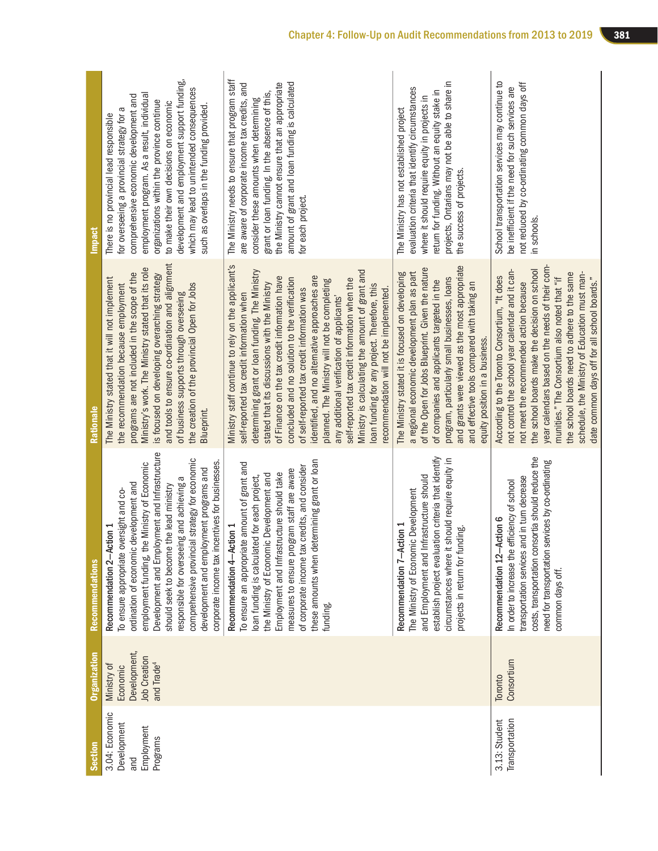| <b>Section</b>                                                 | <b>Organization</b>                                                                      | Recommendations                                                                                                                                                                                                                                                                                                                                                                                                                                          | Rationale                                                                                                                                                                                                                                                                                                                                                                                                                                                                                                                                                                                                                                                                                          | Impact                                                                                                                                                                                                                                                                                                                                                                                                          |
|----------------------------------------------------------------|------------------------------------------------------------------------------------------|----------------------------------------------------------------------------------------------------------------------------------------------------------------------------------------------------------------------------------------------------------------------------------------------------------------------------------------------------------------------------------------------------------------------------------------------------------|----------------------------------------------------------------------------------------------------------------------------------------------------------------------------------------------------------------------------------------------------------------------------------------------------------------------------------------------------------------------------------------------------------------------------------------------------------------------------------------------------------------------------------------------------------------------------------------------------------------------------------------------------------------------------------------------------|-----------------------------------------------------------------------------------------------------------------------------------------------------------------------------------------------------------------------------------------------------------------------------------------------------------------------------------------------------------------------------------------------------------------|
| 3.04: Economic<br>Development<br>Employment<br>Programs<br>and | Development,<br><b>Job Creation</b><br>and Trade <sup>4</sup><br>Ministry of<br>Economic | Development and Employment and Infrastructure<br>comprehensive provincial strategy for economic<br>corporate income tax incentives for businesses.<br>employment funding, the Ministry of Economic<br>development and employment programs and<br>responsible for overseeing and achieving a<br>ordination of economic development and<br>should seek to become the lead ministry<br>To ensure appropriate oversight and co-<br>Recommendation 2-Action 1 | and tools to ensure co-ordination and alignment<br>Ministry's work. The Ministry stated that its role<br>programs are not included in the scope of the<br>is focused on developing overarching strategy<br>The Ministry stated that it will not implement<br>the recommendation because employment<br>the creation of the provincial Open for Jobs<br>of business supports through overseeing<br>Blueprint.                                                                                                                                                                                                                                                                                        | development and employment support funding,<br>which may lead to unintended consequences<br>employment program. As a result, individual<br>comprehensive economic development and<br>organizations within the province continue<br>to make their own decisions on economic<br>such as overlaps in the funding provided<br>for overseeing a provincial strategy for a<br>There is no provincial lead responsible |
|                                                                |                                                                                          | these amounts when determining grant or loan<br>To ensure an appropriate amount of grant and<br>of corporate income tax credits, and consider<br>measures to ensure program staff are aware<br>Employment and Infrastructure should take<br>the Ministry of Economic Development and<br>loan funding is calculated for each project,<br>Recommendation 4-Action 1<br>funding.                                                                            | Ministry staff continue to rely on the applicant's<br>determining grant or loan funding. The Ministry<br>Ministry is calculating the amount of grant and<br>identified, and no alternative approaches are<br>of Finance on the tax credit information have<br>concluded and no solution to the verification<br>self-reported tax credit information when the<br>planned. The Ministry will not be completing<br>stated that its discussions with the Ministry<br>loan funding for any project. Therefore, this<br>of self-reported tax credit information was<br>ecommendation will not be implemented.<br>self-reported tax credit information when<br>any additional verification of applicants' | The Ministry needs to ensure that program staff<br>amount of grant and loan funding is calculated<br>are aware of corporate income tax credits, and<br>the Ministry cannot ensure that an appropriate<br>grant or loan funding. In the absence of this,<br>consider these amounts when determining<br>for each project.                                                                                         |
|                                                                |                                                                                          | establish project evaluation criteria that identify<br>circumstances where it should require equity in<br>and Employment and Infrastructure should<br>The Ministry of Economic Development<br>Recommendation 7-Action 1<br>projects in return for funding.                                                                                                                                                                                               | and grants were viewed as the most appropriate<br>of the Open for Jobs Blueprint. Given the nature<br>a regional economic development plan as part<br>The Ministry stated it is focused on developing<br>program, particularly small businesses, loans<br>of companies and applicants targeted in the<br>and effective tools compared with taking an<br>equity position in a business.                                                                                                                                                                                                                                                                                                             | projects, Ontarians may not be able to share in<br>evaluation criteria that identify circumstances<br>return for funding. Without an equity stake in<br>where it should require equity in projects in<br>The Ministry has not established project<br>the success of projects                                                                                                                                    |
| Transportation<br>3.13: Student                                | Consortium<br>Toronto                                                                    | costs, transportation consortia should reduce the<br>need for transportation services by co-ordinating<br>transportation services and in turn decrease<br>In order to increase the efficiency of school<br>Recommendation 12-Action 6<br>common days off.                                                                                                                                                                                                | year calendars based on the needs of their com-<br>the school boards make the decision on school<br>not control the school year calendar and it can-<br>schedule, the Ministry of Education must man-<br>the school boards need to adhere to the same<br>According to the Toronto Consortium, "It does<br>munities." The Consortium also noted that "if<br>date common days off for all school boards."<br>not meet the recommended action because                                                                                                                                                                                                                                                 | School transportation services may continue to<br>not reduced by co-ordinating common days off<br>be inefficient if the need for such services are<br>in schools                                                                                                                                                                                                                                                |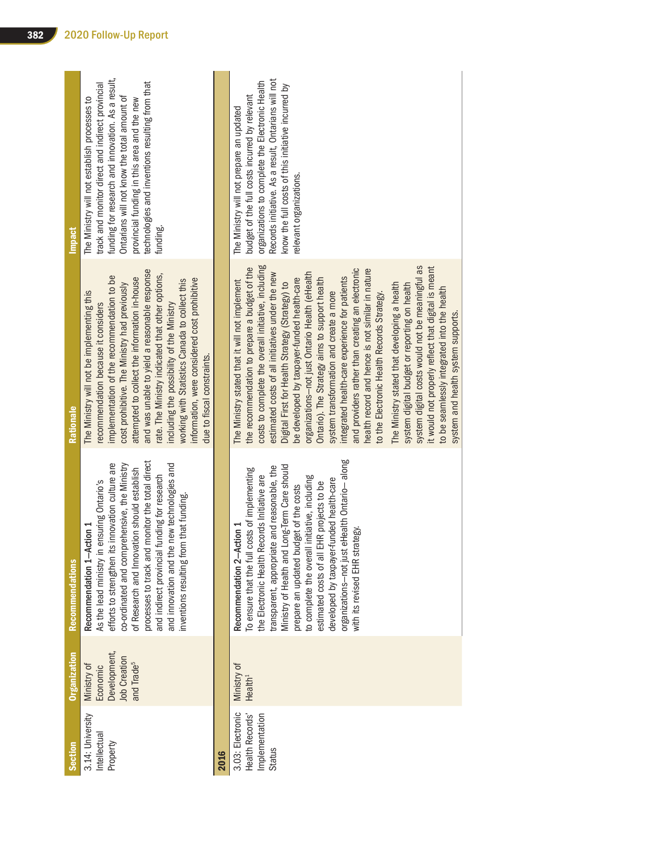| Development,<br><b>Job Creation</b><br>and Trade <sup>5</sup><br>Ministry of<br>Economic<br>3.14: University<br>Intellectual<br>Property<br>2016 | <b>Recommendations</b>                                                                                                                                                                                                                                                                                                                                                                                                                                                                                     | Rationale                                                                                                                                                                                                                                                                                                                                                                                                                                                                                                                                                                                                                                                                                                                                                                                                                                                                                                                                                         | <b>Impact</b>                                                                                                                                                                                                                                                                                                      |
|--------------------------------------------------------------------------------------------------------------------------------------------------|------------------------------------------------------------------------------------------------------------------------------------------------------------------------------------------------------------------------------------------------------------------------------------------------------------------------------------------------------------------------------------------------------------------------------------------------------------------------------------------------------------|-------------------------------------------------------------------------------------------------------------------------------------------------------------------------------------------------------------------------------------------------------------------------------------------------------------------------------------------------------------------------------------------------------------------------------------------------------------------------------------------------------------------------------------------------------------------------------------------------------------------------------------------------------------------------------------------------------------------------------------------------------------------------------------------------------------------------------------------------------------------------------------------------------------------------------------------------------------------|--------------------------------------------------------------------------------------------------------------------------------------------------------------------------------------------------------------------------------------------------------------------------------------------------------------------|
|                                                                                                                                                  | processes to track and monitor the total direct<br>efforts to strengthen its innovation culture are<br>and innovation and the new technologies and<br>co-ordinated and comprehensive, the Ministry<br>of Research and Innovation should establish<br>and indirect provincial funding for research<br>As the lead ministry in ensuring Ontario's<br>inventions resulting from that funding.<br>Recommendation 1-Action 1                                                                                    | and was unable to yield a reasonable response<br>rate. The Ministry indicated that other options,<br>implementation of the recommendation to be<br>attempted to collect the information in-house<br>information, were considered cost prohibitive<br>working with Statistics Canada to collect this<br>cost prohibitive. The Ministry had previously<br>The Ministry will not be implementing this<br>recommendation because it considers<br>including the possibility of the Ministry<br>due to fiscal constraints.                                                                                                                                                                                                                                                                                                                                                                                                                                              | funding for research and innovation. As a result,<br>technologies and inventions resulting from that<br>track and monitor direct and indirect provincial<br>Ontarians will not know the total amount of<br>The Ministry will not establish processes to<br>provincial funding in this area and the new<br>funding. |
|                                                                                                                                                  |                                                                                                                                                                                                                                                                                                                                                                                                                                                                                                            |                                                                                                                                                                                                                                                                                                                                                                                                                                                                                                                                                                                                                                                                                                                                                                                                                                                                                                                                                                   |                                                                                                                                                                                                                                                                                                                    |
| Ministry of<br>Health <sup>1</sup><br>3.03: Electronic<br>Implementation<br><b>Health Records</b><br>Status                                      | eHealth Ontario-along<br>Ministry of Health and Long-Term Care should<br>transparent, appropriate and reasonable, the<br>To ensure that the full costs of implementing<br>the Electronic Health Records Initiative are<br>initiative, including<br>developed by taxpayer-funded health-care<br>estimated costs of all EHR projects to be<br>prepare an updated budget of the costs<br>Recommendation 2-Action 1<br>ategy.<br>to complete the overall<br>with its revised EHR str<br>organizations-not just | costs to complete the overall initiative, including<br>system digital costs would not be meaningful as<br>it would not properly reflect that digital is meant<br>the recommendation to prepare a budget of the<br>and providers rather than creating an electronic<br>health record and hence is not similar in nature<br>estimated costs of all initiatives under the new<br>organizations-not just Ontario Health (eHealth<br>integrated health-care experience for patients<br>be developed by taxpayer-funded health-care<br>Ontario). The Strategy aims to support health<br>The Ministry stated that it will not implement<br>Digital First for Health Strategy (Strategy) to<br>The Ministry stated that developing a health<br>system digital budget or reporting on health<br>to be seamlessly integrated into the health<br>system transformation and create a more<br>to the Electronic Health Records Strategy.<br>system and health system supports. | Records initiative. As a result, Ontarians will not<br>organizations to complete the Electronic Health<br>know the full costs of this initiative incurred by<br>budget of the full costs incurred by relevant<br>The Ministry will not prepare an updated<br>relevant organizations.                               |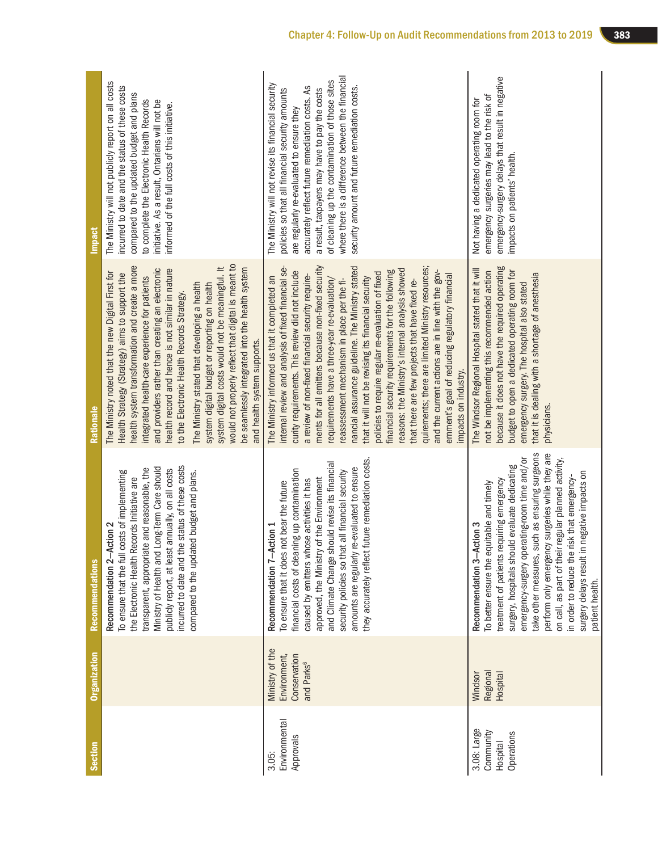| <b>Section</b>                                     | <b>Organization</b>                                                       | <b>Recommendations</b>                                                                                                                                                                                                                                                                                                                                                                                                                                                                                | Rationale                                                                                                                                                                                                                                                                                                                                                                                                                                                                                                                                                                                                                                                                                                                                                                                                                                                                          | <b>Impact</b>                                                                                                                                                                                                                                                                                                                                                                                                    |
|----------------------------------------------------|---------------------------------------------------------------------------|-------------------------------------------------------------------------------------------------------------------------------------------------------------------------------------------------------------------------------------------------------------------------------------------------------------------------------------------------------------------------------------------------------------------------------------------------------------------------------------------------------|------------------------------------------------------------------------------------------------------------------------------------------------------------------------------------------------------------------------------------------------------------------------------------------------------------------------------------------------------------------------------------------------------------------------------------------------------------------------------------------------------------------------------------------------------------------------------------------------------------------------------------------------------------------------------------------------------------------------------------------------------------------------------------------------------------------------------------------------------------------------------------|------------------------------------------------------------------------------------------------------------------------------------------------------------------------------------------------------------------------------------------------------------------------------------------------------------------------------------------------------------------------------------------------------------------|
|                                                    |                                                                           | incurred to date and the status of these costs<br>Long-Term Care should<br>transparent, appropriate and reasonable, the<br>publicly report, at least annually, on all costs<br>To ensure that the full costs of implementing<br>compared to the updated budget and plans.<br>the Electronic Health Records Initiative are<br>Recommendation 2-Action 2<br>Ministry of Health and                                                                                                                      | would not properly reflect that digital is meant to<br>health system transformation and create a more<br>system digital costs would not be meaningful. It<br>be seamlessly integrated into the health system<br>and providers rather than creating an electronic<br>health record and hence is not similar in nature<br>The Ministry noted that the new Digital First for<br>Health Strategy (Strategy) aims to support the<br>integrated health-care experience for patients<br>The Ministry stated that developing a health<br>system digital budget or reporting on health<br>to the Electronic Health Records Strategy.<br>and health system supports.                                                                                                                                                                                                                         | The Ministry will not publicly report on all costs<br>incurred to date and the status of these costs<br>compared to the updated budget and plans<br>initiative. As a result, Ontarians will not be<br>to complete the Electronic Health Records<br>informed of the full costs of this initiative.                                                                                                                |
| Environmental<br>Approvals<br>3.05:                | Ministry of the<br>Conservation<br>Environment,<br>and Parks <sup>6</sup> | future remediation costs.<br>and Climate Change should revise its financial<br>amounts are regularly re-evaluated to ensure<br>financial costs of cleaning up contamination<br>security policies so that all financial security<br>approved, the Ministry of the Environment<br>caused by emitters whose activities it has<br>To ensure that it does not bear the future<br>Recommendation 7-Action 1<br>they accurately reflect                                                                      | ments for all emitters because non-fixed security<br>nancial assurance guideline. The Ministry stated<br>quirements; there are limited Ministry resources;<br>intemal review and analysis of fixed financial se-<br>reasons: the Ministry's internal analysis showed<br>and the current actions are in line with the gov-<br>financial security requirements for the following<br>curity requirements. This review did not include<br>policies to require regular re-evaluation of fixed<br>emment's goal of reducing regulatory financial<br>a review of non-fixed financial security require-<br>The Ministry informed us that it completed an<br>requirements have a three-year re-evaluation/<br>that it will not be revising its financial security<br>reassessment mechanism in place per the fi-<br>that there are few projects that have fixed re-<br>impacts on industry. | where there is a difference between the financial<br>of cleaning up the contamination of those sites<br>The Ministry will not revise its financial security<br>accurately reflect future remediation costs. As<br>security amount and future remediation costs.<br>a result, taxpayers may have to pay the costs<br>policies so that all financial security amounts<br>are regularly re-evaluated to ensure they |
| 3.08: Large<br>Community<br>Operations<br>Hospital | Regional<br><b>Hospital</b><br>Windsor                                    | take other measures, such as ensuring surgeons<br>perform only emergency surgeries while they are<br>emergency-surgery operating-room time and/or<br>on call, as part of their regular planned activity,<br>surgery, hospitals should evaluate dedicating<br>negative impacts on<br>in order to reduce the risk that emergency-<br>treatment of patients requiring emergency<br>To better ensure the equitable and timely<br>Recommendation 3-Action 3<br>surgery delays result in<br>patient health. | because it does not have the required operating<br>The Windsor Regional Hospital stated that it will<br>budget to open a dedicated operating room for<br>not be implementing this recommended action<br>that it is dealing with a shortage of anesthesia<br>emergency surgery. The hospital also stated<br>physicians.                                                                                                                                                                                                                                                                                                                                                                                                                                                                                                                                                             | emergency-surgery delays that result in negative<br>emergency surgeries may lead to the risk of<br>Not having a dedicated operating room for<br>impacts on patients' health.                                                                                                                                                                                                                                     |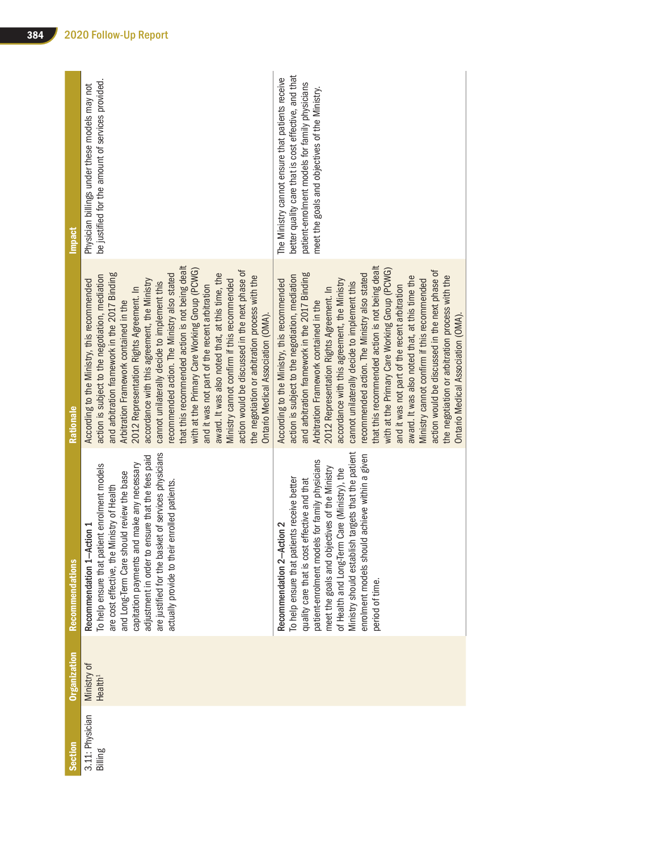| Section                    | <b>Organization</b>                | Recommendations                                                                                                                                                                                                                                                                                                                                                                                            | Rationale                                                                                                                                                                                                                                                                                                                                                                                                                                                                                                                                                                                                                                                                                                                                                                                | <b>Impact</b>                                                                                                                                                                                                |
|----------------------------|------------------------------------|------------------------------------------------------------------------------------------------------------------------------------------------------------------------------------------------------------------------------------------------------------------------------------------------------------------------------------------------------------------------------------------------------------|------------------------------------------------------------------------------------------------------------------------------------------------------------------------------------------------------------------------------------------------------------------------------------------------------------------------------------------------------------------------------------------------------------------------------------------------------------------------------------------------------------------------------------------------------------------------------------------------------------------------------------------------------------------------------------------------------------------------------------------------------------------------------------------|--------------------------------------------------------------------------------------------------------------------------------------------------------------------------------------------------------------|
| 3.11: Physician<br>Billing | Ministry of<br>Health <sup>1</sup> | are justified for the basket of services physicians<br>adjustment in order to ensure that the fees paid<br>d make any necessary<br>To help ensure that patient enrolment models<br>and Long-Term Care should review the base<br>enrolled patients.<br>are cost effective, the Ministry of Health<br>Recommendation 1-Action 1<br>capitation payments an<br>actually provide to their                       | that this recommended action is not being dealt<br>with at the Primary Care Working Group (PCWG)<br>action would be discussed in the next phase of<br>award. It was also noted that, at this time, the<br>and arbitration framework in the 2017 Binding<br>recommended action. The Ministry also stated<br>action is subject to the negotiation, mediation<br>the negotiation or arbitration process with the<br>Ministry cannot confirm if this recommended<br>accordance with this agreement, the Ministry<br>According to the Ministry, this recommended<br>cannot unilaterally decide to implement this<br>and it was not part of the recent arbitration<br>2012 Representation Rights Agreement. In<br>Arbitration Framework contained in the<br>Ontario Medical Association (OMA). | be justified for the amount of services provided.<br>Physician billings under these models may not                                                                                                           |
|                            |                                    | Ministry should establish targets that the patient<br>enrolment models should achieve within a given<br>Is for family physicians<br>meet the goals and objectives of the Ministry<br>of Health and Long-Term Care (Ministry), the<br>To help ensure that patients receive better<br>quality care that is cost effective and that<br>Recommendation 2-Action 2<br>patient-enrolment mode<br>period of time. | that this recommended action is not being dealt<br>with at the Primary Care Working Group (PCWG)<br>action would be discussed in the next phase of<br>and arbitration framework in the 2017 Binding<br>recommended action. The Ministry also stated<br>action is subject to the negotiation, mediation<br>award. It was also noted that, at this time the<br>the negotiation or arbitration process with the<br>According to the Ministry, this recommended<br>accordance with this agreement, the Ministry<br>Ministry cannot confirm if this recommended<br>cannot unilaterally decide to implement this<br>and it was not part of the recent arbitration<br>2012 Representation Rights Agreement. In<br>Arbitration Framework contained in the<br>Ontario Medical Association (OMA).  | better quality care that is cost effective, and that<br>The Ministry cannot ensure that patients receive<br>patient-enrolment models for family physicians<br>meet the goals and objectives of the Ministry. |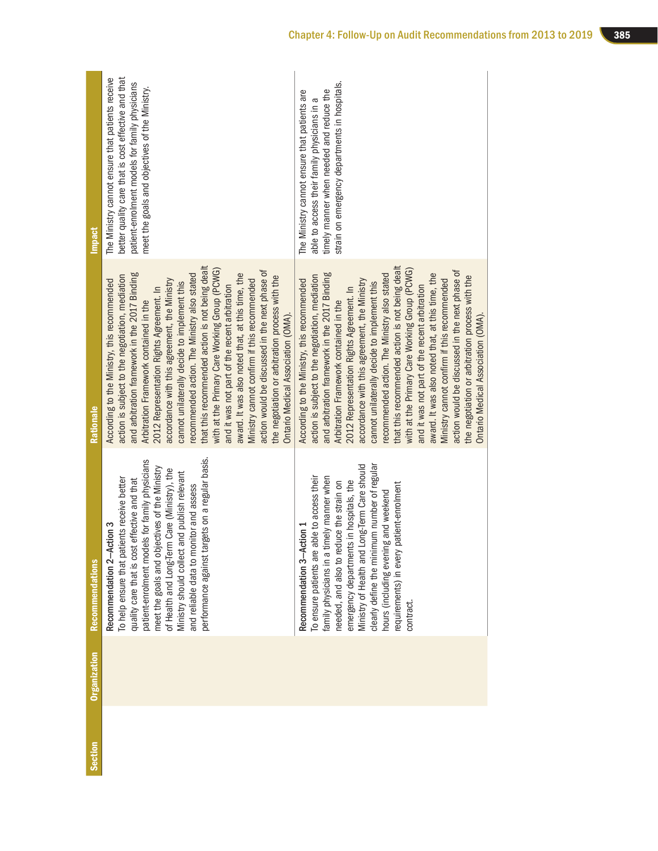| Section | <b>Organization</b> | <b>Recommendations</b>                                                                                                                                                                                                                                                                                                                                                                                                        | Rationale                                                                                                                                                                                                                                                                                                                                                                                                                                                                                                                                                                                                                                                                                                                                                                                | <b>Impact</b>                                                                                                                                                                                               |
|---------|---------------------|-------------------------------------------------------------------------------------------------------------------------------------------------------------------------------------------------------------------------------------------------------------------------------------------------------------------------------------------------------------------------------------------------------------------------------|------------------------------------------------------------------------------------------------------------------------------------------------------------------------------------------------------------------------------------------------------------------------------------------------------------------------------------------------------------------------------------------------------------------------------------------------------------------------------------------------------------------------------------------------------------------------------------------------------------------------------------------------------------------------------------------------------------------------------------------------------------------------------------------|-------------------------------------------------------------------------------------------------------------------------------------------------------------------------------------------------------------|
|         |                     | performance against targets on a regular basis.<br>patient-enrolment models for family physicians<br>meet the goals and objectives of the Ministry<br>of Health and Long-Term Care (Ministry), the<br>Ministry should collect and publish relevant<br>To help ensure that patients receive better<br>quality care that is cost effective and that<br>and reliable data to monitor and assess<br>Action 3<br>Recommendation 2- | that this recommended action is not being dealt<br>with at the Primary Care Working Group (PCWG)<br>action would be discussed in the next phase of<br>and arbitration framework in the 2017 Binding<br>award. It was also noted that, at this time, the<br>recommended action. The Ministry also stated<br>action is subject to the negotiation, mediation<br>the negotiation or arbitration process with the<br>accordance with this agreement, the Ministry<br>According to the Ministry, this recommended<br>Ministry cannot confirm if this recommended<br>cannot unilaterally decide to implement this<br>and it was not part of the recent arbitration<br>2012 Representation Rights Agreement. In<br>Arbitration Framework contained in the<br>Ontario Medical Association (OMA). | better quality care that is cost effective and that<br>The Ministry cannot ensure that patients receive<br>patient-enrolment models for family physicians<br>meet the goals and objectives of the Ministry. |
|         |                     | Ministry of Health and Long-Term Care should<br>clearly define the minimum number of regular<br>able to access their<br>family physicians in a timely manner when<br>emergency departments in hospitals, the<br>needed, and also to reduce the strain on<br>requirements) in every patient-enrolment<br>hours (including evening and weekend<br>Action 1<br>To ensure patients are<br>Recommendation 3-<br>contract.          | that this recommended action is not being dealt<br>with at the Primary Care Working Group (PCWG)<br>action would be discussed in the next phase of<br>and arbitration framework in the 2017 Binding<br>award. It was also noted that, at this time, the<br>recommended action. The Ministry also stated<br>action is subject to the negotiation, mediation<br>the negotiation or arbitration process with the<br>According to the Ministry, this recommended<br>accordance with this agreement, the Ministry<br>Ministry cannot confirm if this recommended<br>cannot unilaterally decide to implement this<br>and it was not part of the recent arbitration<br>2012 Representation Rights Agreement. In<br>Arbitration Framework contained in the<br>Ontario Medical Association (OMA). | strain on emergency departments in hospitals.<br>timely manner when needed and reduce the<br>The Ministry cannot ensure that patients are<br>able to access their family physicians in a                    |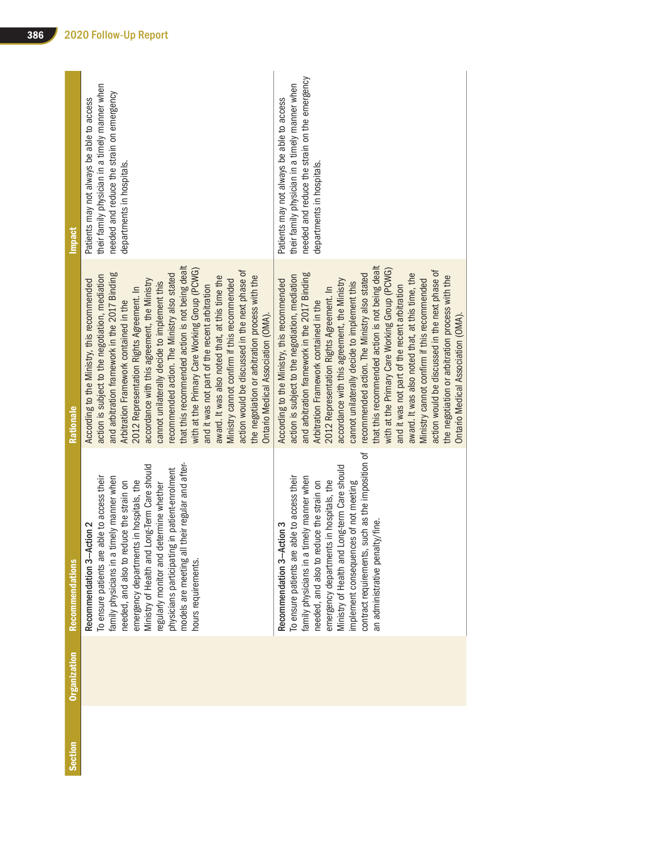| Section | Organization | <b>Recommendations</b>                                                                                                                                                                                                                                                                                                                                                                                                                | <b>Rationale</b>                                                                                                                                                                                                                                                                                                                                                                                                                                                                                                                                                                                                                                                                                                                                                                        | <b>Impact</b>                                                                                                                                                             |
|---------|--------------|---------------------------------------------------------------------------------------------------------------------------------------------------------------------------------------------------------------------------------------------------------------------------------------------------------------------------------------------------------------------------------------------------------------------------------------|-----------------------------------------------------------------------------------------------------------------------------------------------------------------------------------------------------------------------------------------------------------------------------------------------------------------------------------------------------------------------------------------------------------------------------------------------------------------------------------------------------------------------------------------------------------------------------------------------------------------------------------------------------------------------------------------------------------------------------------------------------------------------------------------|---------------------------------------------------------------------------------------------------------------------------------------------------------------------------|
|         |              | models are meeting all their regular and after-<br>Ministry of Health and Long-Term Care should<br>physicians participating in patient-enrolment<br>To ensure patients are able to access their<br>family physicians in a timely manner when<br>in hospitals, the<br>needed, and also to reduce the strain on<br>regularly monitor and determine whether<br>Recommendation 3-Action 2<br>emergency departments<br>hours requirements. | that this recommended action is not being dealt<br>with at the Primary Care Working Group (PCWG)<br>action would be discussed in the next phase of<br>and arbitration framework in the 2017 Binding<br>recommended action. The Ministry also stated<br>action is subject to the negotiation, mediation<br>award. It was also noted that, at this time the<br>the negotiation or arbitration process with the<br>According to the Ministry, this recommended<br>accordance with this agreement, the Ministry<br>Ministry cannot confirm if this recommended<br>cannot unilaterally decide to implement this<br>and it was not part of the recent arbitration<br>2012 Representation Rights Agreement. In<br>Arbitration Framework contained in the<br>Ontario Medical Association (OMA). | their family physician in a timely manner when<br>needed and reduce the strain on emergency<br>Patients may not always be able to access<br>departments in hospitals.     |
|         |              | ich as the imposition of<br>Ministry of Health and Long-term Care should<br>To ensure patients are able to access their<br>family physicians in a timely manner when<br>in hospitals, the<br>implement consequences of not meeting<br>needed, and also to reduce the strain on<br>/fine.<br>Recommendation 3-Action 3<br>emergency departments i<br>an administrative penalty,<br>contract requirements, su                           | that this recommended action is not being dealt<br>with at the Primary Care Working Group (PCWG)<br>action would be discussed in the next phase of<br>and arbitration framework in the 2017 Binding<br>award. It was also noted that, at this time, the<br>recommended action. The Ministry also stated<br>action is subject to the negotiation, mediation<br>the negotiation or arbitration process with the<br>Ministry cannot confirm if this recommended<br>According to the Ministry, this recommended<br>accordance with this agreement, the Ministry<br>cannot unilaterally decide to implement this<br>and it was not part of the recent arbitration<br>2012 Representation Rights Agreement. In<br>Arbitration Framework contained in the<br>Ontario Medical Association (OMA) | needed and reduce the strain on the emergency<br>their family physician in a timely manner when<br>Patients may not always be able to access<br>departments in hospitals. |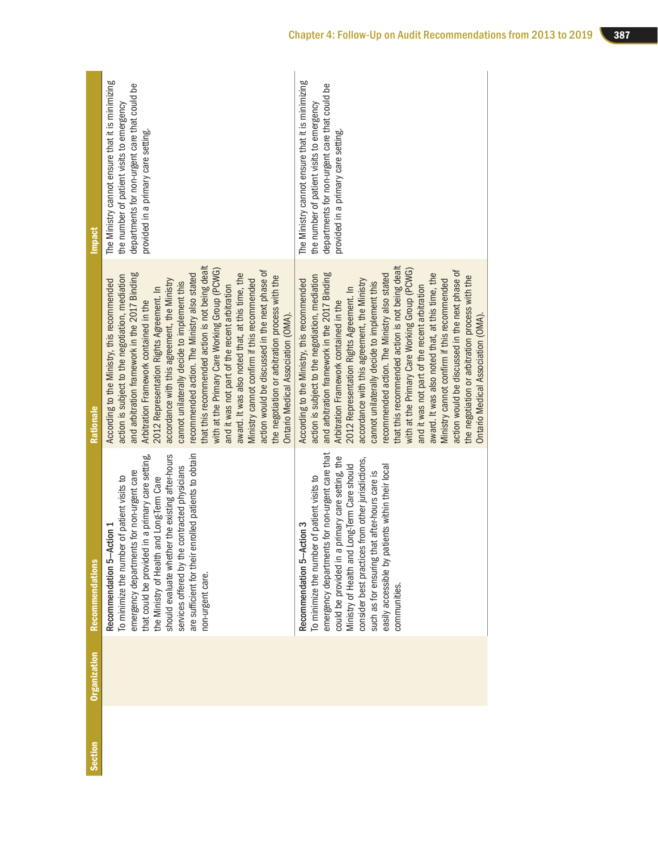| <b>Section</b> | <b>Organization</b> | <b>Recommendations</b>                                                                                                                                                                                                                                                                                                                                                                                             | Rationale                                                                                                                                                                                                                                                                                                                                                                                                                                                                                                                                                                                                                                                                                                                                                                                | <b>Impact</b>                                                                                                                                                                         |
|----------------|---------------------|--------------------------------------------------------------------------------------------------------------------------------------------------------------------------------------------------------------------------------------------------------------------------------------------------------------------------------------------------------------------------------------------------------------------|------------------------------------------------------------------------------------------------------------------------------------------------------------------------------------------------------------------------------------------------------------------------------------------------------------------------------------------------------------------------------------------------------------------------------------------------------------------------------------------------------------------------------------------------------------------------------------------------------------------------------------------------------------------------------------------------------------------------------------------------------------------------------------------|---------------------------------------------------------------------------------------------------------------------------------------------------------------------------------------|
|                |                     | enrolled patients to obtain<br>that could be provided in a primary care setting,<br>should evaluate whether the existing after-hours<br>services offered by the contracted physicians<br>emergency departments for non-urgent care<br>To minimize the number of patient visits to<br>and Long-Term Care<br>Action 1<br>Recommendation 5-<br>the Ministry of Health<br>are sufficient for their<br>non-urgent care. | that this recommended action is not being dealt<br>with at the Primary Care Working Group (PCWG)<br>action would be discussed in the next phase of<br>and arbitration framework in the 2017 Binding<br>award. It was also noted that, at this time, the<br>recommended action. The Ministry also stated<br>action is subject to the negotiation, mediation<br>the negotiation or arbitration process with the<br>accordance with this agreement, the Ministry<br>Ministry cannot confirm if this recommended<br>According to the Ministry, this recommended<br>cannot unilaterally decide to implement this<br>and it was not part of the recent arbitration<br>2012 Representation Rights Agreement. In<br>Arbitration Framework contained in the<br>Ontario Medical Association (OMA). | The Ministry cannot ensure that it is minimizing<br>departments for non-urgent care that could be<br>the number of patient visits to emergency<br>provided in a primary care setting. |
|                |                     | emergency departments for non-urgent care that<br>primary care setting, the<br>consider best practices from other jurisdictions,<br>Ministry of Health and Long-Term Care should<br>easily accessible by patients within their local<br>such as for ensuring that after-hours care is<br>To minimize the number of patient visits to<br>Recommendation 5-Action 3<br>could be provided in a<br>communities.        | that this recommended action is not being dealt<br>with at the Primary Care Working Group (PCWG)<br>action would be discussed in the next phase of<br>and arbitration framework in the 2017 Binding<br>award. It was also noted that, at this time, the<br>recommended action. The Ministry also stated<br>action is subject to the negotiation, mediation<br>the negotiation or arbitration process with the<br>Ministry cannot confirm if this recommended<br>According to the Ministry, this recommended<br>accordance with this agreement, the Ministry<br>cannot unilaterally decide to implement this<br>and it was not part of the recent arbitration<br>2012 Representation Rights Agreement. In<br>Arbitration Framework contained in the<br>Ontario Medical Association (OMA). | The Ministry cannot ensure that it is minimizing<br>departments for non-urgent care that could be<br>the number of patient visits to emergency<br>provided in a primary care setting. |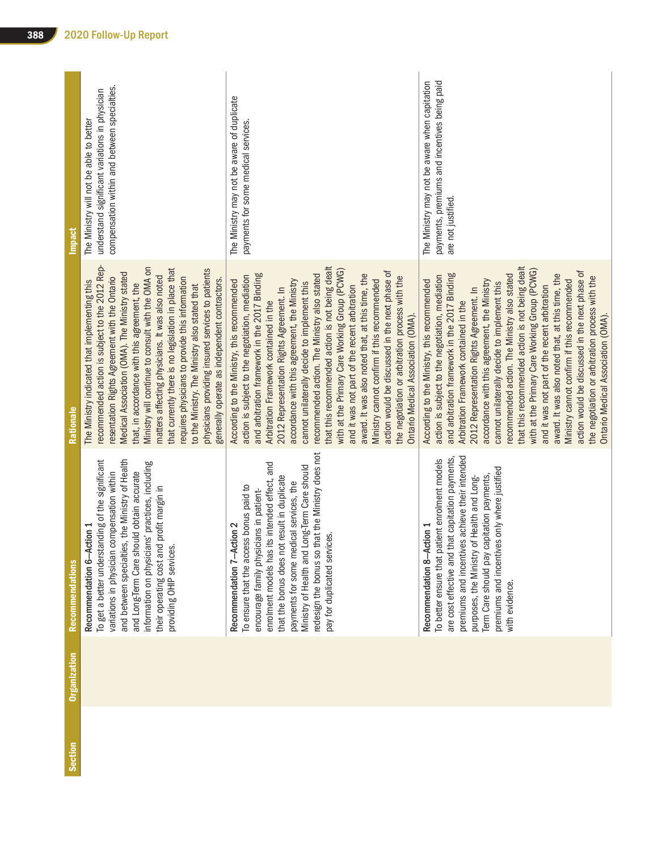| <b>Section</b> | <b>Organization</b> | <b>Recommendations</b>                                                                                                                                                                                                                                                                                                                                                                         | Rationale                                                                                                                                                                                                                                                                                                                                                                                                                                                                                                                                                                                                                                                                                                                                                                                | <b>Impact</b>                                                                                                                             |
|----------------|---------------------|------------------------------------------------------------------------------------------------------------------------------------------------------------------------------------------------------------------------------------------------------------------------------------------------------------------------------------------------------------------------------------------------|------------------------------------------------------------------------------------------------------------------------------------------------------------------------------------------------------------------------------------------------------------------------------------------------------------------------------------------------------------------------------------------------------------------------------------------------------------------------------------------------------------------------------------------------------------------------------------------------------------------------------------------------------------------------------------------------------------------------------------------------------------------------------------------|-------------------------------------------------------------------------------------------------------------------------------------------|
|                |                     | and between specialties, the Ministry of Health<br>To get a better understanding of the significant<br>information on physicians' practices, including<br>variations in physician compensation within<br>and Long-Term Care should obtain accurate<br>their operating cost and profit margin in<br>Recommendation 6-Action 1<br>providing OHIP services                                        | recommended action is subject to the 2012 Rep-<br>Ministry will continue to consult with the OMA on<br>that currently there is no legislation in place that<br>physicians providing insured services to patients<br>Medical Association (OMA). The Ministry stated<br>matters affecting physicians. It was also noted<br>requires physicians to provide this information<br>resentation Rights Agreement with the Ontario<br>generally operate as independent contractors.<br>The Ministry indicated that implementing this<br>that, in accordance with this agreement, the<br>to the Ministry. The Ministry also stated that                                                                                                                                                            | compensation within and between specialties.<br>understand significant variations in physician<br>The Ministry will not be able to better |
|                |                     | redesign the bonus so that the Ministry does not<br>enrolment models has its intended effect, and<br>Ministry of Health and Long-Term Care should<br>that the bonus does not result in duplicate<br>payments for some medical services, the<br>To ensure that the access bonus paid to<br>encourage family physicians in patient-<br>Recommendation 7-Action 2<br>pay for duplicated services. | that this recommended action is not being dealt<br>with at the Primary Care Working Group (PCWG)<br>action would be discussed in the next phase of<br>recommended action. The Ministry also stated<br>and arbitration framework in the 2017 Binding<br>award. It was also noted that, at this time, the<br>the negotiation or arbitration process with the<br>action is subject to the negotiation, mediation<br>Ministry cannot confirm if this recommended<br>accordance with this agreement, the Ministry<br>According to the Ministry, this recommended<br>cannot unilaterally decide to implement this<br>and it was not part of the recent arbitration<br>2012 Representation Rights Agreement. In<br>Arbitration Framework contained in the<br>Ontario Medical Association (OMA). | The Ministry may not be aware of duplicate<br>payments for some medical services.                                                         |
|                |                     | premiums and incentives achieve their intended<br>are cost effective and that capitation payments,<br>To better ensure that patient enrolment models<br>premiums and incentives only where justified<br>Term Care should pay capitation payments,<br>purposes, the Ministry of Health and Long-<br>Recommendation 8-Action 1<br>with evidence.                                                 | that this recommended action is not being dealt<br>with at the Primary Care Working Group (PCWG)<br>action would be discussed in the next phase of<br>recommended action. The Ministry also stated<br>and arbitration framework in the 2017 Binding<br>award. It was also noted that, at this time, the<br>action is subject to the negotiation, mediation<br>the negotiation or arbitration process with the<br>Ministry cannot confirm if this recommended<br>According to the Ministry, this recommended<br>accordance with this agreement, the Ministry<br>cannot unilaterally decide to implement this<br>and it was not part of the recent arbitration<br>2012 Representation Rights Agreement. In<br>Arbitration Framework contained in the<br>Ontario Medical Association (OMA). | payments, premiums and incentives being paid<br>The Ministry may not be aware when capitation<br>are not justified.                       |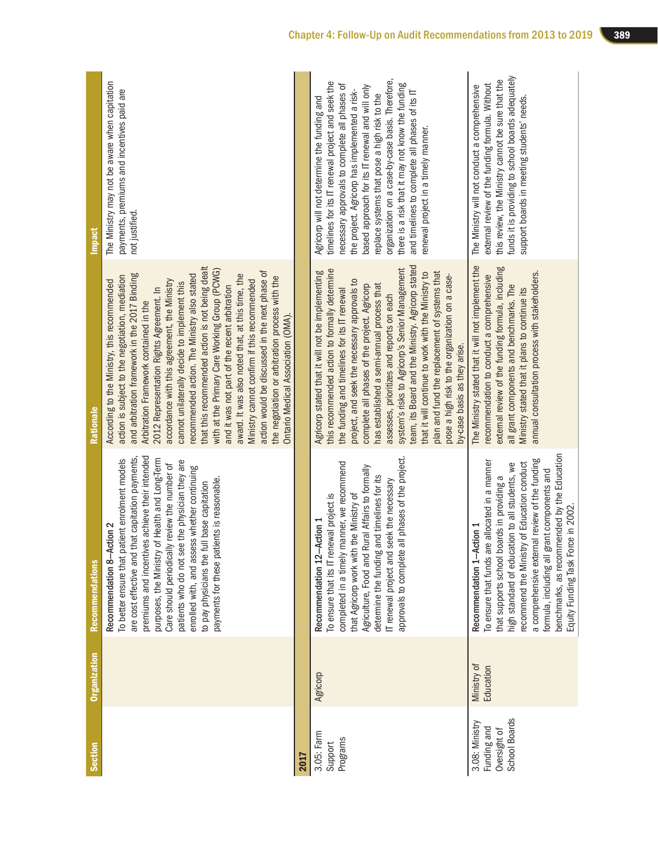| <b>Section</b>                                                 | <b>Organization</b>      | <b>Recommendations</b>                                                                                                                                                                                                                                                                                                                                                                                                                                                                   | Rationale                                                                                                                                                                                                                                                                                                                                                                                                                                                                                                                                                                                                                                                                                                                                                                              | <b>Impact</b>                                                                                                                                                                                                                                                                                                                                                                                                                                                                                          |
|----------------------------------------------------------------|--------------------------|------------------------------------------------------------------------------------------------------------------------------------------------------------------------------------------------------------------------------------------------------------------------------------------------------------------------------------------------------------------------------------------------------------------------------------------------------------------------------------------|----------------------------------------------------------------------------------------------------------------------------------------------------------------------------------------------------------------------------------------------------------------------------------------------------------------------------------------------------------------------------------------------------------------------------------------------------------------------------------------------------------------------------------------------------------------------------------------------------------------------------------------------------------------------------------------------------------------------------------------------------------------------------------------|--------------------------------------------------------------------------------------------------------------------------------------------------------------------------------------------------------------------------------------------------------------------------------------------------------------------------------------------------------------------------------------------------------------------------------------------------------------------------------------------------------|
|                                                                |                          | premiums and incentives achieve their intended<br>are cost effective and that capitation payments,<br>To better ensure that patient enrolment models<br>Health and Long-Term<br>patients who do not see the physician they are<br>Care should periodically review the number of<br>enrolled with, and assess whether continuing<br>payments for these patients is reasonable.<br>base capitation<br>Recommendation 8-Action 2<br>purposes, the Ministry of<br>to pay physicians the full | that this recommended action is not being dealt<br>with at the Primary Care Working Group (PCWG)<br>action would be discussed in the next phase of<br>ecommended action. The Ministry also stated<br>and arbitration framework in the 2017 Binding<br>award. It was also noted that, at this time, the<br>action is subject to the negotiation, mediation<br>the negotiation or arbitration process with the<br>accordance with this agreement, the Ministry<br>Ministry cannot confirm if this recommended<br>According to the Ministry, this recommended<br>cannot unilaterally decide to implement this<br>and it was not part of the recent arbitration<br>2012 Representation Rights Agreement. In<br>Arbitration Framework contained in the<br>Ontario Medical Association (OMA) | The Ministry may not be aware when capitation<br>payments, premiums and incentives paid are<br>not justified.                                                                                                                                                                                                                                                                                                                                                                                          |
| 2017                                                           |                          |                                                                                                                                                                                                                                                                                                                                                                                                                                                                                          |                                                                                                                                                                                                                                                                                                                                                                                                                                                                                                                                                                                                                                                                                                                                                                                        |                                                                                                                                                                                                                                                                                                                                                                                                                                                                                                        |
| 3.05: Farm<br>Programs<br>Support                              | Agricorp                 | approvals to complete all phases of the project.<br>completed in a timely manner, we recommend<br>Agriculture, Food and Rural Affairs to formally<br>determine the funding and timelines for its<br>IT renewal project and seek the necessary<br>that Agricorp work with the Ministry of<br>To ensure that its IT renewal project is<br>Recommendation 12-Action 1                                                                                                                       | team, its Board and the Ministry. Agricorp stated<br>system's risks to Agricorp's Senior Management<br>this recommended action to formally determine<br>plan and fund the replacement of systems that<br>Agricorp stated that it will not be implementing<br>that it will continue to work with the Ministry to<br>pose a high risk to the organization on a case-<br>project, and seek the necessary approvals to<br>has established a semi-annual process that<br>complete all phases of the project. Agricorp<br>the funding and timelines for its IT renewal<br>assesses, prioritizes and reports on each<br>by-case basis as they arise.                                                                                                                                          | organization on a case-by-case basis. Therefore,<br>timelines for its IT renewal project and seek the<br>there is a risk that it may not know the funding<br>necessary approvals to complete all phases of<br>based approach for its IT renewal and will only<br>the project. Agricorp has implemented a risk-<br>and timelines to complete all phases of its IT<br>replace systems that pose a high risk to the<br>Agricorp will not determine the funding and<br>renewal project in a timely manner. |
| School Boards<br>3.08: Ministry<br>Funding and<br>Oversight of | Ministry of<br>Education | benchmarks, as recommended by the Education<br>a comprehensive external review of the funding<br>To ensure that funds are allocated in a manner<br>recommend the Ministry of Education conduct<br>high standard of education to all students, we<br>formula, including all grant components and<br>that supports school boards in providing a<br>Equity Funding Task Force in 2002.<br>Recommendation 1-Action 1                                                                         | The Ministry stated that it will not implement the<br>external review of the funding formula, including<br>annual consultation process with stakeholders.<br>recommendation to conduct a comprehensive<br>all grant components and benchmarks. The<br>Ministry stated that it plans to continue its                                                                                                                                                                                                                                                                                                                                                                                                                                                                                    | funds it is providing to school boards adequately<br>this review, the Ministry cannot be sure that the<br>external review of the funding formula. Without<br>The Ministry will not conduct a comprehensive<br>support boards in meeting students' needs.                                                                                                                                                                                                                                               |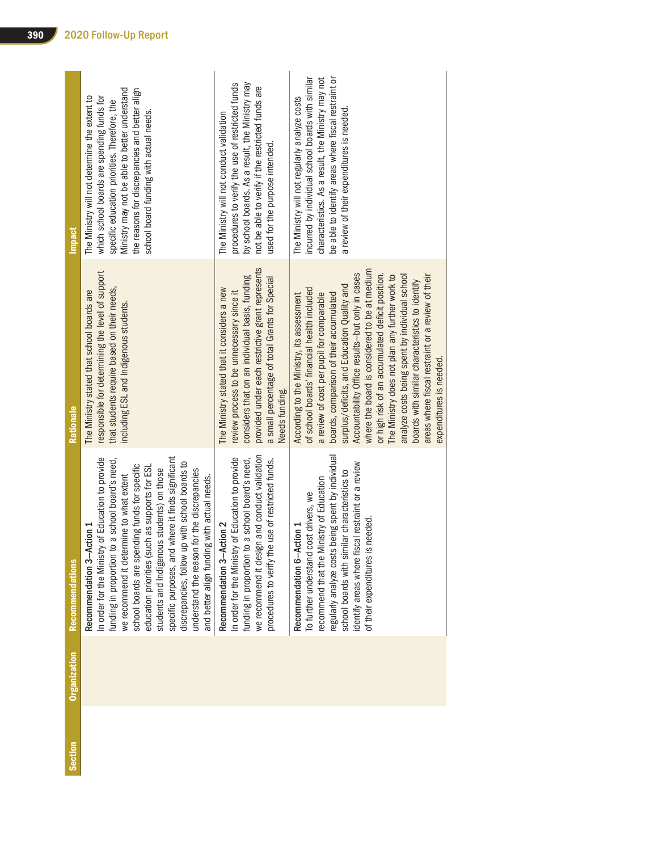| Section | <b>Organization</b> | <b>Recommendations</b>                                                                                                                                                                                                                                                                                                                                                                                                                                                                                                                  | Rationale                                                                                                                                                                                                                                                                                                                                                                                                                                                                                                                                                                                                                      | <b>Impact</b>                                                                                                                                                                                                                                                                              |
|---------|---------------------|-----------------------------------------------------------------------------------------------------------------------------------------------------------------------------------------------------------------------------------------------------------------------------------------------------------------------------------------------------------------------------------------------------------------------------------------------------------------------------------------------------------------------------------------|--------------------------------------------------------------------------------------------------------------------------------------------------------------------------------------------------------------------------------------------------------------------------------------------------------------------------------------------------------------------------------------------------------------------------------------------------------------------------------------------------------------------------------------------------------------------------------------------------------------------------------|--------------------------------------------------------------------------------------------------------------------------------------------------------------------------------------------------------------------------------------------------------------------------------------------|
|         |                     | specific purposes, and where it finds significant<br>y of Education to provide<br>funding in proportion to a school board's need,<br>discrepancies, follow up with school boards to<br>school boards are spending funds for specific<br>education priorities (such as supports for ESI<br>students and Indigenous students) on those<br>understand the reason for the discrepancies<br>we recommend it determine to what extent<br>and better align funding with actual needs.<br>Recommendation 3-Action 1<br>In order for the Ministr | responsible for determining the level of support<br>that students require based on their needs,<br>The Ministry stated that school boards are<br>including ESL and Indigenous students.                                                                                                                                                                                                                                                                                                                                                                                                                                        | Ministry may not be able to better understand<br>the reasons for discrepancies and better align<br>The Ministry will not determine the extent to<br>which school boards are spending funds for<br>specific education priorities. Therefore, the<br>school board funding with actual needs. |
|         |                     | we recommend it design and conduct validation<br>In order for the Ministry of Education to provide<br>funding in proportion to a school board's need,<br>procedures to verify the use of restricted funds.<br>Recommendation 3-Action 2                                                                                                                                                                                                                                                                                                 | provided under each restrictive grant represents<br>considers that on an individual basis, funding<br>a small percentage of total Grants for Special<br>The Ministry stated that it considers a new<br>review process to be unnecessary since it<br>Needs funding.                                                                                                                                                                                                                                                                                                                                                             | by school boards. As a result, the Ministry may<br>procedures to verify the use of restricted funds<br>not be able to verify if the restricted funds are<br>The Ministry will not conduct validation<br>used for the purpose intended.                                                     |
|         |                     | regularly analyze costs being spent by individual<br>identify areas where fiscal restraint or a review<br>school boards with similar characteristics to<br>recommend that the Ministry of Education<br>cost drivers, we<br>needed<br>Recommendation 6-Action 1<br>of their expenditures is<br>To further understand                                                                                                                                                                                                                     | where the board is considered to be at medium<br>Accountability Office results-but only in cases<br>or high risk of an accumulated deficit position.<br>analyze costs being spent by individual school<br>areas where fiscal restraint or a review of their<br>The Ministry does not plan any further work to<br>boards with similar characteristics to identify<br>surplus/deficits, and Education Quality and<br>of school boards' financial health included<br>boards, comparison of their accumulated<br>a review of cost per pupil for comparable<br>According to the Ministry, its assessment<br>expenditures is needed. | incurred by individual school boards with similar<br>be able to identify areas where fiscal restraint or<br>characteristics. As a result, the Ministry may not<br>The Ministry will not regularly analyze costs<br>a review of their expenditures is needed.                               |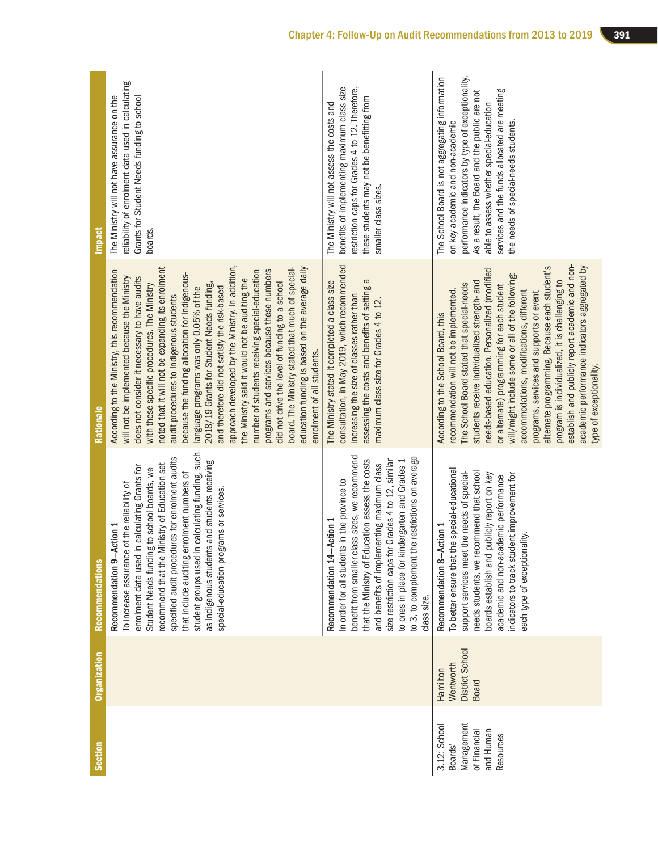| Section                                                                         | <b>Organization</b>                               | <b>Recommendations</b>                                                                                                                                                                                                                                                                                                                                                                                                                                                       | Rationale                                                                                                                                                                                                                                                                                                                                                                                                                                                                                                                                                                                                                                                                                                                                                                                                                                                                               | <b>Impact</b>                                                                                                                                                                                                                                                                                                                 |
|---------------------------------------------------------------------------------|---------------------------------------------------|------------------------------------------------------------------------------------------------------------------------------------------------------------------------------------------------------------------------------------------------------------------------------------------------------------------------------------------------------------------------------------------------------------------------------------------------------------------------------|-----------------------------------------------------------------------------------------------------------------------------------------------------------------------------------------------------------------------------------------------------------------------------------------------------------------------------------------------------------------------------------------------------------------------------------------------------------------------------------------------------------------------------------------------------------------------------------------------------------------------------------------------------------------------------------------------------------------------------------------------------------------------------------------------------------------------------------------------------------------------------------------|-------------------------------------------------------------------------------------------------------------------------------------------------------------------------------------------------------------------------------------------------------------------------------------------------------------------------------|
|                                                                                 |                                                   | student groups used in calculating funding, such<br>specified audit procedures for enrolment audits<br>as Indigenous students and students receiving<br>recommend that the Ministry of Education set<br>enrolment data used in calculating Grants for<br>Student Needs funding to school boards, we<br>that include auditing enrolment numbers of<br>To increase assurance of the reliability of<br>special-education programs or services.<br>Action 1<br>Recommendation 9- | approach developed by the Ministry. In addition,<br>noted that it will not be expanding its enrolment<br>board. The Ministry stated that much of special-<br>education funding is based on the average daily<br>According to the Ministry, this recommendation<br>programs and services because these numbers<br>number of students receiving special-education<br>because the funding allocation for Indigenous-<br>will not be implemented because the Ministry<br>does not consider it necessary to have audits<br>the Ministry said it would not be auditing the<br>did not drive the level of funding to a school<br>with these specific procedures. The Ministry<br>2018/19 Grants for Student Needs funding,<br>language programs was only 0.05% of the<br>and therefore did not satisfy the risk-based<br>audit procedures to Indigenous students<br>enrolment of all students. | reliability of enrolment data used in calculating<br>The Ministry will not have assurance on the<br>Grants for Student Needs funding to school<br>boards.                                                                                                                                                                     |
|                                                                                 |                                                   | benefit from smaller class sizes, we recommend<br>ne restrictions on average<br>that the Ministry of Education assess the costs<br>size restriction caps for Grades 4 to 12, similar<br>to ones in place for kindergarten and Grades 1<br>and benefits of implementing maximum class<br>In order for all students in the province to<br>-Action 1<br>to 3, to complement th<br>Recommendation 14-<br>class size.                                                             | consultation, in May 2019, which recommended<br>assessing the costs and benefits of setting a<br>The Ministry stated it completed a class size<br>increasing the size of classes rather than<br>maximum class size for Grades 4 to 12.                                                                                                                                                                                                                                                                                                                                                                                                                                                                                                                                                                                                                                                  | restriction caps for Grades 4 to 12. Therefore,<br>benefits of implementing maximum class size<br>these students may not be benefitting from<br>The Ministry will not assess the costs and<br>smaller class sizes.                                                                                                            |
| Management<br>3.12: School<br>and Human<br>of Financial<br>Resources<br>Boards' | District School<br>Wentworth<br>Hamilton<br>Board | To better ensure that the special-educational<br>needs students, we recommend that school<br>support services meet the needs of special-<br>publicly report on key<br>indicators to track student improvement for<br>academic and non-academic performance<br>Action 1<br>each type of exceptionality.<br>Recommendation 8-A<br>boards establish and                                                                                                                         | establish and publicly report academic and non-<br>academic performance indicators aggregated by<br>alternate programming. Because each student's<br>needs-based education. Personalized (modified<br>will/might include some or all of the following:<br>program is individualized, it is challenging to<br>students receive individualized strength- and<br>The School Board stated that special-needs<br>or alternate) programming for each student<br>recommendation will not be implemented.<br>accommodations, modifications, different<br>programs, services and supports or event<br>According to the School Board, this<br>type of exceptionality.                                                                                                                                                                                                                             | performance indicators by type of exceptionality.<br>The School Board is not aggregating information<br>services and the funds allocated are meeting<br>As a result, the Board and the public are not<br>able to assess whether special-education<br>the needs of special-needs students.<br>on key academic and non-academic |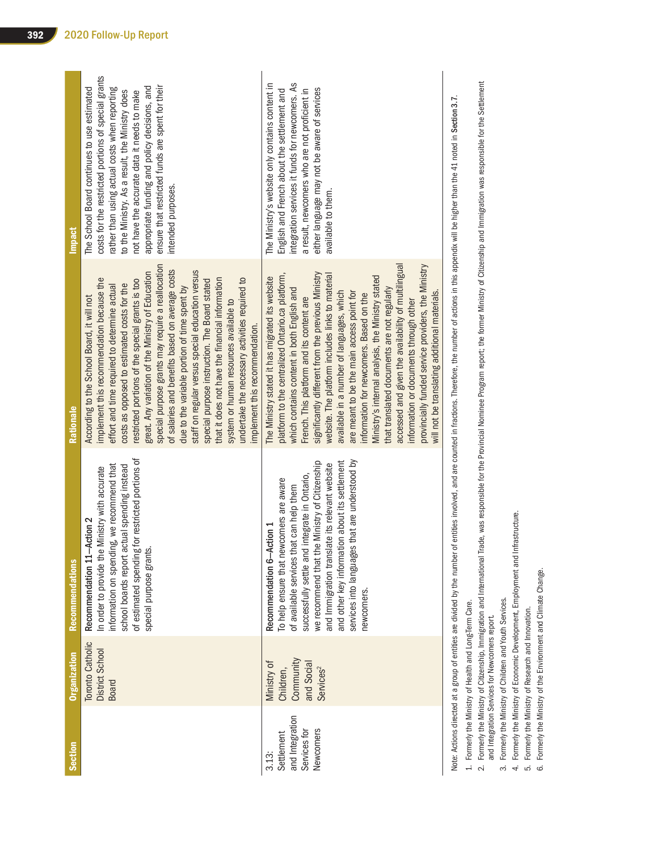| Section                                                            | <b>Organization</b>                                                          | <b>Recommendations</b>                                                                                                                                                                                                                                                                                                                                                                    | Rationale                                                                                                                                                                                                                                                                                                                                                                                                                                                                                                                                                                                                                                                                                                                                                  | <b>Impact</b>                                                                                                                                                                                                                                                                                                                                                                    |
|--------------------------------------------------------------------|------------------------------------------------------------------------------|-------------------------------------------------------------------------------------------------------------------------------------------------------------------------------------------------------------------------------------------------------------------------------------------------------------------------------------------------------------------------------------------|------------------------------------------------------------------------------------------------------------------------------------------------------------------------------------------------------------------------------------------------------------------------------------------------------------------------------------------------------------------------------------------------------------------------------------------------------------------------------------------------------------------------------------------------------------------------------------------------------------------------------------------------------------------------------------------------------------------------------------------------------------|----------------------------------------------------------------------------------------------------------------------------------------------------------------------------------------------------------------------------------------------------------------------------------------------------------------------------------------------------------------------------------|
|                                                                    | Toronto Catholic<br>District School<br><b>Board</b>                          | of estimated spending for restricted portions of<br>information on spending, we recommend that<br>school boards report actual spending instead<br>In order to provide the Ministry with accurate<br>Recommendation 11-Action 2<br>special purpose grants                                                                                                                                  | special purpose grants may require a reallocation<br>of salaries and benefits based on average costs<br>staff on regular versus special education versus<br>great. Any variation of the Ministry of Education<br>undertake the necessary activities required to<br>that it does not have the financial information<br>implement this recommendation because the<br>restricted portions of the special grants is too<br>special purpose instruction. The Board stated<br>costs as opposed to estimated costs for the<br>effort and time required to determine actual<br>due to the variable portion of time spent by<br>According to the School Board, it will not<br>system or human resources available to<br>mplement this recommendation.               | costs for the restricted portions of special grants<br>ensure that restricted funds are spent for their<br>appropriate funding and policy decisions, and<br>The School Board continues to use estimated<br>rather than using actual costs when reporting<br>to the Ministry. As a result, the Ministry does<br>not have the accurate data it needs to make<br>intended purposes. |
| and Integration<br>Newcomers<br>Services for<br>Settlement<br>3.13 | Community<br>Ministry of<br>and Social<br>Services <sup>2</sup><br>Children, | services into languages that are understood by<br>and other key information about its settlement<br>we recommend that the Ministry of Citizenship<br>and Immigration translate its relevant website<br>successfully settle and integrate in Ontario,<br>To help ensure that newcomers are aware<br>of available services that can help them<br>Action 1<br>Recommendation 6-<br>newcomers | accessed and given the availability of multilingual<br>provincially funded service providers, the Ministry<br>significantly different from the previous Ministry<br>platform to the centralized Ontario.ca platform,<br>website. The platform includes links to material<br>Ministry's internal analysis, the Ministry stated<br>The Ministry stated it has migrated its website<br>that translated documents are not regularly<br>which contains content in both English and<br>will not be translating additional materials.<br>are meant to be the main access point for<br>available in a number of languages, which<br>information for newcomers. Based on the<br>French. This platform and its content are<br>information or documents through other | integration services it funds for newcomers. As<br>The Ministry's website only contains content in<br>either language may not be aware of services<br>English and French about the settlement and<br>a result, newcomers who are not proficient in<br>available to them.                                                                                                         |

Note: Actions directed at a group of entities are divided by the number of entities involved, and are counted in fractions. Therefore, the number of actions in this appendix will be higher than the 41 noted in Section 3.7. Note: Actions directed at a group of entities are divided by the number of entities involved, and are counted in fractions. Therefore, the number of actions in this appendix will be higher than the 41 noted in Section 3.7.

1. Formerly the Ministry of Health and Long-Term Care. 1. Formerly the Ministry of Health and Long-Term Care.

2. Formerly the Ministry of Citzenship, Immigration and International Trade, was responsible for the Provincial Nominee Program report; the former Ministry of Citizenship and Immigration was responsible for the Settlement<br> 2. Formerly the Ministry of Citizenship, Immigration and International Trade, was responsible for the Provincial Nominee Program report; the former Ministry of Citizenship and Immigration was responsible for the Settlement and Integration Services for Newcomers report.

3. Formerly the Ministry of Children and Youth Services. 3. Formerly the Ministry of Children and Youth Services.

4. Formerly the Ministry of Economic Development, Employment and Infrastructure. 4. Formerly the Ministry of Economic Development, Employment and Infrastructure.

5. Formerly the Ministry of Research and Innovation. 5. Formerly the Ministry of Research and Innovation.

6. Formerly the Ministry of the Environment and Climate Change. 6. Formerly the Ministry of the Environment and Climate Change.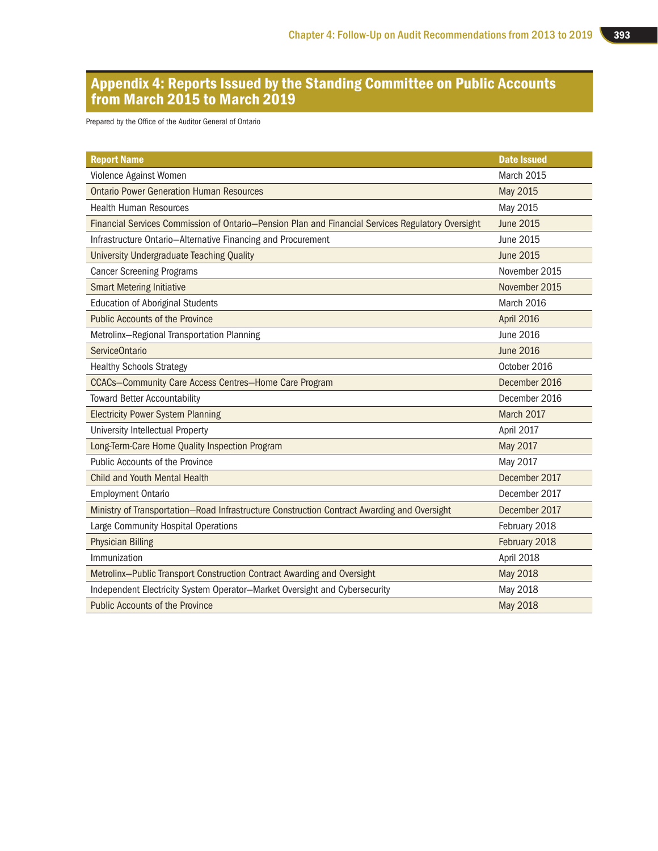## Appendix 4: Reports Issued by the Standing Committee on Public Accounts from March 2015 to March 2019

Prepared by the Office of the Auditor General of Ontario

| <b>Report Name</b>                                                                                | <b>Date Issued</b> |
|---------------------------------------------------------------------------------------------------|--------------------|
| Violence Against Women                                                                            | March 2015         |
| <b>Ontario Power Generation Human Resources</b>                                                   | <b>May 2015</b>    |
| <b>Health Human Resources</b>                                                                     | May 2015           |
| Financial Services Commission of Ontario-Pension Plan and Financial Services Regulatory Oversight | <b>June 2015</b>   |
| Infrastructure Ontario-Alternative Financing and Procurement                                      | June 2015          |
| <b>University Undergraduate Teaching Quality</b>                                                  | June 2015          |
| <b>Cancer Screening Programs</b>                                                                  | November 2015      |
| <b>Smart Metering Initiative</b>                                                                  | November 2015      |
| <b>Education of Aboriginal Students</b>                                                           | March 2016         |
| <b>Public Accounts of the Province</b>                                                            | April 2016         |
| Metrolinx-Regional Transportation Planning                                                        | June 2016          |
| <b>ServiceOntario</b>                                                                             | <b>June 2016</b>   |
| <b>Healthy Schools Strategy</b>                                                                   | October 2016       |
| <b>CCACs-Community Care Access Centres-Home Care Program</b>                                      | December 2016      |
| <b>Toward Better Accountability</b>                                                               | December 2016      |
| <b>Electricity Power System Planning</b>                                                          | March 2017         |
| University Intellectual Property                                                                  | April 2017         |
| Long-Term-Care Home Quality Inspection Program                                                    | May 2017           |
| Public Accounts of the Province                                                                   | May 2017           |
| <b>Child and Youth Mental Health</b>                                                              | December 2017      |
| <b>Employment Ontario</b>                                                                         | December 2017      |
| Ministry of Transportation-Road Infrastructure Construction Contract Awarding and Oversight       | December 2017      |
| Large Community Hospital Operations                                                               | February 2018      |
| <b>Physician Billing</b>                                                                          | February 2018      |
| Immunization                                                                                      | April 2018         |
| Metrolinx-Public Transport Construction Contract Awarding and Oversight                           | <b>May 2018</b>    |
| Independent Electricity System Operator-Market Oversight and Cybersecurity                        | May 2018           |
| <b>Public Accounts of the Province</b>                                                            | <b>May 2018</b>    |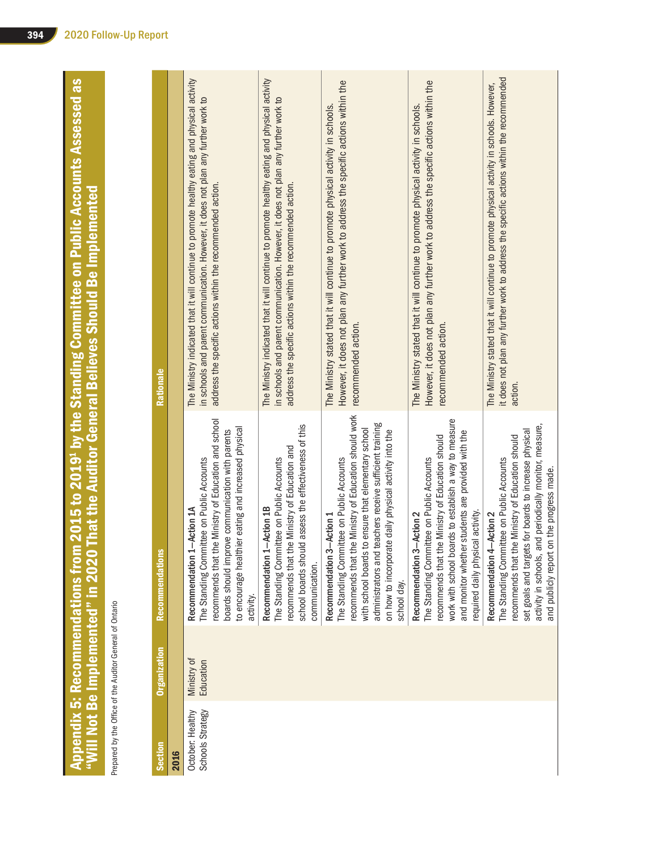Appendix 5: Recommendations from 2015 to 2019<sup>1</sup> by the Standing Committee on Public Accounts Assessed as Appendix 5: Recommendations from 2015 to 2019<sup>:</sup> by the Standing Committee on Public Accounts Assessed as<br>"Will Not Be Implemented" in 2020 That the Auditor General Believes Should Be Implemented<br>Pepaed by the offer develo "Will Not Be Implemented" in 2020 That the Auditor General Believes Should Be Implemented

Prepared by the Office of the Auditor General of Ontario

| Section                              | <b>Organization</b>      | <b>Recommendations</b>                                                                                                                                                                                                                                                                                                        | Rationale                                                                                                                                                                                                                                         |
|--------------------------------------|--------------------------|-------------------------------------------------------------------------------------------------------------------------------------------------------------------------------------------------------------------------------------------------------------------------------------------------------------------------------|---------------------------------------------------------------------------------------------------------------------------------------------------------------------------------------------------------------------------------------------------|
| 2016                                 |                          |                                                                                                                                                                                                                                                                                                                               |                                                                                                                                                                                                                                                   |
| Schools Strategy<br>October: Healthy | Ministry of<br>Education | recommends that the Ministry of Education and school<br>to encourage healthier eating and increased physical<br>boards should improve communication with parents<br>The Standing Committee on Public Accounts<br>Recommendation 1-Action 1A<br>activity.                                                                      | The Ministry indicated that it will continue to promote healthy eating and physical activity<br>in schools and parent communication. However, it does not plan any further work to<br>address the specific actions within the recommended action. |
|                                      |                          | Id assess the effectiveness of this<br>ne Ministry of Education and<br>The Standing Committee on Public Accounts<br>Recommendation 1-Action 1B<br>recommends that th<br>school boards shou<br>communication.                                                                                                                  | The Ministry indicated that it will continue to promote healthy eating and physical activity<br>in schools and parent communication. However, it does not plan any further work to<br>address the specific actions within the recommended action. |
|                                      |                          | recommends that the Ministry of Education should work<br>teachers receive sufficient training<br>with school boards to ensure that elementary school<br>on how to incorporate daily physical activity into the<br>The Standing Committee on Public Accounts<br>Recommendation 3-Action 1<br>administrators and<br>school day. | However, it does not plan any further work to address the specific actions within the<br>The Ministry stated that it will continue to promote physical activity in schools.<br>recommended action.                                                |
|                                      |                          | work with school boards to establish a way to measure<br>and monitor whether students are provided with the<br>recommends that the Ministry of Education should<br>The Standing Committee on Public Accounts<br>required daily physical activity.<br>Recommendation 3-Action 2                                                | However, it does not plan any further work to address the specific actions within the<br>The Ministry stated that it will continue to promote physical activity in schools.<br>recommended action.                                                |
|                                      |                          | activity in schools, and periodically monitor, measure,<br>set goals and targets for boards to increase physical<br>recommends that the Ministry of Education should<br>The Standing Committee on Public Accounts<br>on the progress made.<br>Recommendation 4-Action 2<br>and publicly report                                | it does not plan any further work to address the specific actions within the recommended<br>The Ministry stated that it will continue to promote physical activity in schools. However,<br>action.                                                |